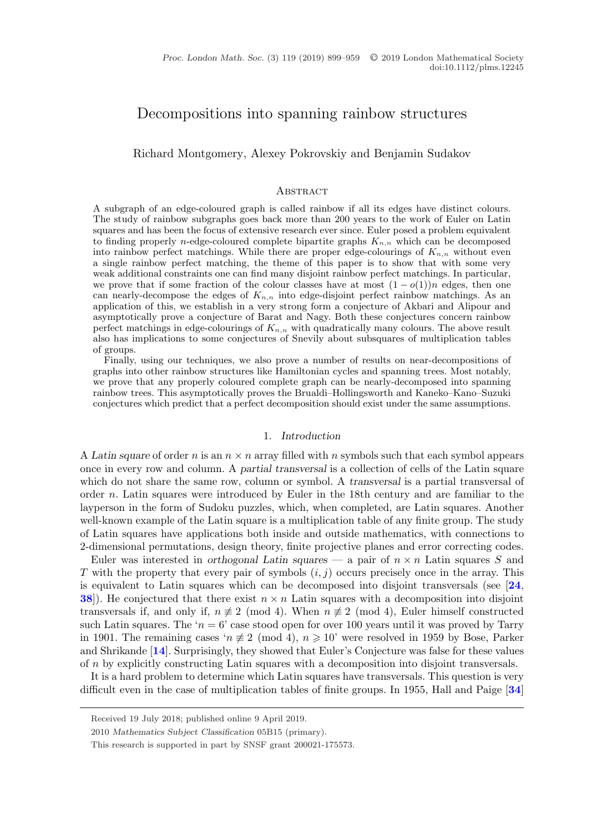# Decompositions into spanning rainbow structures

Richard Montgomery, Alexey Pokrovskiy and Benjamin Sudakov

#### **ABSTRACT**

A subgraph of an edge-coloured graph is called rainbow if all its edges have distinct colours. The study of rainbow subgraphs goes back more than 200 years to the work of Euler on Latin squares and has been the focus of extensive research ever since. Euler posed a problem equivalent to finding properly n-edge-coloured complete bipartite graphs  $K_{n,n}$  which can be decomposed into rainbow perfect matchings. While there are proper edge-colourings of  $K_{n,n}$  without even a single rainbow perfect matching, the theme of this paper is to show that with some very weak additional constraints one can find many disjoint rainbow perfect matchings. In particular, we prove that if some fraction of the colour classes have at most  $(1 - o(1))n$  edges, then one can nearly-decompose the edges of  $K_{n,n}$  into edge-disjoint perfect rainbow matchings. As an application of this, we establish in a very strong form a conjecture of Akbari and Alipour and asymptotically prove a conjecture of Barat and Nagy. Both these conjectures concern rainbow perfect matchings in edge-colourings of  $K_{n,n}$  with quadratically many colours. The above result also has implications to some conjectures of Snevily about subsquares of multiplication tables of groups.

Finally, using our techniques, we also prove a number of results on near-decompositions of graphs into other rainbow structures like Hamiltonian cycles and spanning trees. Most notably, we prove that any properly coloured complete graph can be nearly-decomposed into spanning rainbow trees. This asymptotically proves the Brualdi–Hollingsworth and Kaneko–Kano–Suzuki conjectures which predict that a perfect decomposition should exist under the same assumptions.

# 1. *Introduction*

A *Latin square* of order n is an  $n \times n$  array filled with n symbols such that each symbol appears once in every row and column. A *partial transversal* is a collection of cells of the Latin square which do not share the same row, column or symbol. A *transversal* is a partial transversal of order n. Latin squares were introduced by Euler in the 18th century and are familiar to the layperson in the form of Sudoku puzzles, which, when completed, are Latin squares. Another well-known example of the Latin square is a multiplication table of any finite group. The study of Latin squares have applications both inside and outside mathematics, with connections to 2-dimensional permutations, design theory, finite projective planes and error correcting codes.

Euler was interested in *orthogonal Latin squares* — a pair of  $n \times n$  Latin squares S and T with the property that every pair of symbols  $(i, j)$  occurs precisely once in the array. This is equivalent to Latin squares which can be decomposed into disjoint transversals (see [**[24](#page-59-0)**, **[38](#page-60-0)**). He conjectured that there exist  $n \times n$  Latin squares with a decomposition into disjoint transversals if, and only if,  $n \not\equiv 2 \pmod{4}$ . When  $n \not\equiv 2 \pmod{4}$ , Euler himself constructed such Latin squares. The ' $n = 6$ ' case stood open for over 100 years until it was proved by Tarry in 1901. The remaining cases  $n \not\equiv 2 \pmod{4}$ ,  $n \geq 10$ ' were resolved in 1959 by Bose, Parker and Shrikande [**[14](#page-59-0)**]. Surprisingly, they showed that Euler's Conjecture was false for these values of n by explicitly constructing Latin squares with a decomposition into disjoint transversals.

It is a hard problem to determine which Latin squares have transversals. This question is very difficult even in the case of multiplication tables of finite groups. In 1955, Hall and Paige [**[34](#page-60-0)**]

Received 19 July 2018; published online 9 April 2019.

<sup>2010</sup> *Mathematics Subject Classification* 05B15 (primary).

This research is supported in part by SNSF grant 200021-175573.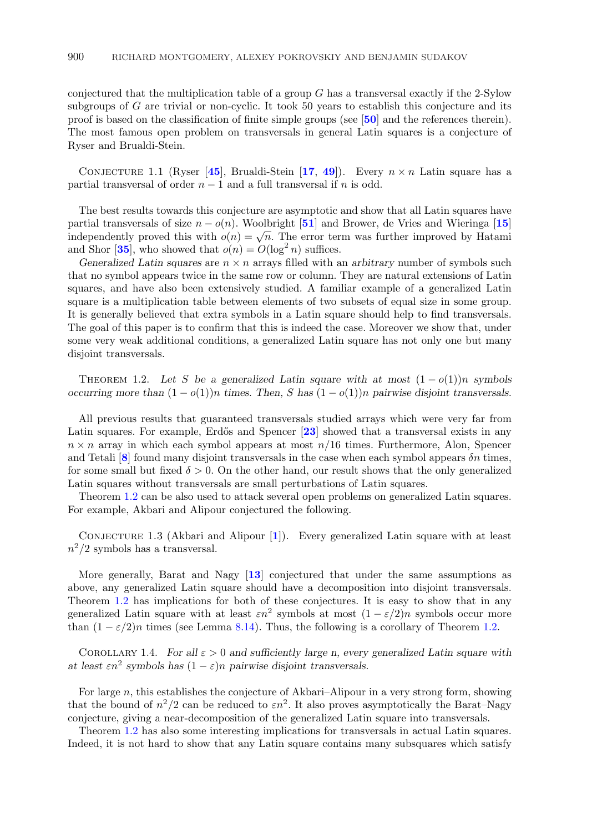<span id="page-1-0"></span>conjectured that the multiplication table of a group  $G$  has a transversal exactly if the 2-Sylow subgroups of  $G$  are trivial or non-cyclic. It took 50 years to establish this conjecture and its proof is based on the classification of finite simple groups (see [**[50](#page-60-0)**] and the references therein). The most famous open problem on transversals in general Latin squares is a conjecture of Ryser and Brualdi-Stein.

CONJECTURE 1.1 (Ryser [[45](#page-60-0)], Brualdi-Stein [[17](#page-59-0), [49](#page-60-0)]). Every  $n \times n$  Latin square has a partial transversal of order  $n-1$  and a full transversal if n is odd.

The best results towards this conjecture are asymptotic and show that all Latin squares have partial transversals of size n − o(n). Woolbright [**[51](#page-60-0)**] and Brower, de Vries and Wieringa [**[15](#page-59-0)**] independently proved this with  $o(n) = \sqrt{n}$ . The error term was further improved by Hatami and Shor [[35](#page-60-0)], who showed that  $o(n) = O(\log^2 n)$  suffices.

*Generalized Latin squares* are  $n \times n$  arrays filled with an *arbitrary* number of symbols such that no symbol appears twice in the same row or column. They are natural extensions of Latin squares, and have also been extensively studied. A familiar example of a generalized Latin square is a multiplication table between elements of two subsets of equal size in some group. It is generally believed that extra symbols in a Latin square should help to find transversals. The goal of this paper is to confirm that this is indeed the case. Moreover we show that, under some very weak additional conditions, a generalized Latin square has not only one but many disjoint transversals.

THEOREM 1.2. Let S be a generalized Latin square with at most  $(1 - o(1))n$  symbols *occurring more than*  $(1 - o(1))n$  *times. Then, S has*  $(1 - o(1))n$  *pairwise disjoint transversals.* 

All previous results that guaranteed transversals studied arrays which were very far from Latin squares. For example, Erdős and Spencer [[23](#page-59-0)] showed that a transversal exists in any  $n \times n$  array in which each symbol appears at most  $n/16$  times. Furthermore, Alon, Spencer and Tetali [[8](#page-59-0)] found many disjoint transversals in the case when each symbol appears  $\delta n$  times, for some small but fixed  $\delta > 0$ . On the other hand, our result shows that the only generalized Latin squares without transversals are small perturbations of Latin squares.

Theorem 1.2 can be also used to attack several open problems on generalized Latin squares. For example, Akbari and Alipour conjectured the following.

CONJECTURE [1](#page-59-0).3 (Akbari and Alipour [1]). Every generalized Latin square with at least  $n^2/2$  symbols has a transversal.

More generally, Barat and Nagy [**[13](#page-59-0)**] conjectured that under the same assumptions as above, any generalized Latin square should have a decomposition into disjoint transversals. Theorem 1.2 has implications for both of these conjectures. It is easy to show that in any generalized Latin square with at least  $\varepsilon n^2$  symbols at most  $(1 - \varepsilon/2)n$  symbols occur more than  $(1 - \varepsilon/2)n$  times (see Lemma [8.14\)](#page-41-0). Thus, the following is a corollary of Theorem 1.2.

COROLLARY 1.4. *For all*  $\varepsilon > 0$  *and sufficiently large n, every generalized Latin square with at least*  $\epsilon n^2$  *symbols has*  $(1 - \epsilon)n$  *pairwise disjoint transversals.* 

For large  $n$ , this establishes the conjecture of Akbari–Alipour in a very strong form, showing that the bound of  $n^2/2$  can be reduced to  $\epsilon n^2$ . It also proves asymptotically the Barat–Nagy conjecture, giving a near-decomposition of the generalized Latin square into transversals.

Theorem 1.2 has also some interesting implications for transversals in actual Latin squares. Indeed, it is not hard to show that any Latin square contains many subsquares which satisfy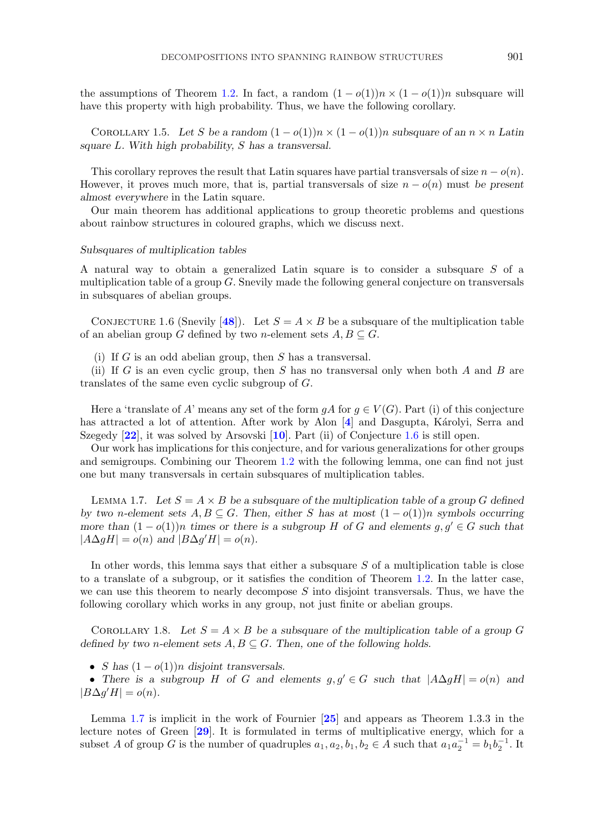the assumptions of Theorem [1.2.](#page-1-0) In fact, a random  $(1 - o(1))n \times (1 - o(1))n$  subsquare will have this property with high probability. Thus, we have the following corollary.

COROLLARY 1.5. Let S be a random  $(1 - o(1))n \times (1 - o(1))n$  subsquare of an  $n \times n$  Latin *square* L*. With high probability,* S *has a transversal.*

This corollary reproves the result that Latin squares have partial transversals of size  $n - o(n)$ . However, it proves much more, that is, partial transversals of size  $n - o(n)$  must *be present almost everywhere* in the Latin square.

Our main theorem has additional applications to group theoretic problems and questions about rainbow structures in coloured graphs, which we discuss next.

#### *Subsquares of multiplication tables*

A natural way to obtain a generalized Latin square is to consider a subsquare S of a multiplication table of a group G. Snevily made the following general conjecture on transversals in subsquares of abelian groups.

CONJECTURE 1.6 (Snevily [[48](#page-60-0)]). Let  $S = A \times B$  be a subsquare of the multiplication table of an abelian group G defined by two *n*-element sets  $A, B \subseteq G$ .

(i) If G is an odd abelian group, then S has a transversal.

(ii) If G is an even cyclic group, then S has no transversal only when both A and B are translates of the same even cyclic subgroup of G.

Here a 'translate of A' means any set of the form  $qA$  for  $q \in V(G)$ . Part (i) of this conjecture has attracted a lot of attention. After work by Alon [[4](#page-59-0)] and Dasgupta, Károlyi, Serra and Szegedy [**[22](#page-59-0)**], it was solved by Arsovski [**[10](#page-59-0)**]. Part (ii) of Conjecture 1.6 is still open.

Our work has implications for this conjecture, and for various generalizations for other groups and semigroups. Combining our Theorem [1.2](#page-1-0) with the following lemma, one can find not just one but many transversals in certain subsquares of multiplication tables.

LEMMA 1.7. Let  $S = A \times B$  be a subsquare of the multiplication table of a group G defined *by two* n-element sets  $A, B \subseteq G$ . Then, either S has at most  $(1 - o(1))n$  symbols occurring *more than*  $(1 - o(1))n$  *times or there is a subgroup* H *of* G *and elements*  $g, g' \in G$  *such that*  $|A\Delta gH| = o(n)$  and  $|B\Delta g'H| = o(n)$ *.* 

In other words, this lemma says that either a subsquare S of a multiplication table is close to a translate of a subgroup, or it satisfies the condition of Theorem [1.2.](#page-1-0) In the latter case, we can use this theorem to nearly decompose  $S$  into disjoint transversals. Thus, we have the following corollary which works in any group, not just finite or abelian groups.

COROLLARY 1.8. Let  $S = A \times B$  be a subsquare of the multiplication table of a group G *defined by two n-element sets*  $A, B \subseteq G$ . Then, one of the following holds.

• *S* has  $(1 - o(1))n$  disjoint transversals.

• There is a subgroup H of G and elements  $g, g' \in G$  such that  $|A \Delta g H| = o(n)$  and  $|B\Delta g'H|=o(n).$ 

Lemma 1.7 is implicit in the work of Fournier [**[25](#page-59-0)**] and appears as Theorem 1.3.3 in the lecture notes of Green [**[29](#page-59-0)**]. It is formulated in terms of multiplicative energy, which for a subset A of group G is the number of quadruples  $a_1, a_2, b_1, b_2 \in A$  such that  $a_1 a_2^{-1} = b_1 b_2^{-1}$ . It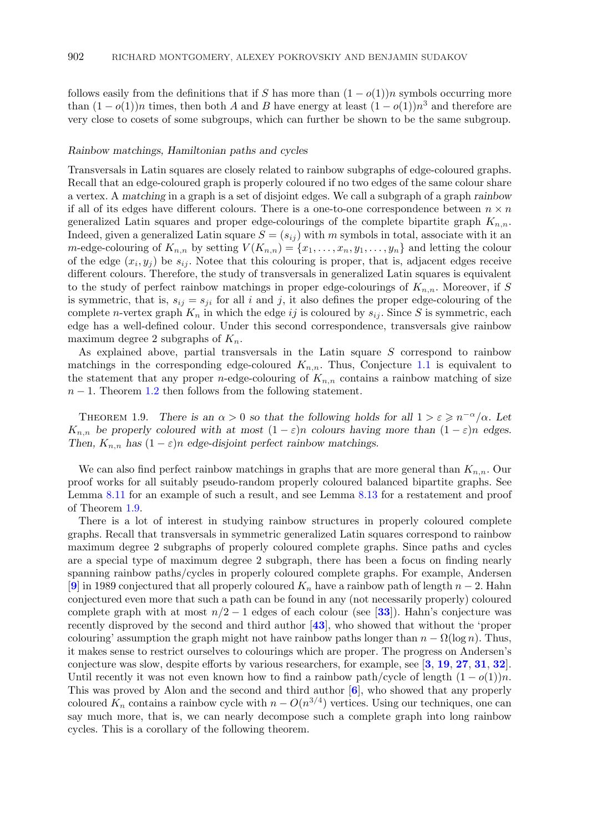<span id="page-3-0"></span>follows easily from the definitions that if S has more than  $(1 - o(1))n$  symbols occurring more than  $(1 - o(1))n$  times, then both A and B have energy at least  $(1 - o(1))n<sup>3</sup>$  and therefore are very close to cosets of some subgroups, which can further be shown to be the same subgroup.

# *Rainbow matchings, Hamiltonian paths and cycles*

Transversals in Latin squares are closely related to rainbow subgraphs of edge-coloured graphs. Recall that an edge-coloured graph is properly coloured if no two edges of the same colour share a vertex. A *matching* in a graph is a set of disjoint edges. We call a subgraph of a graph *rainbow* if all of its edges have different colours. There is a one-to-one correspondence between  $n \times n$ generalized Latin squares and proper edge-colourings of the complete bipartite graph  $K_{n,n}$ . Indeed, given a generalized Latin square  $S = (s_{ij})$  with m symbols in total, associate with it an m-edge-colouring of  $K_{n,n}$  by setting  $V(K_{n,n}) = \{x_1, \ldots, x_n, y_1, \ldots, y_n\}$  and letting the colour of the edge  $(x_i, y_j)$  be  $s_{ij}$ . Notee that this colouring is proper, that is, adjacent edges receive different colours. Therefore, the study of transversals in generalized Latin squares is equivalent to the study of perfect rainbow matchings in proper edge-colourings of  $K_{n,n}$ . Moreover, if S is symmetric, that is,  $s_{ij} = s_{ji}$  for all i and j, it also defines the proper edge-colouring of the complete n-vertex graph  $K_n$  in which the edge ij is coloured by  $s_{ij}$ . Since S is symmetric, each edge has a well-defined colour. Under this second correspondence, transversals give rainbow maximum degree 2 subgraphs of  $K_n$ .

As explained above, partial transversals in the Latin square S correspond to rainbow matchings in the corresponding edge-coloured  $K_{n,n}$ . Thus, Conjecture [1.1](#page-1-0) is equivalent to the statement that any proper *n*-edge-colouring of  $K_{n,n}$  contains a rainbow matching of size  $n-1$ . Theorem [1.2](#page-1-0) then follows from the following statement.

THEOREM 1.9. *There is an*  $\alpha > 0$  *so that the following holds for all*  $1 > \epsilon \geqslant n^{-\alpha}/\alpha$ *. Let*  $K_{n,n}$  be properly coloured with at most  $(1 - \varepsilon)n$  colours having more than  $(1 - \varepsilon)n$  edges. *Then,*  $K_{n,n}$  *has*  $(1 - \varepsilon)n$  *edge-disjoint perfect rainbow matchings.* 

We can also find perfect rainbow matchings in graphs that are more general than  $K_{n,n}$ . Our proof works for all suitably pseudo-random properly coloured balanced bipartite graphs. See Lemma [8.11](#page-40-0) for an example of such a result, and see Lemma [8.13](#page-41-0) for a restatement and proof of Theorem 1.9.

There is a lot of interest in studying rainbow structures in properly coloured complete graphs. Recall that transversals in symmetric generalized Latin squares correspond to rainbow maximum degree 2 subgraphs of properly coloured complete graphs. Since paths and cycles are a special type of maximum degree 2 subgraph, there has been a focus on finding nearly spanning rainbow paths/cycles in properly coloured complete graphs. For example, Andersen [**[9](#page-59-0)**] in 1989 conjectured that all properly coloured  $K_n$  have a rainbow path of length  $n-2$ . Hahn conjectured even more that such a path can be found in any (not necessarily properly) coloured complete graph with at most  $n/2 - 1$  edges of each colour (see [[33](#page-60-0)]). Hahn's conjecture was recently disproved by the second and third author [**[43](#page-60-0)**], who showed that without the 'proper colouring' assumption the graph might not have rainbow paths longer than  $n - \Omega(\log n)$ . Thus, it makes sense to restrict ourselves to colourings which are proper. The progress on Andersen's conjecture was slow, despite efforts by various researchers, for example, see [**[3](#page-59-0)**, **[19](#page-59-0)**, **[27](#page-59-0)**, **[31](#page-60-0)**, **[32](#page-60-0)**]. Until recently it was not even known how to find a rainbow path/cycle of length  $(1 - o(1))n$ . This was proved by Alon and the second and third author [**[6](#page-59-0)**], who showed that any properly coloured  $K_n$  contains a rainbow cycle with  $n - O(n^{3/4})$  vertices. Using our techniques, one can say much more, that is, we can nearly decompose such a complete graph into long rainbow cycles. This is a corollary of the following theorem.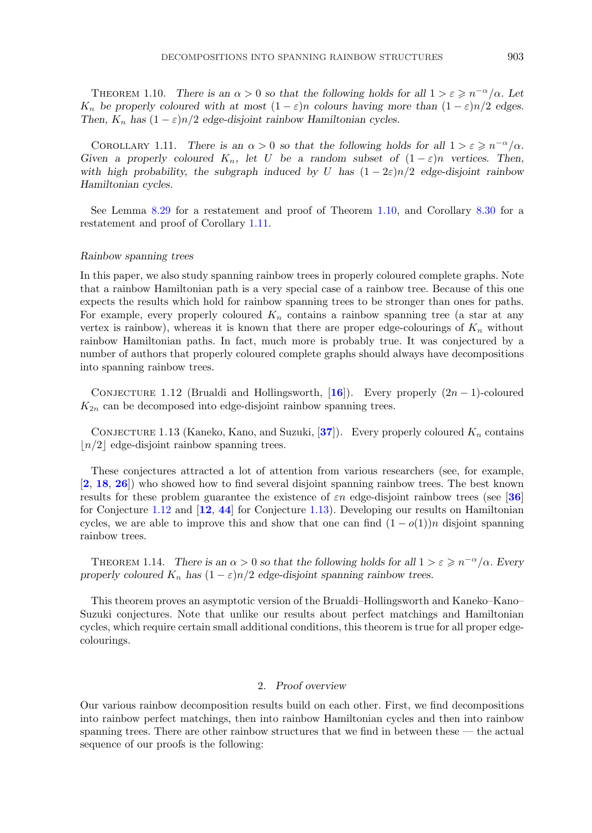<span id="page-4-0"></span>THEOREM 1.10. *There is an*  $\alpha > 0$  *so that the following holds for all*  $1 > \epsilon \geqslant n^{-\alpha}/\alpha$ *. Let*  $K_n$  be properly coloured with at most  $(1 - \varepsilon)n$  colours having more than  $(1 - \varepsilon)n/2$  edges. *Then,*  $K_n$  *has*  $(1 - \varepsilon)n/2$  *edge-disjoint rainbow Hamiltonian cycles.* 

COROLLARY 1.11. *There is an*  $\alpha > 0$  so that the following holds for all  $1 > \epsilon \geq n^{-\alpha}/\alpha$ . *Given a properly coloured*  $K_n$ , let U *be a random subset of*  $(1 - \varepsilon)n$  *vertices. Then, with high probability, the subgraph induced by* U *has*  $(1 - 2\varepsilon)n/2$  *edge-disjoint rainbow Hamiltonian cycles.*

See Lemma [8.29](#page-48-0) for a restatement and proof of Theorem 1.10, and Corollary [8.30](#page-49-0) for a restatement and proof of Corollary 1.11.

# *Rainbow spanning trees*

In this paper, we also study spanning rainbow trees in properly coloured complete graphs. Note that a rainbow Hamiltonian path is a very special case of a rainbow tree. Because of this one expects the results which hold for rainbow spanning trees to be stronger than ones for paths. For example, every properly coloured  $K_n$  contains a rainbow spanning tree (a star at any vertex is rainbow), whereas it is known that there are proper edge-colourings of  $K_n$  without rainbow Hamiltonian paths. In fact, much more is probably true. It was conjectured by a number of authors that properly coloured complete graphs should always have decompositions into spanning rainbow trees.

CONJECTURE 1.12 (Brualdi and Hollingsworth, [[16](#page-59-0)]). Every properly  $(2n - 1)$ -coloured  $K_{2n}$  can be decomposed into edge-disjoint rainbow spanning trees.

CONJECTURE 1.13 (Kaneko, Kano, and Suzuki,  $[37]$  $[37]$  $[37]$ ). Every properly coloured  $K_n$  contains  $n/2$  edge-disjoint rainbow spanning trees.

These conjectures attracted a lot of attention from various researchers (see, for example, [**[2](#page-59-0)**, **[18](#page-59-0)**, **[26](#page-59-0)**]) who showed how to find several disjoint spanning rainbow trees. The best known results for these problem guarantee the existence of  $\varepsilon n$  edge-disjoint rainbow trees (see [[36](#page-60-0)] for Conjecture 1.12 and [**[12](#page-59-0)**, **[44](#page-60-0)**] for Conjecture 1.13). Developing our results on Hamiltonian cycles, we are able to improve this and show that one can find  $(1 - o(1))n$  disjoint spanning rainbow trees.

THEOREM 1.14. *There is an*  $\alpha > 0$  *so that the following holds for all*  $1 > \varepsilon \geqslant n^{-\alpha}/\alpha$ *. Every properly coloured*  $K_n$  *has*  $(1 - \varepsilon)n/2$  *edge-disjoint spanning rainbow trees.* 

This theorem proves an asymptotic version of the Brualdi–Hollingsworth and Kaneko–Kano– Suzuki conjectures. Note that unlike our results about perfect matchings and Hamiltonian cycles, which require certain small additional conditions, this theorem is true for all proper edgecolourings.

# 2. *Proof overview*

Our various rainbow decomposition results build on each other. First, we find decompositions into rainbow perfect matchings, then into rainbow Hamiltonian cycles and then into rainbow spanning trees. There are other rainbow structures that we find in between these — the actual sequence of our proofs is the following: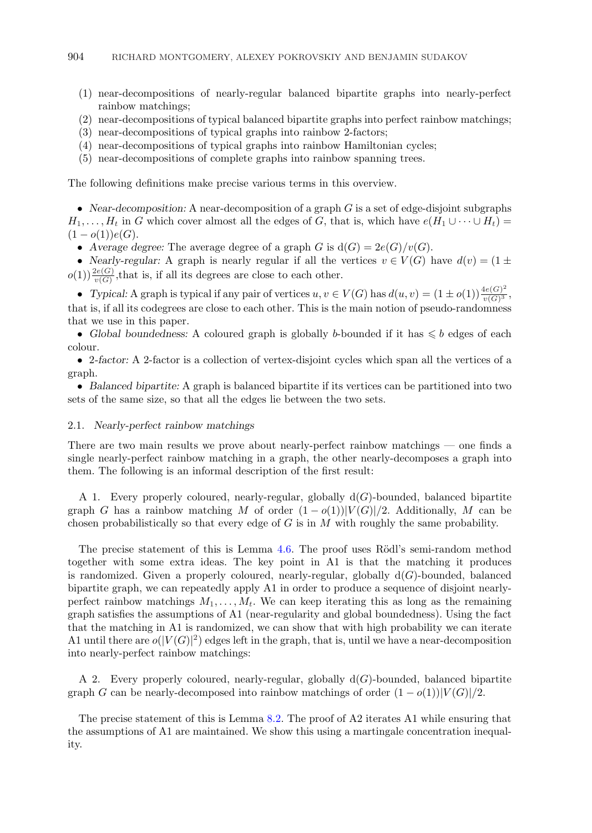- <span id="page-5-0"></span>(1) near-decompositions of nearly-regular balanced bipartite graphs into nearly-perfect rainbow matchings;
- (2) near-decompositions of typical balanced bipartite graphs into perfect rainbow matchings;
- (3) near-decompositions of typical graphs into rainbow 2-factors;
- (4) near-decompositions of typical graphs into rainbow Hamiltonian cycles;
- (5) near-decompositions of complete graphs into rainbow spanning trees.

The following definitions make precise various terms in this overview.

• *Near-decomposition:* A near-decomposition of a graph G is a set of edge-disjoint subgraphs  $H_1,\ldots,H_t$  in G which cover almost all the edges of G, that is, which have  $e(H_1\cup\cdots\cup H_t)=$  $(1-o(1))e(G).$ 

• Average degree: The average degree of a graph G is  $d(G)=2e(G)/v(G)$ .

• *Nearly-regular:* A graph is nearly regular if all the vertices  $v \in V(G)$  have  $d(v) = (1 \pm \sqrt{2})$  $o(1)$ )  $\frac{2e(G)}{v(G)}$ , that is, if all its degrees are close to each other.

• *Typical:* A graph is typical if any pair of vertices  $u, v \in V(G)$  has  $d(u, v) = (1 \pm o(1)) \frac{4e(G)^2}{v(G)^3}$ , that is, if all its codegrees are close to each other. This is the main notion of pseudo-randomness that we use in this paper.

• Global boundedness: A coloured graph is globally b-bounded if it has  $\leq b$  edges of each colour.

• 2*-factor:* A 2-factor is a collection of vertex-disjoint cycles which span all the vertices of a graph.

• *Balanced bipartite:* A graph is balanced bipartite if its vertices can be partitioned into two sets of the same size, so that all the edges lie between the two sets.

#### 2.1. *Nearly-perfect rainbow matchings*

There are two main results we prove about nearly-perfect rainbow matchings — one finds a single nearly-perfect rainbow matching in a graph, the other nearly-decomposes a graph into them. The following is an informal description of the first result:

A 1. Every properly coloured, nearly-regular, globally  $d(G)$ -bounded, balanced bipartite graph G has a rainbow matching M of order  $(1-o(1))|V(G)|/2$ . Additionally, M can be chosen probabilistically so that every edge of  $G$  is in  $M$  with roughly the same probability.

The precise statement of this is Lemma  $4.6$ . The proof uses Rödl's semi-random method together with some extra ideas. The key point in A1 is that the matching it produces is randomized. Given a properly coloured, nearly-regular, globally  $d(G)$ -bounded, balanced bipartite graph, we can repeatedly apply A1 in order to produce a sequence of disjoint nearlyperfect rainbow matchings  $M_1, \ldots, M_t$ . We can keep iterating this as long as the remaining graph satisfies the assumptions of A1 (near-regularity and global boundedness). Using the fact that the matching in A1 is randomized, we can show that with high probability we can iterate A1 until there are  $o(|V(G)|^2)$  edges left in the graph, that is, until we have a near-decomposition into nearly-perfect rainbow matchings:

A 2. Every properly coloured, nearly-regular, globally  $d(G)$ -bounded, balanced bipartite graph G can be nearly-decomposed into rainbow matchings of order  $(1-o(1))|V(G)|/2$ .

The precise statement of this is Lemma [8.2.](#page-35-0) The proof of A2 iterates A1 while ensuring that the assumptions of A1 are maintained. We show this using a martingale concentration inequality.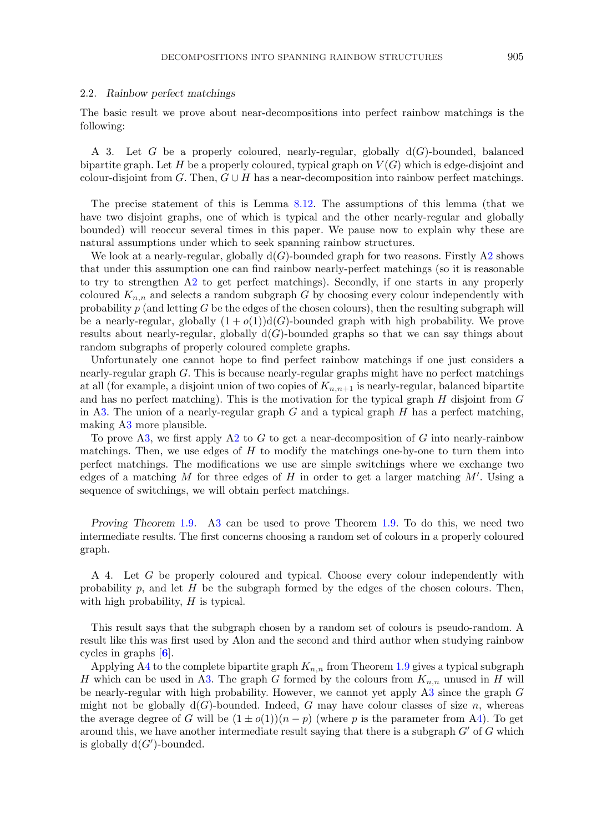#### <span id="page-6-0"></span>2.2. *Rainbow perfect matchings*

The basic result we prove about near-decompositions into perfect rainbow matchings is the following:

A 3. Let G be a properly coloured, nearly-regular, globally  $d(G)$ -bounded, balanced bipartite graph. Let H be a properly coloured, typical graph on  $V(G)$  which is edge-disjoint and colour-disjoint from G. Then,  $G \cup H$  has a near-decomposition into rainbow perfect matchings.

The precise statement of this is Lemma [8.12.](#page-41-0) The assumptions of this lemma (that we have two disjoint graphs, one of which is typical and the other nearly-regular and globally bounded) will reoccur several times in this paper. We pause now to explain why these are natural assumptions under which to seek spanning rainbow structures.

We look at a nearly-regular, globally  $d(G)$ -bounded graph for two reasons. Firstly [A2](#page-5-0) shows that under this assumption one can find rainbow nearly-perfect matchings (so it is reasonable to try to strengthen [A2](#page-5-0) to get perfect matchings). Secondly, if one starts in any properly coloured  $K_{n,n}$  and selects a random subgraph G by choosing every colour independently with probability  $p$  (and letting G be the edges of the chosen colours), then the resulting subgraph will be a nearly-regular, globally  $(1 + o(1))d(G)$ -bounded graph with high probability. We prove results about nearly-regular, globally  $d(G)$ -bounded graphs so that we can say things about random subgraphs of properly coloured complete graphs.

Unfortunately one cannot hope to find perfect rainbow matchings if one just considers a nearly-regular graph G. This is because nearly-regular graphs might have no perfect matchings at all (for example, a disjoint union of two copies of  $K_{n,n+1}$  is nearly-regular, balanced bipartite and has no perfect matching). This is the motivation for the typical graph  $H$  disjoint from  $G$ in A3. The union of a nearly-regular graph  $G$  and a typical graph  $H$  has a perfect matching, making A3 more plausible.

To prove A3, we first apply [A2](#page-5-0) to G to get a near-decomposition of G into nearly-rainbow matchings. Then, we use edges of  $H$  to modify the matchings one-by-one to turn them into perfect matchings. The modifications we use are simple switchings where we exchange two edges of a matching  $M$  for three edges of  $H$  in order to get a larger matching  $M'$ . Using a sequence of switchings, we will obtain perfect matchings.

*Proving Theorem* [1.9](#page-3-0)*.* A3 can be used to prove Theorem [1.9.](#page-3-0) To do this, we need two intermediate results. The first concerns choosing a random set of colours in a properly coloured graph.

A 4. Let G be properly coloured and typical. Choose every colour independently with probability p, and let  $H$  be the subgraph formed by the edges of the chosen colours. Then, with high probability,  $H$  is typical.

This result says that the subgraph chosen by a random set of colours is pseudo-random. A result like this was first used by Alon and the second and third author when studying rainbow cycles in graphs [**[6](#page-59-0)**].

Applying A4 to the complete bipartite graph  $K_{n,n}$  from Theorem [1.9](#page-3-0) gives a typical subgraph H which can be used in A3. The graph G formed by the colours from  $K_{n,n}$  unused in H will be nearly-regular with high probability. However, we cannot yet apply A3 since the graph G might not be globally  $d(G)$ -bounded. Indeed, G may have colour classes of size n, whereas the average degree of G will be  $(1 \pm o(1))(n-p)$  (where p is the parameter from A4). To get around this, we have another intermediate result saying that there is a subgraph  $G'$  of  $G$  which is globally  $d(G')$ -bounded.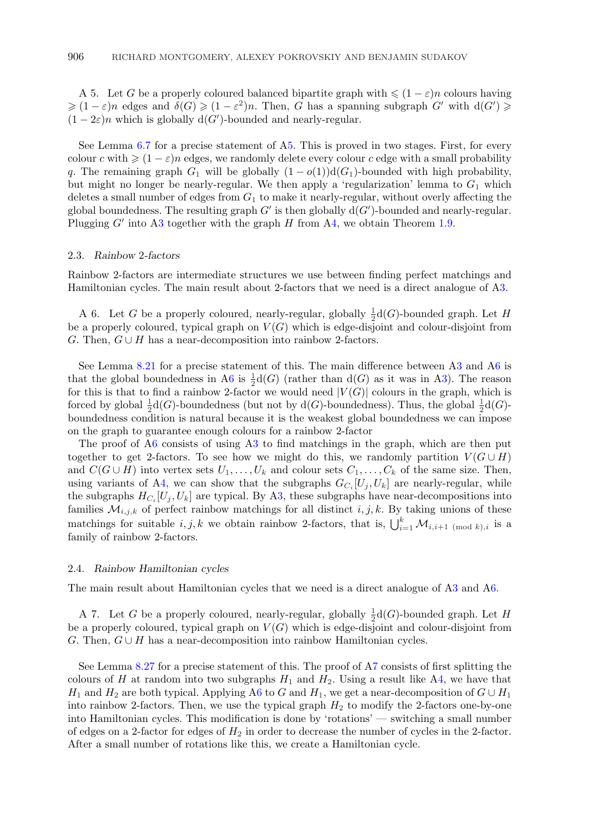<span id="page-7-0"></span>A 5. Let G be a properly coloured balanced bipartite graph with  $\leq (1 - \varepsilon)n$  colours having  $\geq (1 - \varepsilon)n$  edges and  $\delta(G) \geq (1 - \varepsilon^2)n$ . Then, G has a spanning subgraph G' with  $d(G') \geq$  $(1-2\varepsilon)n$  which is globally d(G')-bounded and nearly-regular.

See Lemma [6.7](#page-27-0) for a precise statement of A5. This is proved in two stages. First, for every colour c with  $\geqslant (1 - \varepsilon)n$  edges, we randomly delete every colour c edge with a small probability q. The remaining graph  $G_1$  will be globally  $(1 - o(1))d(G_1)$ -bounded with high probability, but might no longer be nearly-regular. We then apply a 'regularization' lemma to  $G_1$  which deletes a small number of edges from  $G_1$  to make it nearly-regular, without overly affecting the global boundedness. The resulting graph  $G'$  is then globally  $d(G')$ -bounded and nearly-regular. Plugging  $G'$  into [A3](#page-6-0) together with the graph  $H$  from [A4,](#page-6-0) we obtain Theorem [1.9.](#page-3-0)

#### 2.3. *Rainbow* 2*-factors*

Rainbow 2-factors are intermediate structures we use between finding perfect matchings and Hamiltonian cycles. The main result about 2-factors that we need is a direct analogue of [A3.](#page-6-0)

A 6. Let G be a properly coloured, nearly-regular, globally  $\frac{1}{2}d(G)$ -bounded graph. Let H be a properly coloured, typical graph on  $V(G)$  which is edge-disjoint and colour-disjoint from G. Then,  $G \cup H$  has a near-decomposition into rainbow 2-factors.

See Lemma [8.21](#page-44-0) for a precise statement of this. The main difference between [A3](#page-6-0) and A6 is that the global boundedness in A6 is  $\frac{1}{2}d(G)$  (rather than  $d(G)$  as it was in [A3\)](#page-6-0). The reason for this is that to find a rainbow 2-factor we would need  $|V(G)|$  colours in the graph, which is forced by global  $\frac{1}{2}d(G)$ -boundedness (but not by  $d(G)$ -boundedness). Thus, the global  $\frac{1}{2}d(G)$ boundedness condition is natural because it is the weakest global boundedness we can impose on the graph to guarantee enough colours for a rainbow 2-factor

The proof of A6 consists of using [A3](#page-6-0) to find matchings in the graph, which are then put together to get 2-factors. To see how we might do this, we randomly partition  $V(G \cup H)$ and  $C(G \cup H)$  into vertex sets  $U_1, \ldots, U_k$  and colour sets  $C_1, \ldots, C_k$  of the same size. Then, using variants of [A4,](#page-6-0) we can show that the subgraphs  $G_{C_i}[U_j, U_k]$  are nearly-regular, while the subgraphs  $H_{C_i} [U_i, U_k]$  are typical. By [A3,](#page-6-0) these subgraphs have near-decompositions into families  $\mathcal{M}_{i,j,k}$  of perfect rainbow matchings for all distinct  $i, j, k$ . By taking unions of these matchings for suitable  $i, j, k$  we obtain rainbow 2-factors, that is,  $\bigcup_{i=1}^{k} \mathcal{M}_{i,i+1 \pmod{k},i}$  is a family of rainbow 2-factors.

## 2.4. *Rainbow Hamiltonian cycles*

The main result about Hamiltonian cycles that we need is a direct analogue of [A3](#page-6-0) and A6.

A 7. Let G be a properly coloured, nearly-regular, globally  $\frac{1}{2}d(G)$ -bounded graph. Let H be a properly coloured, typical graph on  $V(G)$  which is edge-disjoint and colour-disjoint from G. Then,  $G \cup H$  has a near-decomposition into rainbow Hamiltonian cycles.

See Lemma [8.27](#page-48-0) for a precise statement of this. The proof of A7 consists of first splitting the colours of H at random into two subgraphs  $H_1$  and  $H_2$ . Using a result like [A4,](#page-6-0) we have that  $H_1$  and  $H_2$  are both typical. Applying A6 to G and  $H_1$ , we get a near-decomposition of  $G \cup H_1$ into rainbow 2-factors. Then, we use the typical graph  $H_2$  to modify the 2-factors one-by-one into Hamiltonian cycles. This modification is done by 'rotations' — switching a small number of edges on a 2-factor for edges of  $H_2$  in order to decrease the number of cycles in the 2-factor. After a small number of rotations like this, we create a Hamiltonian cycle.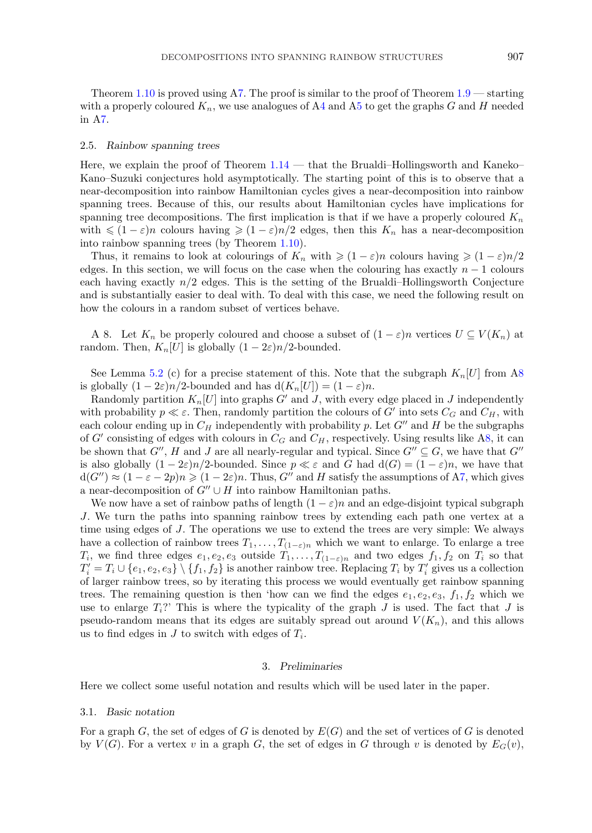Theorem [1.10](#page-4-0) is proved using [A7.](#page-7-0) The proof is similar to the proof of Theorem  $1.9$  — starting with a properly coloured  $K_n$ , we use analogues of [A4](#page-6-0) and [A5](#page-7-0) to get the graphs G and H needed in [A7.](#page-7-0)

#### 2.5. *Rainbow spanning trees*

Here, we explain the proof of Theorem  $1.14$  — that the Brualdi–Hollingsworth and Kaneko– Kano–Suzuki conjectures hold asymptotically. The starting point of this is to observe that a near-decomposition into rainbow Hamiltonian cycles gives a near-decomposition into rainbow spanning trees. Because of this, our results about Hamiltonian cycles have implications for spanning tree decompositions. The first implication is that if we have a properly coloured  $K_n$ with  $\leq (1 - \varepsilon)n$  colours having  $\geq (1 - \varepsilon)n/2$  edges, then this  $K_n$  has a near-decomposition into rainbow spanning trees (by Theorem [1.10\)](#page-4-0).

Thus, it remains to look at colourings of  $K_n$  with  $\geqslant (1 - \varepsilon)n$  colours having  $\geqslant (1 - \varepsilon)n/2$ edges. In this section, we will focus on the case when the colouring has exactly  $n-1$  colours each having exactly  $n/2$  edges. This is the setting of the Brualdi–Hollingsworth Conjecture and is substantially easier to deal with. To deal with this case, we need the following result on how the colours in a random subset of vertices behave.

A 8. Let  $K_n$  be properly coloured and choose a subset of  $(1 - \varepsilon)n$  vertices  $U \subseteq V(K_n)$  at random. Then,  $K_n[U]$  is globally  $(1-2\varepsilon)n/2$ -bounded.

See Lemma [5.2](#page-21-0) (c) for a precise statement of this. Note that the subgraph  $K_n[U]$  from A8 is globally  $(1 - 2\varepsilon)n/2$ -bounded and has  $d(K_n[U]) = (1 - \varepsilon)n$ .

Randomly partition  $K_n[U]$  into graphs  $G'$  and J, with every edge placed in J independently with probability  $p \ll \varepsilon$ . Then, randomly partition the colours of G' into sets  $C_G$  and  $C_H$ , with each colour ending up in  $C_H$  independently with probability p. Let  $G''$  and H be the subgraphs of G' consisting of edges with colours in  $C_G$  and  $C_H$ , respectively. Using results like A8, it can be shown that  $G'', H$  and J are all nearly-regular and typical. Since  $G'' \subseteq G$ , we have that  $G''$ is also globally  $(1 - 2\varepsilon)n/2$ -bounded. Since  $p \ll \varepsilon$  and  $G$  had  $d(G) = (1 - \varepsilon)n$ , we have that  $d(G'') \approx (1 - \varepsilon - 2p)n \geq (1 - 2\varepsilon)n$ . Thus, G'' and H satisfy the assumptions of [A7,](#page-7-0) which gives a near-decomposition of  $G'' \cup H$  into rainbow Hamiltonian paths.

We now have a set of rainbow paths of length  $(1 - \varepsilon)n$  and an edge-disjoint typical subgraph J. We turn the paths into spanning rainbow trees by extending each path one vertex at a time using edges of J. The operations we use to extend the trees are very simple: We always have a collection of rainbow trees  $T_1, \ldots, T_{(1-\varepsilon)n}$  which we want to enlarge. To enlarge a tree  $T_i$ , we find three edges  $e_1, e_2, e_3$  outside  $T_1, \ldots, T_{(1-\varepsilon)n}$  and two edges  $f_1, f_2$  on  $T_i$  so that  $T_i' = T_i \cup \{e_1, e_2, e_3\} \setminus \{f_1, f_2\}$  is another rainbow tree. Replacing  $T_i$  by  $T_i'$  gives us a collection of larger rainbow trees, so by iterating this process we would eventually get rainbow spanning trees. The remaining question is then 'how can we find the edges  $e_1, e_2, e_3, f_1, f_2$  which we use to enlarge  $T_i$ ?' This is where the typicality of the graph J is used. The fact that J is pseudo-random means that its edges are suitably spread out around  $V(K_n)$ , and this allows us to find edges in  $J$  to switch with edges of  $T_i$ .

# 3. *Preliminaries*

Here we collect some useful notation and results which will be used later in the paper.

#### 3.1. *Basic notation*

For a graph G, the set of edges of G is denoted by  $E(G)$  and the set of vertices of G is denoted by  $V(G)$ . For a vertex v in a graph G, the set of edges in G through v is denoted by  $E_G(v)$ ,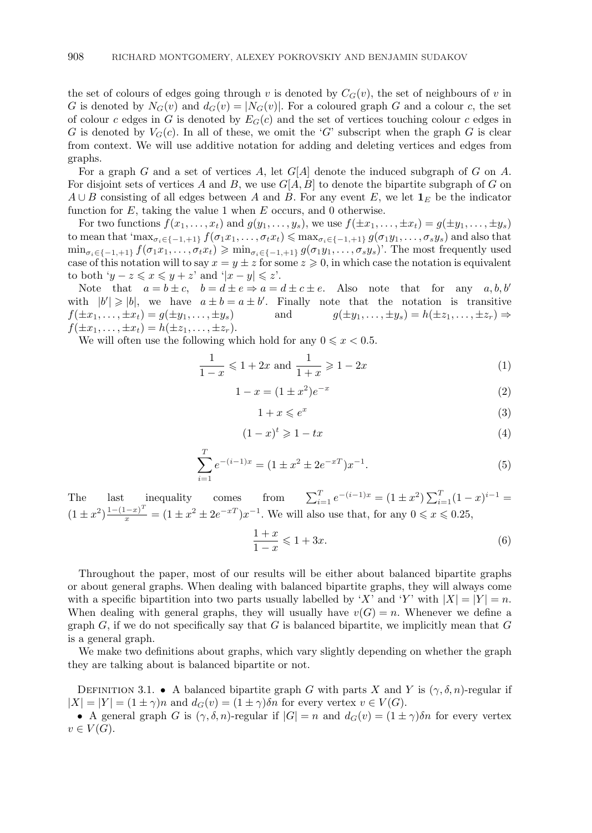<span id="page-9-0"></span>the set of colours of edges going through v is denoted by  $C_G(v)$ , the set of neighbours of v in G is denoted by  $N_G(v)$  and  $d_G(v) = |N_G(v)|$ . For a coloured graph G and a colour c, the set of colour c edges in G is denoted by  $E_G(c)$  and the set of vertices touching colour c edges in G is denoted by  $V_G(c)$ . In all of these, we omit the 'G' subscript when the graph G is clear from context. We will use additive notation for adding and deleting vertices and edges from graphs.

For a graph G and a set of vertices A, let  $G[A]$  denote the induced subgraph of G on A. For disjoint sets of vertices A and B, we use  $G[A, B]$  to denote the bipartite subgraph of G on  $A \cup B$  consisting of all edges between A and B. For any event E, we let  $\mathbf{1}_E$  be the indicator function for  $E$ , taking the value 1 when  $E$  occurs, and 0 otherwise.

For two functions  $f(x_1,\ldots,x_t)$  and  $g(y_1,\ldots,y_s)$ , we use  $f(\pm x_1,\ldots,\pm x_t) = g(\pm y_1,\ldots,\pm y_s)$ to mean that 'max<sub> $\sigma_i \in \{-1,+1\}$ </sub>  $f(\sigma_1 x_1,\ldots,\sigma_t x_t) \leq \max_{\sigma_i \in \{-1,+1\}} g(\sigma_1 y_1,\ldots,\sigma_s y_s)$  and also that  $\min_{\sigma_i \in \{-1,+1\}} f(\sigma_1 x_1,\ldots,\sigma_t x_t) \geqslant \min_{\sigma_i \in \{-1,+1\}} g(\sigma_1 y_1,\ldots,\sigma_s y_s)$ . The most frequently used case of this notation will to say  $x = y \pm z$  for some  $z \geq 0$ , in which case the notation is equivalent to both ' $y - z \leq x \leq y + z$ ' and ' $|x - y| \leq z$ '.

Note that  $a = b \pm c$ ,  $b = d \pm e \Rightarrow a = d \pm c \pm e$ . Also note that for any  $a, b, b'$ with  $|b'| \geq |b|$ , we have  $a \pm b = a \pm b'$ . Finally note that the notation is transitive  $f(\pm x_1,\ldots,\pm x_t)=g(\pm y_1,\ldots,\pm y_s)$  and  $g(\pm y_1,\ldots,\pm y_s)=h(\pm z_1,\ldots,\pm z_r)\Rightarrow$  $f(\pm x_1,\ldots,\pm x_t) = h(\pm z_1,\ldots,\pm z_r).$ 

We will often use the following which hold for any  $0 \leq x < 0.5$ .

$$
\frac{1}{1-x} \leq 1 + 2x \text{ and } \frac{1}{1+x} \geq 1 - 2x \tag{1}
$$

$$
1 - x = (1 \pm x^2)e^{-x}
$$
 (2)

$$
1 + x \leqslant e^x \tag{3}
$$

$$
(1-x)^t \geqslant 1-tx \tag{4}
$$

$$
\sum_{i=1}^{T} e^{-(i-1)x} = (1 \pm x^2 \pm 2e^{-x})x^{-1}.
$$
\n(5)

The last inequality comes from  $\sum_{i=1}^{T} e^{-(i-1)x} = (1 \pm x^2) \sum_{i=1}^{T} (1-x)^{i-1} =$  $(1 \pm x^2) \frac{1-(1-x)^T}{x} = (1 \pm x^2 \pm 2e^{-x}) x^{-1}$ . We will also use that, for any  $0 \le x \le 0.25$ ,

$$
\frac{1+x}{1-x} \leqslant 1+3x.\tag{6}
$$

Throughout the paper, most of our results will be either about balanced bipartite graphs or about general graphs. When dealing with balanced bipartite graphs, they will always come with a specific bipartition into two parts usually labelled by 'X' and 'Y' with  $|X| = |Y| = n$ . When dealing with general graphs, they will usually have  $v(G) = n$ . Whenever we define a graph  $G$ , if we do not specifically say that  $G$  is balanced bipartite, we implicitly mean that  $G$ is a general graph.

We make two definitions about graphs, which vary slightly depending on whether the graph they are talking about is balanced bipartite or not.

DEFINITION 3.1. • A balanced bipartite graph G with parts X and Y is  $(\gamma, \delta, n)$ -regular if  $|X| = |Y| = (1 \pm \gamma)n$  and  $d_G(v) = (1 \pm \gamma)\delta n$  for every vertex  $v \in V(G)$ .

• A general graph G is  $(\gamma, \delta, n)$ -regular if  $|G| = n$  and  $d_G(v) = (1 \pm \gamma)\delta n$  for every vertex  $v \in V(G).$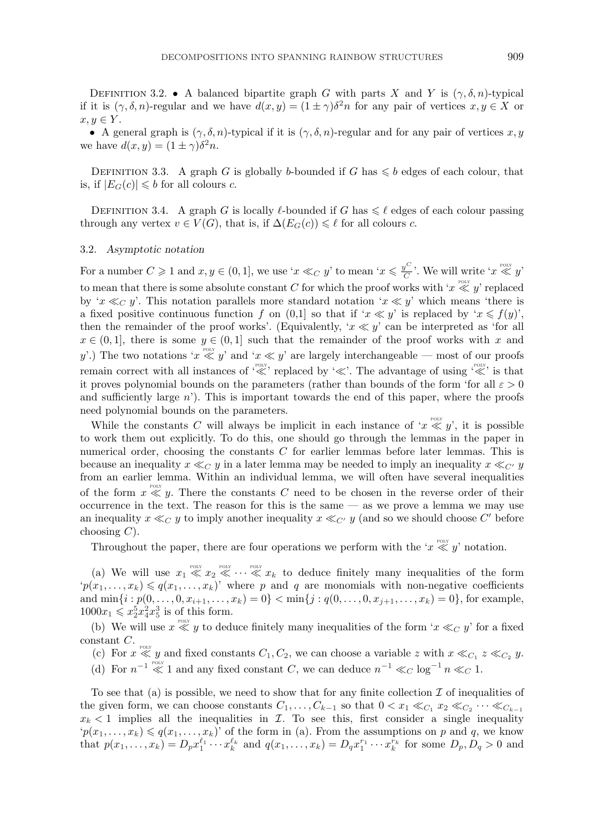DEFINITION 3.2. • A balanced bipartite graph G with parts X and Y is  $(\gamma, \delta, n)$ -typical if it is  $(\gamma, \delta, n)$ -regular and we have  $d(x, y) = (1 \pm \gamma)\delta^2 n$  for any pair of vertices  $x, y \in X$  or  $x, y \in Y$ .

• A general graph is  $(\gamma, \delta, n)$ -typical if it is  $(\gamma, \delta, n)$ -regular and for any pair of vertices x, y we have  $d(x, y) = (1 \pm \gamma)\delta^2 n$ .

DEFINITION 3.3. A graph G is globally b-bounded if G has  $\leq b$  edges of each colour, that is, if  $|E_G(c)| \leq b$  for all colours c.

DEFINITION 3.4. A graph G is locally  $\ell$ -bounded if G has  $\leq \ell$  edges of each colour passing through any vertex  $v \in V(G)$ , that is, if  $\Delta(E_G(c)) \leq \ell$  for all colours c.

#### 3.2. *Asymptotic notation*

For a number  $C \geqslant 1$  and  $x, y \in (0, 1]$ , we use ' $x \ll_C y$ ' to mean ' $x \leqslant \frac{y^C}{C}$ '. We will write ' $x \ll y$ ' to mean that there is some absolute constant C for which the proof works with ' $x \ll y$ ' replaced by ' $x \ll_C y$ '. This notation parallels more standard notation ' $x \ll y$ ' which means 'there is a fixed positive continuous function f on  $(0,1]$  so that if ' $x \ll y$ ' is replaced by ' $x \leq f(y)$ ', then the remainder of the proof works'. (Equivalently, ' $x \ll y$ ' can be interpreted as 'for all  $x \in (0,1]$ , there is some  $y \in (0,1]$  such that the remainder of the proof works with x and y'.) The two notations ' $x \ll y'$  and ' $x \ll y'$  are largely interchangeable — most of our proofs remain correct with all instances of ''' replaced by '''. The advantage of using ''' is that it proves polynomial bounds on the parameters (rather than bounds of the form 'for all  $\varepsilon > 0$ and sufficiently large  $n'$ ). This is important towards the end of this paper, where the proofs need polynomial bounds on the parameters.

While the constants C will always be implicit in each instance of ' $x \ll y'$ , it is possible to work them out explicitly. To do this, one should go through the lemmas in the paper in numerical order, choosing the constants C for earlier lemmas before later lemmas. This is because an inequality  $x \ll_C y$  in a later lemma may be needed to imply an inequality  $x \ll_{C'} y$ from an earlier lemma. Within an individual lemma, we will often have several inequalities of the form  $x \ll y$ . There the constants C need to be chosen in the reverse order of their occurrence in the text. The reason for this is the same — as we prove a lemma we may use an inequality  $x \ll_C y$  to imply another inequality  $x \ll_{C'} y$  (and so we should choose C' before choosing  $C$ ).

Throughout the paper, there are four operations we perform with the ' $x \ll y'$ ' notation.

(a) We will use  $x_1 \ll x_2 \ll \cdots \ll x_k$  to deduce finitely many inequalities of the form  $p(x_1,\ldots,x_k) \leqslant q(x_1,\ldots,x_k)$ ' where p and q are monomials with non-negative coefficients and  $\min\{i : p(0,\ldots,0,x_{i+1},\ldots,x_k)=0\} < \min\{j : q(0,\ldots,0,x_{j+1},\ldots,x_k)=0\}$ , for example,  $1000x_1 \leq x_2^5x_4^2x_5^3$  is of this form.

(b) We will use  $x \ll y$  to deduce finitely many inequalities of the form ' $x \ll_C y$ ' for a fixed

- constant C.<br>
(c) For  $x \ll y$  and fixed constants  $C_1, C_2$ , we can choose a variable z with  $x \ll_{C_1} z \ll_{C_2} y$ .
	- (d) For  $n^{-1} \ll 1$  and any fixed constant C, we can deduce  $n^{-1} \ll_C \log^{-1} n \ll_C 1$ .

To see that (a) is possible, we need to show that for any finite collection  $\mathcal I$  of inequalities of the given form, we can choose constants  $C_1, \ldots, C_{k-1}$  so that  $0 < x_1 \ll_{C_1} x_2 \ll_{C_2} \cdots \ll_{C_{k-1}}$  $x_k < 1$  implies all the inequalities in  $\mathcal I$ . To see this, first consider a single inequality  $p(x_1,...,x_k) \leq q(x_1,...,x_k)$ ' of the form in (a). From the assumptions on p and q, we know that  $p(x_1,...,x_k) = D_p x_1^{\ell_1} \cdots x_k^{\ell_k}$  and  $q(x_1,...,x_k) = D_q x_1^{r_1} \cdots x_k^{r_k}$  for some  $D_p, D_q > 0$  and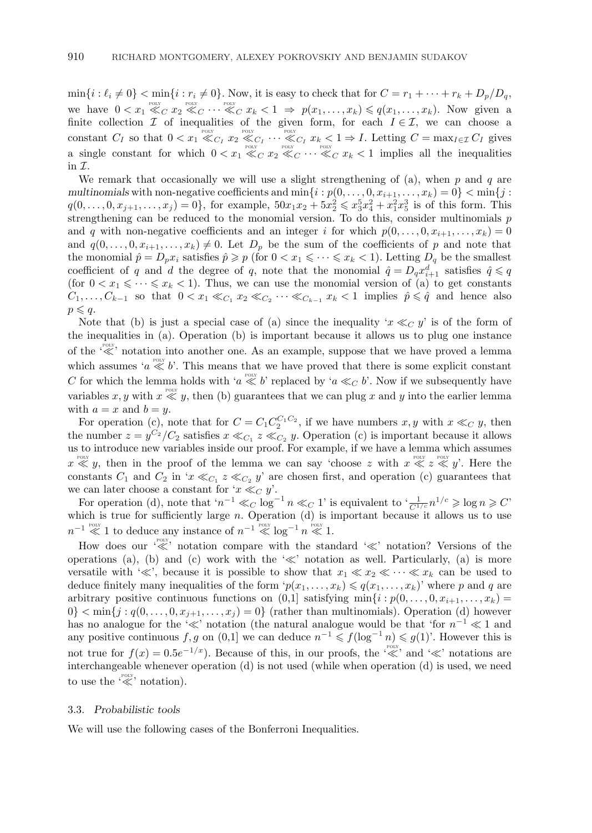$\min\{i: \ell_i \neq 0\} < \min\{i: r_i \neq 0\}$ . Now, it is easy to check that for  $C = r_1 + \cdots + r_k + D_p/D_q$ , we have  $0 < x_1 \ll_C x_2 \ll_C \cdots \ll_C x_k < 1 \Rightarrow p(x_1,\ldots,x_k) \leqslant q(x_1,\ldots,x_k)$ . Now given a finite collection  $\mathcal I$  of inequalities of the given form, for each  $I \in \mathcal I$ , we can choose a constant  $C_I$  so that  $0 < x_1 \ll_{C_I} x_2 \ll_{C_I} \cdots \ll_{C_I} x_k < 1 \Rightarrow I$ . Letting  $C = \max_{I \in \mathcal{I}} C_I$  gives a single constant for which  $0 < x_1 \ll_C x_2 \ll_C \cdots \ll_C x_k < 1$  implies all the inequalities in  $\mathcal I$ .

We remark that occasionally we will use a slight strengthening of (a), when  $p$  and  $q$  are *multinomials* with non-negative coefficients and  $\min\{i : p(0,\ldots,0,x_{i+1},\ldots,x_k)=0\} < \min\{j :$  $q(0,\ldots,0,x_{j+1},\ldots,x_j) = 0\},\text{ for example, } 50x_1x_2 + 5x_2^2 \leqslant x_3^5x_4^2 + x_1^2x_5^3$  is of this form. This strengthening can be reduced to the monomial version. To do this, consider multinomials p and q with non-negative coefficients and an integer i for which  $p(0,\ldots, 0, x_{i+1},\ldots, x_k)=0$ and  $q(0,\ldots,0,x_{i+1},\ldots,x_k) \neq 0$ . Let  $D_p$  be the sum of the coefficients of p and note that the monomial  $\hat{p} = D_p x_i$  satisfies  $\hat{p} \geqslant p$  (for  $0 < x_1 \leqslant \cdots \leqslant x_k < 1$ ). Letting  $D_q$  be the smallest coefficient of q and d the degree of q, note that the monomial  $\hat{q} = D_q x_{i+1}^d$  satisfies  $\hat{q} \leqslant q$ (for  $0 < x_1 \leq \cdots \leq x_k < 1$ ). Thus, we can use the monomial version of (a) to get constants  $C_1, \ldots, C_{k-1}$  so that  $0 < x_1 \ll_{C_1} x_2 \ll_{C_2} \cdots \ll_{C_{k-1}} x_k < 1$  implies  $\hat{p} \leq \hat{q}$  and hence also  $p \leqslant q$ .

Note that (b) is just a special case of (a) since the inequality ' $x \ll_C y$ ' is of the form of the inequalities in (a). Operation (b) is important because it allows us to plug one instance of the  $\sqrt{\ll}$  notation into another one. As an example, suppose that we have proved a lemma which assumes ' $a \ll b'$ . This means that we have proved that there is some explicit constant C for which the lemma holds with 'a  $\ll b$ ' replaced by 'a  $\ll_C b$ '. Now if we subsequently have variables x, y with  $x \ll y$ , then (b) guarantees that we can plug x and y into the earlier lemma with  $a = x$  and  $b = y$ .

For operation (c), note that for  $C = C_1 C_2^{C_1 C_2}$ , if we have numbers  $x, y$  with  $x \ll_C y$ , then the number  $z = y^{C_2}/C_2$  satisfies  $x \ll_{C_1} z \ll_{C_2} y$ . Operation (c) is important because it allows us to introduce new variables inside our proof. For example, if we have a lemma which assumes  $x \ll y$ , then in the proof of the lemma we can say 'choose z with  $x \ll z \ll y$ '. Here the constants  $C_1$  and  $C_2$  in ' $x \ll_{C_1} z \ll_{C_2} y'$  are chosen first, and operation (c) guarantees that we can later choose a constant for ' $x \ll_C y$ '.

For operation (d), note that ' $n^{-1} \ll_C \log^{-1} n \ll_C 1$ ' is equivalent to ' $\frac{1}{C^{1/c}} n^{1/c} \geqslant \log n \geqslant C'$ which is true for sufficiently large  $n$ . Operation (d) is important because it allows us to use  $n^{-1}$  « 1 to deduce any instance of  $n^{-1}$  «  $\log^{-1} n$  « 1.

How does our  $\overbrace{\ll}^{\text{pour}}$  notation compare with the standard ' $\ll$ ' notation? Versions of the operations (a), (b) and (c) work with the  $\ll$  notation as well. Particularly, (a) is more versatile with ' $\ll$ ', because it is possible to show that  $x_1 \ll x_2 \ll \cdots \ll x_k$  can be used to deduce finitely many inequalities of the form  $p(x_1,\ldots,x_k) \leqslant q(x_1,\ldots,x_k)$ ' where p and q are arbitrary positive continuous functions on  $(0,1]$  satisfying min $\{i: p(0,\ldots,0,x_{i+1},\ldots,x_k)\}$  $0\}<\min\{j:q(0,\ldots,0,x_{j+1},\ldots,x_j)=0\}$  (rather than multinomials). Operation (d) however has no analogue for the ' $\ll$ ' notation (the natural analogue would be that 'for  $n^{-1} \ll 1$  and any positive continuous f, g on  $(0,1]$  we can deduce  $n^{-1} \leq f(\log^{-1} n) \leq g(1)$ . However this is not true for  $f(x) = 0.5e^{-1/x}$ ). Because of this, in our proofs, the ' $\ll$ ' and ' $\ll$ ' notations are interchangeable whenever operation (d) is not used (while when operation (d) is used, we need to use the  $\stackrel{\text{POLY}}{\ll}$  notation).

## 3.3. *Probabilistic tools*

We will use the following cases of the Bonferroni Inequalities.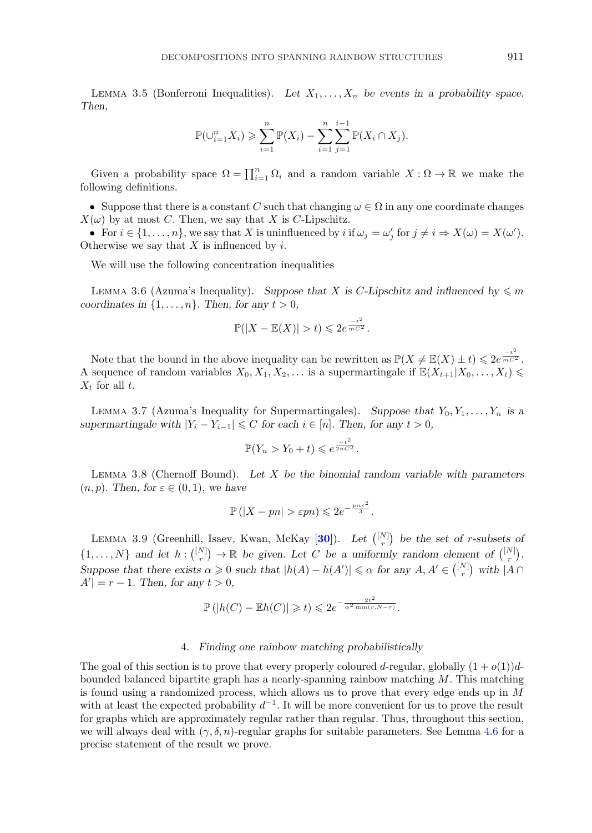<span id="page-12-0"></span>LEMMA 3.5 (Bonferroni Inequalities). Let  $X_1, \ldots, X_n$  be events in a probability space. *Then,*

$$
\mathbb{P}(\bigcup_{i=1}^{n} X_i) \geqslant \sum_{i=1}^{n} \mathbb{P}(X_i) - \sum_{i=1}^{n} \sum_{j=1}^{i-1} \mathbb{P}(X_i \cap X_j).
$$

Given a probability space  $\Omega = \prod_{i=1}^n \Omega_i$  and a random variable  $X : \Omega \to \mathbb{R}$  we make the following definitions.

• Suppose that there is a constant C such that changing  $\omega \in \Omega$  in any one coordinate changes  $X(\omega)$  by at most C. Then, we say that X is C-Lipschitz.

• For  $i \in \{1, \ldots, n\}$ , we say that X is uninfluenced by  $i$  if  $\omega_j = \omega'_j$  for  $j \neq i \Rightarrow X(\omega) = X(\omega')$ . Otherwise we say that  $X$  is influenced by  $i$ .

We will use the following concentration inequalities

LEMMA 3.6 (Azuma's Inequality). *Suppose that* X is C-Lipschitz and influenced by  $\leq m$ *coordinates in*  $\{1, \ldots, n\}$ *. Then, for any*  $t > 0$ *,* 

$$
\mathbb{P}(|X - \mathbb{E}(X)| > t) \leq 2e^{\frac{-t^2}{mC^2}}.
$$

Note that the bound in the above inequality can be rewritten as  $\mathbb{P}(X \neq \mathbb{E}(X) \pm t) \leq 2e^{\frac{-t^2}{mC^2}}$ . A sequence of random variables  $X_0, X_1, X_2, \ldots$  is a supermartingale if  $\mathbb{E}(X_{t+1}|X_0,\ldots,X_t)$  $X_t$  for all t.

LEMMA 3.7 (Azuma's Inequality for Supermartingales). Suppose that  $Y_0, Y_1, \ldots, Y_n$  is a *supermartingale with*  $|Y_i - Y_{i-1}| \leq C$  *for each*  $i \in [n]$ *. Then, for any*  $t > 0$ *,* 

$$
\mathbb{P}(Y_n > Y_0 + t) \leqslant e^{\frac{-t^2}{2nC^2}}.
$$

Lemma 3.8 (Chernoff Bound). *Let* X *be the binomial random variable with parameters*  $(n, p)$ *. Then, for*  $\varepsilon \in (0, 1)$ *, we have* 

$$
\mathbb{P}\left(|X - pn| > \varepsilon pn\right) \leqslant 2e^{-\frac{pn\varepsilon^2}{3}}.
$$

LEMMA 3.9 (Greenhill, Isaev, Kwan, McKay  $[30]$  $[30]$  $[30]$ ). Let  $\binom{[N]}{r}$  be the set of *r*-subsets of  $\{1,\ldots,N\}$  and let  $h: \binom{[N]}{r} \to \mathbb{R}$  be given. Let C be a uniformly random element of  $\binom{[N]}{r}$ . *Suppose that there exists*  $\alpha \geq 0$  *such that*  $|h(A) - h(A')| \leq \alpha$  for any  $A, A' \in \binom{[N]}{r}$  with  $|A \cap A'|$  $A' = r - 1$ *. Then, for any*  $t > 0$ *,* 

$$
\mathbb{P}(|h(C) - \mathbb{E}h(C)| \geq t) \leq 2e^{-\frac{2t^2}{\alpha^2 \min(r, N-r)}}.
$$

# 4. *Finding one rainbow matching probabilistically*

The goal of this section is to prove that every properly coloured d-regular, globally  $(1+o(1))d$ bounded balanced bipartite graph has a nearly-spanning rainbow matching  $M$ . This matching is found using a randomized process, which allows us to prove that every edge ends up in M with at least the expected probability  $d^{-1}$ . It will be more convenient for us to prove the result for graphs which are approximately regular rather than regular. Thus, throughout this section, we will always deal with  $(\gamma, \delta, n)$ -regular graphs for suitable parameters. See Lemma [4.6](#page-19-0) for a precise statement of the result we prove.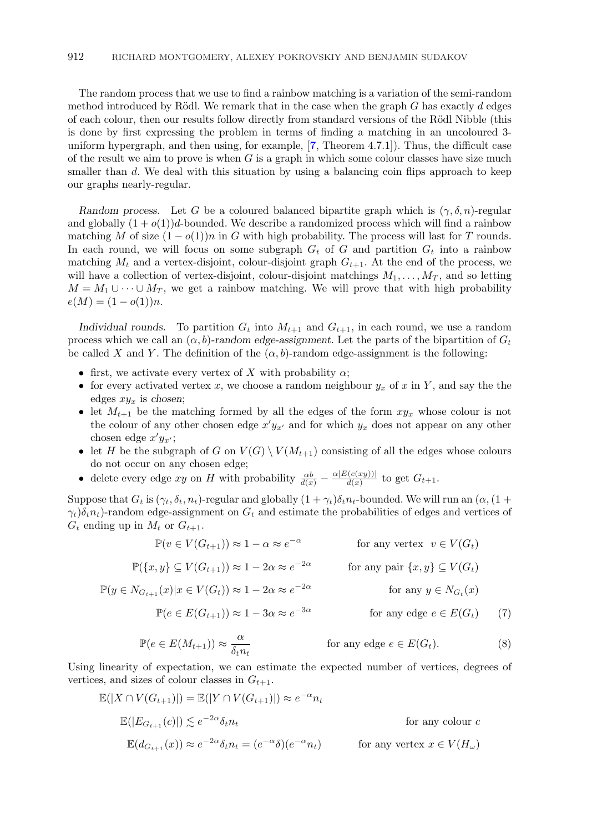<span id="page-13-0"></span>The random process that we use to find a rainbow matching is a variation of the semi-random method introduced by Rödl. We remark that in the case when the graph  $G$  has exactly  $d$  edges of each colour, then our results follow directly from standard versions of the Rödl Nibble (this is done by first expressing the problem in terms of finding a matching in an uncoloured 3 uniform hypergraph, and then using, for example, [**[7](#page-59-0)**, Theorem 4.7.1]). Thus, the difficult case of the result we aim to prove is when  $G$  is a graph in which some colour classes have size much smaller than d. We deal with this situation by using a balancing coin flips approach to keep our graphs nearly-regular.

*Random process.* Let G be a coloured balanced bipartite graph which is  $(\gamma, \delta, n)$ -regular and globally  $(1 + o(1))d$ -bounded. We describe a randomized process which will find a rainbow matching M of size  $(1 - o(1))n$  in G with high probability. The process will last for T rounds. In each round, we will focus on some subgraph  $G_t$  of G and partition  $G_t$  into a rainbow matching  $M_t$  and a vertex-disjoint, colour-disjoint graph  $G_{t+1}$ . At the end of the process, we will have a collection of vertex-disjoint, colour-disjoint matchings  $M_1, \ldots, M_T$ , and so letting  $M = M_1 \cup \cdots \cup M_T$ , we get a rainbow matching. We will prove that with high probability  $e(M) = (1 - o(1))n$ .

*Individual rounds.* To partition  $G_t$  into  $M_{t+1}$  and  $G_{t+1}$ , in each round, we use a random process which we call an  $(\alpha, b)$ -random edge-assignment. Let the parts of the bipartition of  $G_t$ be called X and Y. The definition of the  $(\alpha, b)$ -random edge-assignment is the following:

- first, we activate every vertex of X with probability  $\alpha$ ;
- for every activated vertex x, we choose a random neighbour  $y_x$  of x in Y, and say the the edges  $xy_x$  is *chosen*;
- let  $M_{t+1}$  be the matching formed by all the edges of the form  $xy_x$  whose colour is not the colour of any other chosen edge  $x'y_{x'}$  and for which  $y_x$  does not appear on any other chosen edge  $x'y_{x'}$ ;
- let H be the subgraph of G on  $V(G) \setminus V(M_{t+1})$  consisting of all the edges whose colours do not occur on any chosen edge;
- delete every edge xy on H with probability  $\frac{\alpha b}{d(x)} \frac{\alpha |E(c(xy))|}{d(x)}$  to get  $G_{t+1}$ .

Suppose that  $G_t$  is  $(\gamma_t, \delta_t, n_t)$ -regular and globally  $(1 + \gamma_t)\delta_t n_t$ -bounded. We will run an  $(\alpha, (1 +$  $\gamma_t$ ) $\delta_t n_t$ )-random edge-assignment on  $G_t$  and estimate the probabilities of edges and vertices of  $G_t$  ending up in  $M_t$  or  $G_{t+1}$ .

$$
\mathbb{P}(v \in V(G_{t+1})) \approx 1 - \alpha \approx e^{-\alpha} \qquad \text{for any vertex } v \in V(G_t)
$$

$$
\mathbb{P}(\{x, y\} \subseteq V(G_{t+1})) \approx 1 - 2\alpha \approx e^{-2\alpha} \qquad \text{for any pair } \{x, y\} \subseteq V(G_t)
$$

$$
\mathbb{P}(y \in N_{G_{t+1}}(x) | x \in V(G_t)) \approx 1 - 2\alpha \approx e^{-2\alpha} \qquad \text{for any } y \in N_{G_t}(x)
$$

$$
\mathbb{P}(e \in E(G_{t+1})) \approx 1 - 3\alpha \approx e^{-3\alpha} \qquad \text{for any edge } e \in E(G_t) \qquad (7)
$$

$$
\mathbb{P}(e \in E(M_{t+1})) \approx \frac{\alpha}{\delta_t n_t} \quad \text{for any edge } e \in E(G_t). \tag{8}
$$

Using linearity of expectation, we can estimate the expected number of vertices, degrees of vertices, and sizes of colour classes in  $G_{t+1}$ .

$$
\mathbb{E}(|X \cap V(G_{t+1})|) = \mathbb{E}(|Y \cap V(G_{t+1})|) \approx e^{-\alpha} n_t
$$
  
\n
$$
\mathbb{E}(|E_{G_{t+1}}(c)|) \lesssim e^{-2\alpha} \delta_t n_t
$$
 for any colour  $c$   
\n
$$
\mathbb{E}(d_{G_{t+1}}(x)) \approx e^{-2\alpha} \delta_t n_t = (e^{-\alpha} \delta)(e^{-\alpha} n_t)
$$
 for any vertex  $x \in V(H_\omega)$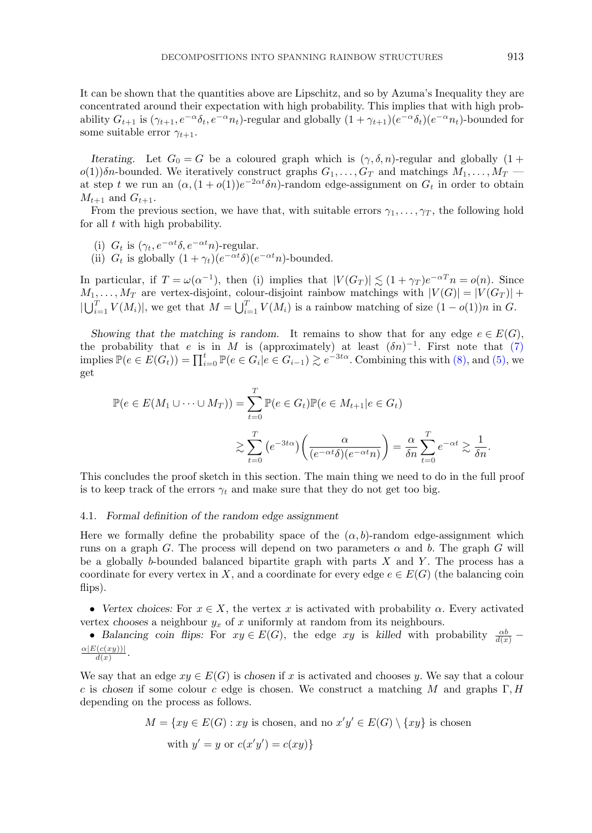It can be shown that the quantities above are Lipschitz, and so by Azuma's Inequality they are concentrated around their expectation with high probability. This implies that with high probability  $G_{t+1}$  is  $(\gamma_{t+1}, e^{-\alpha} \delta_t, e^{-\alpha} n_t)$ -regular and globally  $(1 + \gamma_{t+1})(e^{-\alpha} \delta_t)(e^{-\alpha} n_t)$ -bounded for some suitable error  $\gamma_{t+1}$ .

*Iterating.* Let  $G_0 = G$  be a coloured graph which is  $(\gamma, \delta, n)$ -regular and globally  $(1 +$  $o(1)$ )δn-bounded. We iteratively construct graphs  $G_1, \ldots, G_T$  and matchings  $M_1, \ldots, M_T$ at step t we run an  $(\alpha,(1+o(1))e^{-2\alpha t}\delta n)$ -random edge-assignment on  $G_t$  in order to obtain  $M_{t+1}$  and  $G_{t+1}$ .

From the previous section, we have that, with suitable errors  $\gamma_1, \ldots, \gamma_T$ , the following hold for all  $t$  with high probability.

- (i)  $G_t$  is  $(\gamma_t, e^{-\alpha t} \delta, e^{-\alpha t} n)$ -regular.
- (ii)  $G_t$  is globally  $(1 + \gamma_t)(e^{-\alpha t}\delta)(e^{-\alpha t}n)$ -bounded.

In particular, if  $T = \omega(\alpha^{-1})$ , then (i) implies that  $|V(G_T)| \lesssim (1 + \gamma_T) e^{-\alpha T} n = o(n)$ . Since  $M_1, \ldots, M_T$  are vertex-disjoint, colour-disjoint rainbow matchings with  $|V(G)| = |V(G_T)| +$  $|\bigcup_{i=1}^T V(M_i)|$ , we get that  $M = \bigcup_{i=1}^T V(M_i)$  is a rainbow matching of size  $(1 - o(1))n$  in G.

*Showing that the matching is random.* It remains to show that for any edge  $e \in E(G)$ , the probability that e is in M is (approximately) at least  $(\delta n)^{-1}$ . First note that [\(7\)](#page-13-0) implies  $\mathbb{P}(e \in E(G_t)) = \prod_{i=0}^t \mathbb{P}(e \in G_i | e \in G_{i-1}) \gtrsim e^{-3t\alpha}$ . Combining this with [\(8\),](#page-13-0) and [\(5\),](#page-9-0) we get

$$
\mathbb{P}(e \in E(M_1 \cup \dots \cup M_T)) = \sum_{t=0}^T \mathbb{P}(e \in G_t) \mathbb{P}(e \in M_{t+1}|e \in G_t)
$$
  

$$
\gtrsim \sum_{t=0}^T \left(e^{-3t\alpha}\right) \left(\frac{\alpha}{(e^{-\alpha t}\delta)(e^{-\alpha t}n)}\right) = \frac{\alpha}{\delta n} \sum_{t=0}^T e^{-\alpha t} \gtrsim \frac{1}{\delta n}.
$$

This concludes the proof sketch in this section. The main thing we need to do in the full proof is to keep track of the errors  $\gamma_t$  and make sure that they do not get too big.

# 4.1. *Formal definition of the random edge assignment*

Here we formally define the probability space of the  $(\alpha, b)$ -random edge-assignment which runs on a graph G. The process will depend on two parameters  $\alpha$  and b. The graph G will be a globally b-bounded balanced bipartite graph with parts  $X$  and  $Y$ . The process has a coordinate for every vertex in X, and a coordinate for every edge  $e \in E(G)$  (the balancing coin flips).

• *Vertex choices:* For  $x \in X$ , the vertex x is activated with probability  $\alpha$ . Every activated vertex *chooses* a neighbour  $y_x$  of x uniformly at random from its neighbours.

• *Balancing coin flips:* For  $xy \in E(G)$ , the edge xy is killed with probability  $\frac{\alpha b}{d(x)}$  $\frac{\alpha |E(c(xy))|}{d(x)}.$ 

We say that an edge  $xy \in E(G)$  is *chosen* if x is activated and chooses y. We say that a colour c is chosen if some colour c edge is chosen. We construct a matching M and graphs  $\Gamma, H$ depending on the process as follows.

$$
M = \{ xy \in E(G) : xy \text{ is chosen, and no } x'y' \in E(G) \setminus \{ xy \} \text{ is chosen}
$$
  
with  $y' = y$  or  $c(x'y') = c(xy)$ }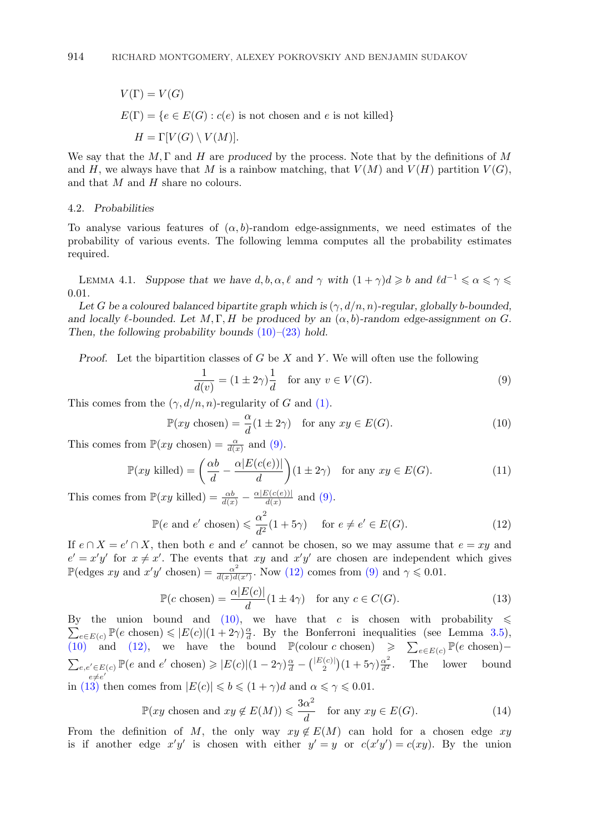<span id="page-15-0"></span>
$$
V(\Gamma) = V(G)
$$
  
 
$$
E(\Gamma) = \{e \in E(G) : c(e) \text{ is not chosen and } e \text{ is not killed}\}
$$
  
 
$$
H = \Gamma[V(G) \setminus V(M)].
$$

We say that the  $M, \Gamma$  and H are *produced* by the process. Note that by the definitions of M and H, we always have that M is a rainbow matching, that  $V(M)$  and  $V(H)$  partition  $V(G)$ , and that  $M$  and  $H$  share no colours.

# 4.2. *Probabilities*

To analyse various features of  $(\alpha, b)$ -random edge-assignments, we need estimates of the probability of various events. The following lemma computes all the probability estimates required.

LEMMA 4.1. Suppose that we have  $d, b, \alpha, \ell$  and  $\gamma$  with  $(1 + \gamma)d \geqslant b$  and  $\ell d^{-1} \leqslant \alpha \leqslant \gamma \leqslant$ 0.01*.*

Let *G* be a coloured balanced bipartite graph which is  $(\gamma, d/n, n)$ -regular, globally b-bounded, *and locally*  $\ell$ -bounded. Let  $M, \Gamma, H$  be produced by an  $(\alpha, b)$ -random edge-assignment on G. *Then, the following probability bounds* (10)*–*[\(23\)](#page-17-0) *hold.*

*Proof.* Let the bipartition classes of G be X and Y. We will often use the following

$$
\frac{1}{d(v)} = (1 \pm 2\gamma)\frac{1}{d} \quad \text{for any } v \in V(G). \tag{9}
$$

This comes from the  $(\gamma, d/n, n)$ -regularity of G and [\(1\).](#page-9-0)

$$
\mathbb{P}(xy \text{ chosen}) = \frac{\alpha}{d}(1 \pm 2\gamma) \quad \text{for any } xy \in E(G). \tag{10}
$$

This comes from  $\mathbb{P}(xy \text{ chosen}) = \frac{\alpha}{d(x)}$  and (9).

$$
\mathbb{P}(xy \text{ killed}) = \left(\frac{\alpha b}{d} - \frac{\alpha |E(c(e))|}{d}\right) (1 \pm 2\gamma) \quad \text{for any } xy \in E(G). \tag{11}
$$

This comes from  $\mathbb{P}(xy \text{ killed}) = \frac{\alpha b}{d(x)} - \frac{\alpha |E(c(e))|}{d(x)}$  and (9).

$$
\mathbb{P}(e \text{ and } e' \text{ chosen}) \leq \frac{\alpha^2}{d^2} (1 + 5\gamma) \quad \text{for } e \neq e' \in E(G). \tag{12}
$$

If  $e \cap X = e' \cap X$ , then both e and e' cannot be chosen, so we may assume that  $e = xy$  and  $e' = x'y'$  for  $x \neq x'$ . The events that xy and  $x'y'$  are chosen are independent which gives  $\mathbb{P}(\text{edges } xy \text{ and } x'y' \text{ chosen}) = \frac{\alpha^2}{d(x)d(x')}$ . Now (12) comes from (9) and  $\gamma \leq 0.01$ .

$$
\mathbb{P}(c \text{ chosen}) = \frac{\alpha |E(c)|}{d} (1 \pm 4\gamma) \quad \text{for any } c \in C(G). \tag{13}
$$

 $\sum_{e\in E(c)}^{\infty} \mathbb{P}(e \text{ chosen}) \leqslant |E(c)|(1+2\gamma)\frac{\alpha}{d}$ . By the Bonferroni inequalities (see Lemma [3.5\)](#page-12-0), By the union bound and (10), we have that c is chosen with probability  $\leq$ (10) and (12), we have the bound  $\mathbb{P}(\text{colour } c \text{ chosen}) \geqslant \sum_{e \in E(c)} \mathbb{P}(e \text{ chosen})$  $\sum_{e,e'\in E(c)}$  $e'_{e \in E(c)} \mathbb{P}(e \text{ and } e' \text{ chosen}) \geqslant |E(c)| (1 - 2\gamma) \frac{\alpha}{d} - {\binom{|E(c)|}{2}} (1 + 5\gamma) \frac{\alpha^2}{d^2}.$  The lower bound  $e \neq e'$ in (13) then comes from  $|E(c)| \leq b \leq (1 + \gamma)d$  and  $\alpha \leq \gamma \leq 0.01$ .

$$
\mathbb{P}(xy \text{ chosen and } xy \notin E(M)) \leqslant \frac{3\alpha^2}{d} \quad \text{for any } xy \in E(G). \tag{14}
$$

From the definition of M, the only way  $xy \notin E(M)$  can hold for a chosen edge xy is if another edge  $x'y'$  is chosen with either  $y' = y$  or  $c(x'y') = c(xy)$ . By the union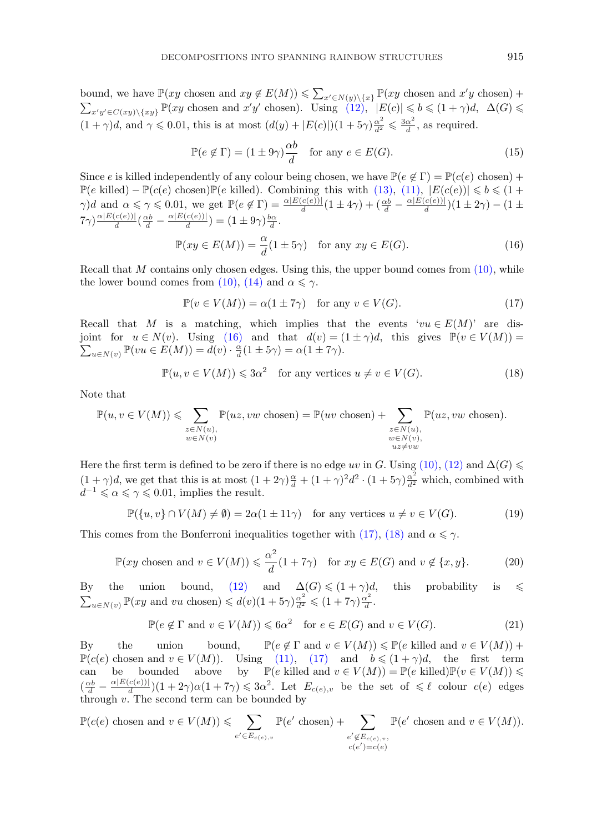<span id="page-16-0"></span>bound, we have  $\mathbb{P}(xy \text{ chosen and } xy \notin E(M)) \leq \sum_{x' \in N(y) \setminus \{x\}} \mathbb{P}(xy \text{ chosen and } x'y \text{ chosen}) +$  $\sum_{x'y' \in C(xy) \setminus \{xy\}} \mathbb{P}(xy \text{ chosen and } x'y' \text{ chosen}).$  Using  $(12)$ ,  $|E(c)| \leqslant b \leqslant (1 + \gamma)d$ ,  $\Delta(G) \leqslant$  $(1 + \gamma)d$ , and  $\gamma \leqslant 0.01$ , this is at most  $(d(y) + |E(c)|)(1 + 5\gamma)\frac{\alpha^2}{d^2} \leqslant \frac{3\alpha^2}{d}$ , as required.

$$
\mathbb{P}(e \notin \Gamma) = (1 \pm 9\gamma) \frac{\alpha b}{d} \quad \text{for any } e \in E(G). \tag{15}
$$

Since e is killed independently of any colour being chosen, we have  $\mathbb{P}(e \notin \Gamma) = \mathbb{P}(c(e) \text{ chosen}) +$  $\mathbb{P}(e \text{ killed}) - \mathbb{P}(c(e) \text{ chosen})\mathbb{P}(e \text{ killed})$ . Combining this with [\(13\),](#page-15-0) [\(11\),](#page-15-0)  $|E(c(e))| \leq b \leq (1 +$  $\gamma$ )d and  $\alpha \leq \gamma \leq 0.01$ , we get  $\mathbb{P}(e \notin \Gamma) = \frac{\alpha |E(c(e))|}{d}(1 \pm 4\gamma) + (\frac{\alpha b}{d} - \frac{\alpha |E(c(e))|}{d})(1 \pm 2\gamma) - (1 \pm 4\gamma)$  $(7\gamma)^{\alpha|E(c(e))| \over d}(\frac{\alpha b}{d} - \frac{\alpha|E(c(e))|}{d}) = (1 \pm 9\gamma)\frac{b\alpha}{d}.$ 

$$
\mathbb{P}(xy \in E(M)) = \frac{\alpha}{d}(1 \pm 5\gamma) \quad \text{for any } xy \in E(G). \tag{16}
$$

Recall that  $M$  contains only chosen edges. Using this, the upper bound comes from  $(10)$ , while the lower bound comes from [\(10\),](#page-15-0) [\(14\)](#page-15-0) and  $\alpha \leq \gamma$ .

$$
\mathbb{P}(v \in V(M)) = \alpha(1 \pm 7\gamma) \quad \text{for any } v \in V(G). \tag{17}
$$

Recall that M is a matching, which implies that the events ' $vu \in E(M)$ ' are disjoint for  $u \in N(v)$ . Using (16) and that  $d(v) = (1 \pm \gamma)d$ , this gives  $\mathbb{P}(v \in V(M))$  $\sum_{u\in N(v)} \mathbb{P}(vu \in E(M)) = \tilde{d}(v) \cdot \frac{\alpha}{d}(1 \pm 5\gamma) = \alpha(1 \pm 7\gamma).$ 

$$
\mathbb{P}(u, v \in V(M)) \leq 3\alpha^2 \quad \text{for any vertices } u \neq v \in V(G). \tag{18}
$$

Note that

$$
\mathbb{P}(u, v \in V(M)) \leqslant \sum_{\substack{z \in N(u), \\ w \in N(v)}} \mathbb{P}(uz, vw \text{ chosen}) = \mathbb{P}(uv \text{ chosen}) + \sum_{\substack{z \in N(u), \\ w \in N(v), \\ uz \neq vw}} \mathbb{P}(uz, vw \text{ chosen}).
$$

Here the first term is defined to be zero if there is no edge uv in G. Using [\(10\),](#page-15-0) [\(12\)](#page-15-0) and  $\Delta(G)$  $(1+\gamma)d$ , we get that this is at most  $(1+2\gamma)\frac{\alpha}{d}+(1+\gamma)^2d^2\cdot(1+5\gamma)\frac{\alpha^2}{d^2}$  which, combined with  $d^{-1} \le \alpha \le \gamma \le 0.01$ , implies the result.

$$
\mathbb{P}(\{u, v\} \cap V(M) \neq \emptyset) = 2\alpha (1 \pm 11\gamma) \quad \text{for any vertices } u \neq v \in V(G). \tag{19}
$$

This comes from the Bonferroni inequalities together with (17), (18) and  $\alpha \leq \gamma$ .

$$
\mathbb{P}(xy \text{ chosen and } v \in V(M)) \leq \frac{\alpha^2}{d}(1+7\gamma) \quad \text{for } xy \in E(G) \text{ and } v \notin \{x, y\}. \tag{20}
$$

By the union bound, [\(12\)](#page-15-0) and  $\Delta(G) \leq (1 + \gamma)d$ , this probability is  $\leq$  $\sum_{u \in N(v)} \mathbb{P}(xy \text{ and } vu \text{ chosen}) \leq d(v)(1+5\gamma)\frac{\alpha^2}{d^2} \leq (1+7\gamma)\frac{\alpha^2}{d}.$ 

$$
\mathbb{P}(e \notin \Gamma \text{ and } v \in V(M)) \leq 6\alpha^2 \quad \text{for } e \in E(G) \text{ and } v \in V(G). \tag{21}
$$

 $\mathbf{B} \mathbf{v}$  the union bound,  $\mathbb{P}(e \notin \Gamma \text{ and } v \in V(M)) \leq \mathbb{P}(e \text{ killed and } v \in V(M)) +$  $\mathbb{P}(c(e)$  chosen and  $v \in V(M)$ ). Using [\(11\),](#page-15-0) (17) and  $b \leq (1 + \gamma)d$ , the first term can be bounded above by  $\mathbb{P}(e \text{ killed and } v \in V(M)) = \mathbb{P}(e \text{ killed})\mathbb{P}(v \in V(M)) \leq$  $(\frac{\alpha b}{d} - \frac{\alpha |E(c(e))|}{d})(1+2\gamma)\alpha(1+7\gamma) \leqslant 3\alpha^2$ . Let  $E_{c(e),v}$  be the set of  $\leqslant \ell$  colour  $c(e)$  edges through  $v$ . The second term can be bounded by

$$
\mathbb{P}(c(e) \text{ chosen and } v \in V(M)) \leqslant \sum_{e' \in E_{c(e),v}} \mathbb{P}(e' \text{ chosen}) + \sum_{\substack{e' \notin E_{c(e),v}, \\ c(e') = c(e)}} \mathbb{P}(e' \text{ chosen and } v \in V(M)).
$$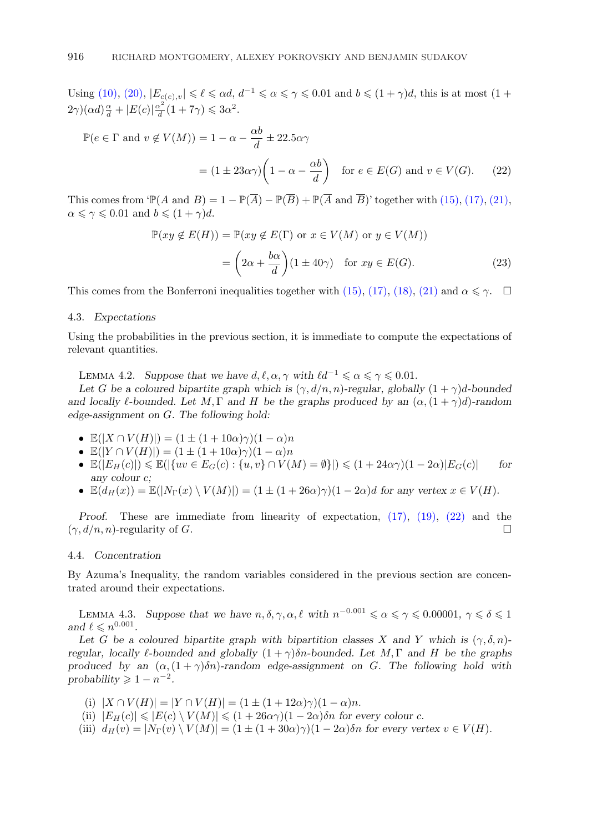<span id="page-17-0"></span>Using [\(10\),](#page-15-0) [\(20\),](#page-16-0)  $|E_{c(e),v}| \leq \ell \leq \alpha d$ ,  $d^{-1} \leq \alpha \leq \gamma \leq 0.01$  and  $b \leq (1+\gamma)d$ , this is at most (1+  $(2\gamma)(\alpha d)\frac{\alpha}{d} + |E(c)|\frac{\alpha^2}{d}(1+7\gamma) \leq 3\alpha^2.$ 

$$
\mathbb{P}(e \in \Gamma \text{ and } v \notin V(M)) = 1 - \alpha - \frac{\alpha b}{d} \pm 22.5\alpha \gamma
$$

$$
= (1 \pm 23\alpha \gamma) \left(1 - \alpha - \frac{\alpha b}{d}\right) \text{ for } e \in E(G) \text{ and } v \in V(G). \tag{22}
$$

This comes from 'P(A and B) = 1 – P( $\overline{A}$ ) – P( $\overline{B}$ ) + P( $\overline{A}$  and  $\overline{B}$ )' together with [\(15\),](#page-16-0) [\(17\),](#page-16-0) [\(21\),](#page-16-0)  $\alpha \leq \gamma \leq 0.01$  and  $b \leq (1 + \gamma)d$ .

$$
\mathbb{P}(xy \notin E(H)) = \mathbb{P}(xy \notin E(\Gamma) \text{ or } x \in V(M) \text{ or } y \in V(M))
$$

$$
= \left(2\alpha + \frac{b\alpha}{d}\right)(1 \pm 40\gamma) \text{ for } xy \in E(G).
$$
 (23)

This comes from the Bonferroni inequalities together with [\(15\),](#page-16-0) [\(17\),](#page-16-0) [\(18\),](#page-16-0) [\(21\)](#page-16-0) and  $\alpha \leq \gamma$ .

# 4.3. *Expectations*

Using the probabilities in the previous section, it is immediate to compute the expectations of relevant quantities.

LEMMA 4.2. *Suppose that we have*  $d, \ell, \alpha, \gamma$  *with*  $\ell d^{-1} \leq \alpha \leq \gamma \leq 0.01$ *.* 

Let *G* be a coloured bipartite graph which is  $(\gamma, d/n, n)$ -regular, globally  $(1 + \gamma)d$ -bounded *and locally*  $\ell$ -bounded. Let  $M, \Gamma$  *and*  $H$  be the graphs produced by an  $(\alpha, (1 + \gamma)d)$ -random *edge-assignment on* G*. The following hold:*

- $\mathbb{E}(|X \cap V(H)|) = (1 \pm (1 + 10\alpha)\gamma)(1 \alpha)n$
- $\mathbb{E}(|Y \cap V(H)|) = (1 \pm (1 + 10\alpha)\gamma)(1 \alpha)n$
- $\mathbb{E}(|E_H(c)|) \le \mathbb{E}(|\{uv \in E_G(c) : \{u, v\} \cap V(M) = \emptyset\}|) \le (1 + 24\alpha\gamma)(1 2\alpha)|E_G(c)|$  *for any colour* c*;*
- $\mathbb{E}(d_H(x)) = \mathbb{E}(|N_{\Gamma}(x) \setminus V(M)|) = (1 \pm (1 + 26\alpha)\gamma)(1 2\alpha)d$  for any vertex  $x \in V(H)$ *.*

*Proof.* These are immediate from linearity of expectation, [\(17\),](#page-16-0) [\(19\),](#page-16-0) (22) and the  $(\gamma, d/n, n)$ -regularity of G.

# 4.4. *Concentration*

By Azuma's Inequality, the random variables considered in the previous section are concentrated around their expectations.

LEMMA 4.3. Suppose that we have  $n, \delta, \gamma, \alpha, \ell$  with  $n^{-0.001} \le \alpha \le \gamma \le 0.00001$ ,  $\gamma \le \delta \le 1$ and  $\ell \leq n^{0.001}$ .

Let G be a coloured bipartite graph with bipartition classes X and Y which is  $(\gamma, \delta, n)$ *regular, locally*  $\ell$ -bounded and globally  $(1 + \gamma)\delta n$ -bounded. Let M, Γ and H be the graphs *produced by an*  $(\alpha, (1 + \gamma)\delta n)$ *-random edge-assignment on G. The following hold with*  $probability \geqslant 1 - n^{-2}$ .

- (i)  $|X \cap V(H)| = |Y \cap V(H)| = (1 \pm (1 + 12\alpha)\gamma)(1 \alpha)n$ .
- (ii)  $|E_H(c)| \leq |E(c) \setminus V(M)| \leq (1 + 26\alpha \gamma)(1 2\alpha)\delta n$  for every colour c.
- (iii)  $d_H(v) = |N_{\Gamma}(v) \setminus V(M)| = (1 \pm (1 + 30\alpha)\gamma)(1 2\alpha)\delta n$  for every vertex  $v \in V(H)$ .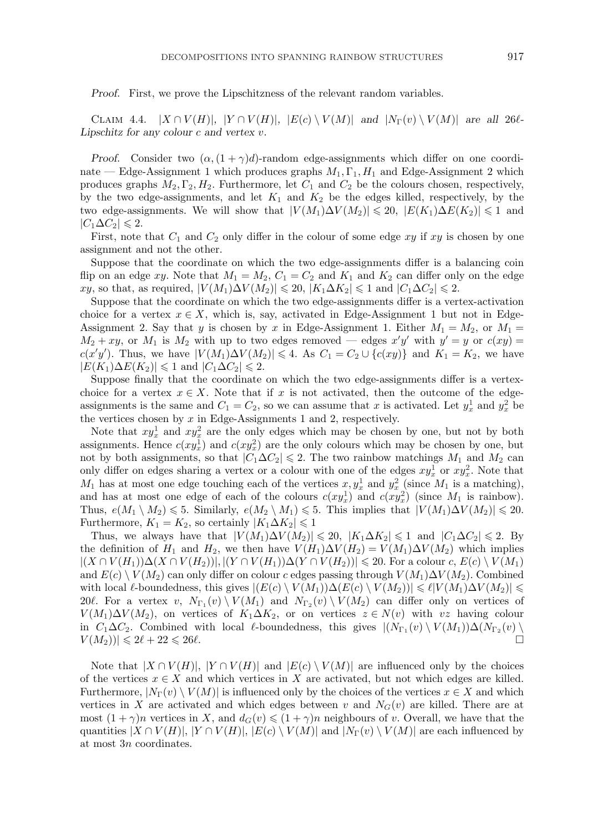*Proof.* First, we prove the Lipschitzness of the relevant random variables.

CLAIM 4.4.  $|X \cap V(H)|$ ,  $|Y \cap V(H)|$ ,  $|E(c) \setminus V(M)|$  *and*  $|N_{\Gamma}(v) \setminus V(M)|$  *are all 260-Lipschitz for any colour* c *and vertex* v*.*

*Proof.* Consider two  $(\alpha, (1 + \gamma)d)$ -random edge-assignments which differ on one coordinate — Edge-Assignment 1 which produces graphs  $M_1$ ,  $\Gamma_1$ ,  $H_1$  and Edge-Assignment 2 which produces graphs  $M_2, \Gamma_2, H_2$ . Furthermore, let  $C_1$  and  $C_2$  be the colours chosen, respectively, by the two edge-assignments, and let  $K_1$  and  $K_2$  be the edges killed, respectively, by the two edge-assignments. We will show that  $|V(M_1)\Delta V(M_2)| \leq 20$ ,  $|E(K_1)\Delta E(K_2)| \leq 1$  and  $|C_1\Delta C_2|\leqslant 2.$ 

First, note that  $C_1$  and  $C_2$  only differ in the colour of some edge xy if xy is chosen by one assignment and not the other.

Suppose that the coordinate on which the two edge-assignments differ is a balancing coin flip on an edge xy. Note that  $M_1 = M_2$ ,  $C_1 = C_2$  and  $K_1$  and  $K_2$  can differ only on the edge xy, so that, as required,  $|V(M_1)\Delta V(M_2)| \leq 20$ ,  $|K_1\Delta K_2| \leq 1$  and  $|C_1\Delta C_2| \leq 2$ .

Suppose that the coordinate on which the two edge-assignments differ is a vertex-activation choice for a vertex  $x \in X$ , which is, say, activated in Edge-Assignment 1 but not in Edge-Assignment 2. Say that y is chosen by x in Edge-Assignment 1. Either  $M_1 = M_2$ , or  $M_1 =$  $M_2 + xy$ , or  $M_1$  is  $M_2$  with up to two edges removed — edges  $x'y'$  with  $y' = y$  or  $c(xy) =$  $c(x'y')$ . Thus, we have  $|V(M_1)\Delta V(M_2)| \leq 4$ . As  $C_1 = C_2 \cup \{c(xy)\}\$  and  $K_1 = K_2$ , we have  $|E(K_1)\Delta E(K_2)| \leq 1$  and  $|C_1\Delta C_2| \leq 2$ .

Suppose finally that the coordinate on which the two edge-assignments differ is a vertexchoice for a vertex  $x \in X$ . Note that if x is not activated, then the outcome of the edgeassignments is the same and  $C_1 = C_2$ , so we can assume that x is activated. Let  $y_x^1$  and  $y_x^2$  be the vertices chosen by  $x$  in Edge-Assignments 1 and 2, respectively.

Note that  $xy_x^1$  and  $xy_x^2$  are the only edges which may be chosen by one, but not by both assignments. Hence  $c(xy_x^1)$  and  $c(xy_x^2)$  are the only colours which may be chosen by one, but not by both assignments, so that  $|C_1\Delta C_2| \leq 2$ . The two rainbow matchings  $M_1$  and  $M_2$  can only differ on edges sharing a vertex or a colour with one of the edges  $xy_x^1$  or  $xy_x^2$ . Note that  $M_1$  has at most one edge touching each of the vertices  $x, y_x^1$  and  $y_x^2$  (since  $M_1$  is a matching), and has at most one edge of each of the colours  $c(xy_x^1)$  and  $c(xy_x^2)$  (since  $M_1$  is rainbow). Thus,  $e(M_1 \setminus M_2) \leq 5$ . Similarly,  $e(M_2 \setminus M_1) \leq 5$ . This implies that  $|V(M_1) \Delta V(M_2)| \leq 20$ . Furthermore,  $K_1 = K_2$ , so certainly  $|K_1 \Delta K_2| \leq 1$ 

Thus, we always have that  $|V(M_1)\Delta V(M_2)| \leq 20$ ,  $|K_1\Delta K_2| \leq 1$  and  $|C_1\Delta C_2| \leq 2$ . By the definition of  $H_1$  and  $H_2$ , we then have  $V(H_1)\Delta V(H_2) = V(M_1)\Delta V(M_2)$  which implies  $|(X \cap V(H_1))\Delta(X \cap V(H_2))|, |(Y \cap V(H_1))\Delta(Y \cap V(H_2))| \leq 20$ . For a colour  $c, E(c) \setminus V(M_1)$ and  $E(c) \setminus V(M_2)$  can only differ on colour c edges passing through  $V(M_1) \Delta V(M_2)$ . Combined with local  $\ell$ -boundedness, this gives  $|(E(c) \setminus V(M_1))\Delta(E(c) \setminus V(M_2))| \leq \ell |V(M_1)\Delta V(M_2)| \leq$ 20. For a vertex v,  $N_{\Gamma_1}(v) \setminus V(M_1)$  and  $N_{\Gamma_2}(v) \setminus V(M_2)$  can differ only on vertices of  $V(M_1)\Delta V(M_2)$ , on vertices of  $K_1\Delta K_2$ , or on vertices  $z \in N(v)$  with vz having colour in  $C_1\Delta C_2$ . Combined with local  $\ell$ -boundedness, this gives  $|(N_{\Gamma_1}(v) \setminus V(M_1))\Delta(N_{\Gamma_2}(v))|$  $|V(M_2))| \leq 2\ell + 22 \leq 26\ell.$ 

Note that  $|X \cap V(H)|$ ,  $|Y \cap V(H)|$  and  $|E(c) \setminus V(M)|$  are influenced only by the choices of the vertices  $x \in X$  and which vertices in X are activated, but not which edges are killed. Furthermore,  $|N_{\Gamma}(v) \setminus V(M)|$  is influenced only by the choices of the vertices  $x \in X$  and which vertices in X are activated and which edges between v and  $N_G(v)$  are killed. There are at most  $(1 + \gamma)n$  vertices in X, and  $d_G(v) \leq (1 + \gamma)n$  neighbours of v. Overall, we have that the quantities  $|X \cap V(H)|$ ,  $|Y \cap V(H)|$ ,  $|E(c) \setminus V(M)|$  and  $|N_{\Gamma}(v) \setminus V(M)|$  are each influenced by at most 3n coordinates.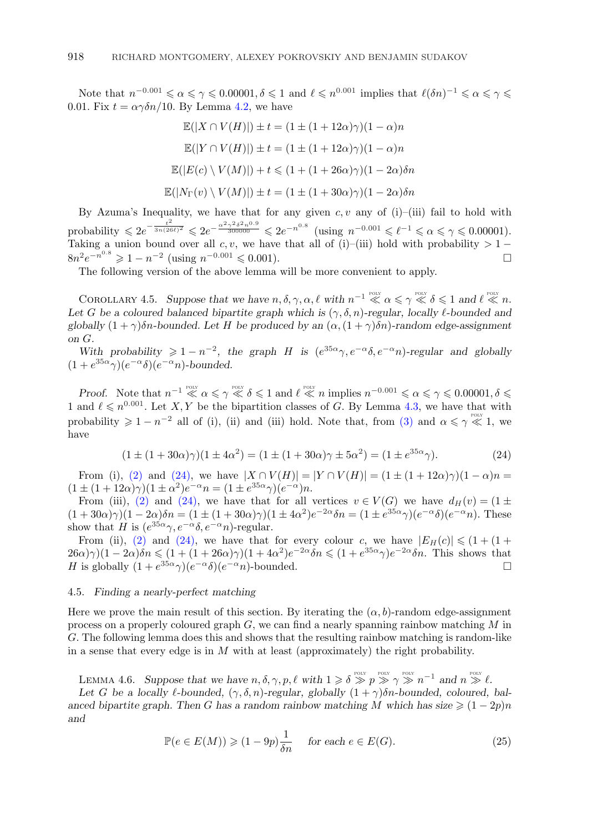<span id="page-19-0"></span>Note that  $n^{-0.001} \le \alpha \le \gamma \le 0.00001, \delta \le 1$  and  $\ell \le n^{0.001}$  implies that  $\ell(\delta n)^{-1} \le \alpha \le \gamma \le 1$ 0.01. Fix  $t = \alpha \gamma \delta n/10$ . By Lemma [4.2,](#page-17-0) we have

$$
\mathbb{E}(|X \cap V(H)|) \pm t = (1 \pm (1 + 12\alpha)\gamma)(1 - \alpha)n
$$

$$
\mathbb{E}(|Y \cap V(H)|) \pm t = (1 \pm (1 + 12\alpha)\gamma)(1 - \alpha)n
$$

$$
\mathbb{E}(|E(c) \setminus V(M)|) + t \le (1 + (1 + 26\alpha)\gamma)(1 - 2\alpha)\delta n
$$

$$
\mathbb{E}(|N_{\Gamma}(v) \setminus V(M)|) \pm t = (1 \pm (1 + 30\alpha)\gamma)(1 - 2\alpha)\delta n
$$

By Azuma's Inequality, we have that for any given  $c, v$  any of (i)–(iii) fail to hold with probability  $\leq 2e^{-\frac{t^2}{3n(26\ell)^2}} \leq 2e^{-\frac{\alpha^2\gamma^2\delta^2n^{0.9}}{300000}} \leq 2e^{-n^{0.8}}$  (using  $n^{-0.001} \leq \ell^{-1} \leq \alpha \leq \gamma \leq 0.00001$ ). Taking a union bound over all c, v, we have that all of (i)–(iii) hold with probability > 1 −  $8n^2e^{-n^{0.8}} \geq 1 - n^{-2}$  (using  $n^{-0.001} \leq 0.001$ ).

The following version of the above lemma will be more convenient to apply.

COROLLARY 4.5. Suppose that we have  $n, \delta, \gamma, \alpha, \ell$  with  $n^{-1} \ll \alpha \leq \gamma \ll \delta \leq 1$  and  $\ell \ll n$ . Let G be a coloured balanced bipartite graph which is  $(\gamma, \delta, n)$ -regular, locally  $\ell$ -bounded and *globally*  $(1 + \gamma)\delta n$ *-bounded. Let* H *be produced by an*  $(\alpha, (1 + \gamma)\delta n)$ *-random edge-assignment on* G*.*

*With probability*  $\geq 1 - n^{-2}$ , the graph H is  $(e^{35\alpha}\gamma, e^{-\alpha}\delta, e^{-\alpha}n)$ -regular and globally  $(1 + e^{35\alpha}\gamma)(e^{-\alpha}\delta)(e^{-\alpha}n)$ -bounded.

*Proof.* Note that  $n^{-1} \ll \alpha \leq \gamma \ll \delta \leq 1$  and  $\ell \ll n$  implies  $n^{-0.001} \leq \alpha \leq \gamma \leq 0.00001, \delta \leq \ell$ 1 and  $\ell \leq n^{0.001}$ . Let X, Y be the bipartition classes of G. By Lemma [4.3,](#page-17-0) we have that with probability  $\geq 1 - n^{-2}$  all of (i), (ii) and (iii) hold. Note that, from [\(3\)](#page-9-0) and  $\alpha \leq \gamma \ll 1$ , we have

$$
(1 \pm (1 + 30\alpha)\gamma)(1 \pm 4\alpha^2) = (1 \pm (1 + 30\alpha)\gamma \pm 5\alpha^2) = (1 \pm e^{35\alpha}\gamma).
$$
 (24)

From (i), [\(2\)](#page-9-0) and (24), we have  $|X \cap V(H)| = |Y \cap V(H)| = (1 \pm (1 + 12\alpha)\gamma)(1 - \alpha)n =$  $(1 \pm (1 + 12\alpha)\gamma)(1 \pm \alpha^2)e^{-\alpha}n = (1 \pm e^{35\alpha}\gamma)(e^{-\alpha})n.$ 

From (iii), [\(2\)](#page-9-0) and (24), we have that for all vertices  $v \in V(G)$  we have  $d_H(v) = (1 \pm \sqrt{2})$  $(1+30\alpha)\gamma(1-2\alpha)\delta n = (1 \pm (1+30\alpha)\gamma)(1 \pm 4\alpha^2)e^{-2\alpha}\delta n = (1 \pm e^{35\alpha}\gamma)(e^{-\alpha}\delta)(e^{-\alpha}n)$ . These show that H is  $(e^{35\alpha}\gamma, e^{-\alpha}\delta, e^{-\alpha}n)$ -regular.

From (ii), [\(2\)](#page-9-0) and (24), we have that for every colour c, we have  $|E_H(c)| \leq (1 + (1 +$  $26\alpha)\gamma(1-2\alpha)\delta n \leq (1+(1+26\alpha)\gamma)(1+4\alpha^2)e^{-2\alpha}\delta n \leq (1+e^{35\alpha}\gamma)e^{-2\alpha}\delta n$ . This shows that H is globally  $(1 + e^{35\alpha}\gamma)(e^{-\alpha}\delta)(e^{-\alpha}n)$ -bounded.

# 4.5. *Finding a nearly-perfect matching*

Here we prove the main result of this section. By iterating the  $(\alpha, b)$ -random edge-assignment process on a properly coloured graph  $G$ , we can find a nearly spanning rainbow matching  $M$  in G. The following lemma does this and shows that the resulting rainbow matching is random-like in a sense that every edge is in  $M$  with at least (approximately) the right probability.

LEMMA 4.6. Suppose that we have  $n, \delta, \gamma, p, \ell \text{ with } 1 \geq \delta \gg p \gg \gamma \gg n^{-1}$  and  $n \gg \ell$ .

Let *G* be a locally  $\ell$ -bounded,  $(\gamma, \delta, n)$ -regular, globally  $(1 + \gamma)\delta n$ -bounded, coloured, bal*anced bipartite graph.* Then G has a random rainbow matching M which has size  $\geq (1 - 2p)n$ *and*

$$
\mathbb{P}(e \in E(M)) \geq (1 - 9p)\frac{1}{\delta n} \quad \text{ for each } e \in E(G). \tag{25}
$$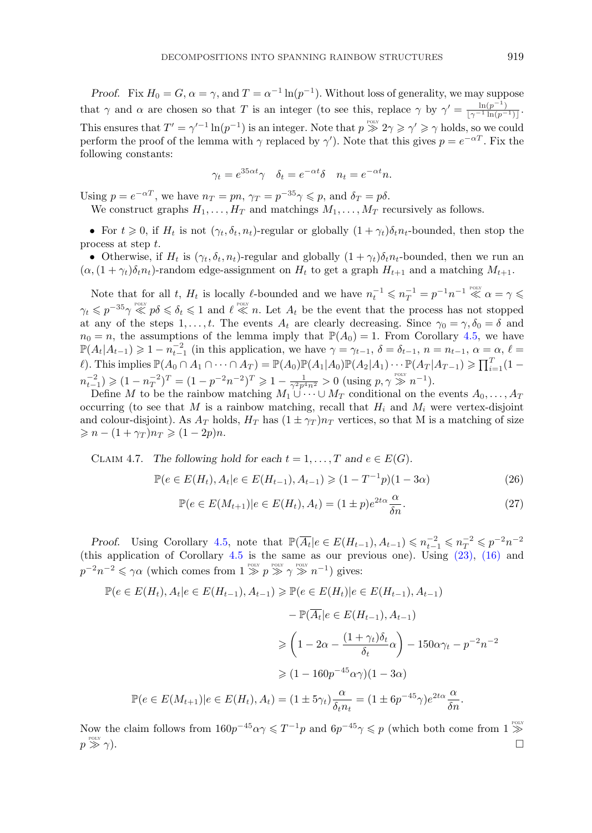<span id="page-20-0"></span>*Proof.* Fix  $H_0 = G$ ,  $\alpha = \gamma$ , and  $T = \alpha^{-1} \ln(p^{-1})$ . Without loss of generality, we may suppose that  $\gamma$  and  $\alpha$  are chosen so that T is an integer (to see this, replace  $\gamma$  by  $\gamma' = \frac{\ln(p^{-1})}{\lfloor \gamma^{-1} \ln(p^{-1}) \rfloor}$ . This ensures that  $T' = \gamma'^{-1} \ln(p^{-1})$  is an integer. Note that  $p \ggg 2\gamma \geq \gamma' \geq \gamma$  holds, so we could perform the proof of the lemma with  $\gamma$  replaced by  $\gamma'$ ). Note that this gives  $p = e^{-\alpha T}$ . Fix the following constants:

$$
\gamma_t = e^{35\alpha t} \gamma \quad \delta_t = e^{-\alpha t} \delta \quad n_t = e^{-\alpha t} n.
$$

Using  $p = e^{-\alpha T}$ , we have  $n_T = pn$ ,  $\gamma_T = p^{-35}\gamma \leqslant p$ , and  $\delta_T = p\delta$ .

We construct graphs  $H_1, \ldots, H_T$  and matchings  $M_1, \ldots, M_T$  recursively as follows.

• For  $t \geq 0$ , if  $H_t$  is not  $(\gamma_t, \delta_t, n_t)$ -regular or globally  $(1 + \gamma_t)\delta_t n_t$ -bounded, then stop the process at step t.

• Otherwise, if  $H_t$  is  $(\gamma_t, \delta_t, n_t)$ -regular and globally  $(1 + \gamma_t)\delta_t n_t$ -bounded, then we run an  $(\alpha,(1+\gamma_t)\delta_t n_t)$ -random edge-assignment on  $H_t$  to get a graph  $H_{t+1}$  and a matching  $M_{t+1}$ .

Note that for all t,  $H_t$  is locally  $\ell$ -bounded and we have  $n_t^{-1} \leqslant n_T^{-1} = p^{-1}n^{-1} \ll \alpha = \gamma \leqslant$  $\gamma_t \leqslant p^{-35}\gamma \ll p\delta \leqslant \delta_t \leqslant 1$  and  $\ell \ll n$ . Let  $A_t$  be the event that the process has not stopped at any of the steps 1,...,t. The events  $A_t$  are clearly decreasing. Since  $\gamma_0 = \gamma$ ,  $\delta_0 = \delta$  and  $n_0 = n$ , the assumptions of the lemma imply that  $\mathbb{P}(A_0) = 1$ . From Corollary [4.5,](#page-19-0) we have  $\mathbb{P}(A_t|A_{t-1}) \geq 1 - n_{t-1}^{-2}$  (in this application, we have  $\gamma = \gamma_{t-1}, \delta = \delta_{t-1}, n = n_{t-1}, \alpha = \alpha, \ell = \alpha$  $\ell$ ). This implies  $\mathbb{P}(A_0 \cap A_1 \cap \cdots \cap A_T) = \mathbb{P}(A_0)\mathbb{P}(A_1|A_0)\mathbb{P}(A_2|A_1)\cdots \mathbb{P}(A_T|A_{T-1}) \geqslant \prod_{i=1}^{T} (1-\ell_i)^{T}$  $n_{t-1}^{-2} \geqslant (1 - n_T^{-2})^T = (1 - p^{-2}n^{-2})^T \geqslant 1 - \frac{1}{\gamma^2 p^4 n^2} > 0$  (using  $p, \gamma \gg n^{-1}$ ).

Define M to be the rainbow matching  $M_1 \cup \cdots \cup M_T$  conditional on the events  $A_0, \ldots, A_T$ occurring (to see that M is a rainbow matching, recall that  $H_i$  and  $M_i$  were vertex-disjoint and colour-disjoint). As  $A_T$  holds,  $H_T$  has  $(1 \pm \gamma_T)n_T$  vertices, so that M is a matching of size  $\geqslant n - (1 + \gamma_T) n_T \geqslant (1 - 2p) n.$ 

CLAIM 4.7. The following hold for each 
$$
t = 1, ..., T
$$
 and  $e \in E(G)$ .

$$
\mathbb{P}(e \in E(H_t), A_t | e \in E(H_{t-1}), A_{t-1}) \geq (1 - T^{-1}p)(1 - 3\alpha) \tag{26}
$$

$$
\mathbb{P}(e \in E(M_{t+1}) | e \in E(H_t), A_t) = (1 \pm p)e^{2t\alpha} \frac{\alpha}{\delta n}.
$$
\n(27)

*Proof.* Using Corollary [4.5,](#page-19-0) note that  $\mathbb{P}(\overline{A_t}|e \in E(H_{t-1}), A_{t-1}) \leq n_t^{-2} \leq n_T^{-2} \leq p^{-2}n^{-2}$ (this application of Corollary [4.5](#page-19-0) is the same as our previous one). Using [\(23\),](#page-17-0) [\(16\)](#page-16-0) and  $p^{-2}n^{-2} \leq \gamma \alpha$  (which comes from  $1 \overset{_{\text{pour}}}{\gg} p \overset{_{\text{pour}}}{\gg} \gamma \overset{_{\text{pour}}}{\gg} n^{-1}$ ) gives:

$$
\mathbb{P}(e \in E(H_t), A_t | e \in E(H_{t-1}), A_{t-1}) \ge \mathbb{P}(e \in E(H_t)|e \in E(H_{t-1}), A_{t-1})
$$
  

$$
-\mathbb{P}(\overline{A_t} | e \in E(H_{t-1}), A_{t-1})
$$
  

$$
\ge \left(1 - 2\alpha - \frac{(1 + \gamma_t)\delta_t}{\delta_t}\alpha\right) - 150\alpha\gamma_t - p^{-2}n^{-2}
$$
  

$$
\ge (1 - 160p^{-45}\alpha\gamma)(1 - 3\alpha)
$$
  

$$
\mathbb{P}(e \in E(M_{t+1}) | e \in E(H_t), A_t) = (1 \pm 5\gamma_t) \frac{\alpha}{\delta_t n_t} = (1 \pm 6p^{-45}\gamma)e^{2t\alpha} \frac{\alpha}{\delta n}.
$$

Now the claim follows from  $160p^{-45}\alpha\gamma \leq T^{-1}p$  and  $6p^{-45}\gamma \leqslant p$  (which both come from  $1 \gg$  $p \gg \gamma$ ).  $\gg \gamma$ ).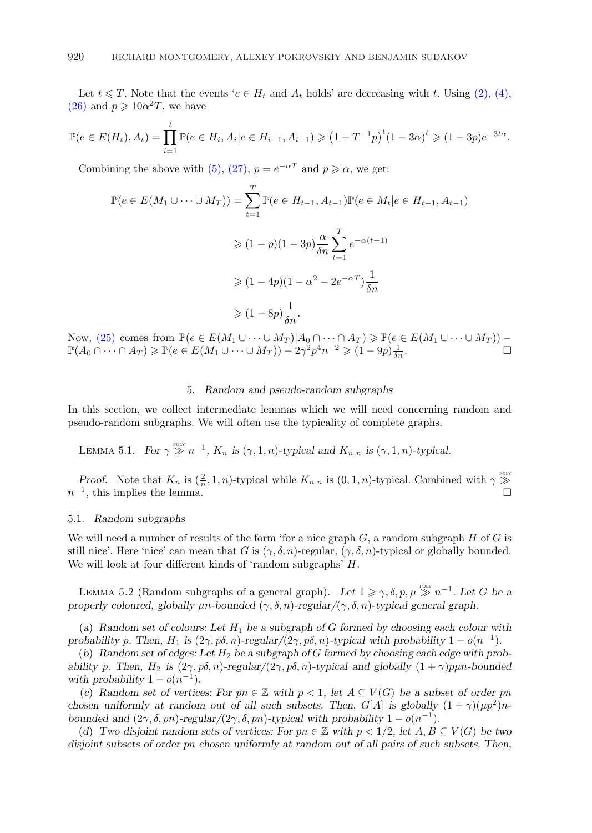<span id="page-21-0"></span>Let  $t \leq T$ . Note that the events ' $e \in H_t$  and  $A_t$  holds' are decreasing with t. Using [\(2\),](#page-9-0) [\(4\),](#page-9-0) [\(26\)](#page-20-0) and  $p \geqslant 10\alpha^2 T$ , we have

$$
\mathbb{P}(e \in E(H_t), A_t) = \prod_{i=1}^t \mathbb{P}(e \in H_i, A_i | e \in H_{i-1}, A_{i-1}) \geq (1 - T^{-1}p)^t (1 - 3\alpha)^t \geq (1 - 3p)e^{-3t\alpha}.
$$

Combining the above with [\(5\),](#page-9-0) [\(27\),](#page-20-0)  $p = e^{-\alpha T}$  and  $p \ge \alpha$ , we get:

$$
\mathbb{P}(e \in E(M_1 \cup \dots \cup M_T)) = \sum_{t=1}^T \mathbb{P}(e \in H_{t-1}, A_{t-1}) \mathbb{P}(e \in M_t | e \in H_{t-1}, A_{t-1})
$$
  
\n
$$
\geq (1-p)(1-3p) \frac{\alpha}{\delta n} \sum_{t=1}^T e^{-\alpha(t-1)}
$$
  
\n
$$
\geq (1-4p)(1-\alpha^2 - 2e^{-\alpha T}) \frac{1}{\delta n}
$$
  
\n
$$
\geq (1-8p) \frac{1}{\delta n}.
$$

Now,  $(25)$  comes from  $\mathbb{P}(e \in E(M_1 \cup \dots \cup M_T)|A_0 \cap \dots \cap A_T) \ge \mathbb{P}(e \in E(M_1 \cup \dots \cup M_T))$  –  $\mathbb{P}(\overline{A_0 \cap \cdots \cap A_T}) \geqslant \mathbb{P}(e \in E(M_1 \cup \cdots \cup M_T)) - 2\gamma^2 p^4 n^{-2} \geqslant (1 - 9p) \frac{1}{\delta n}.$ 

## 5. *Random and pseudo-random subgraphs*

In this section, we collect intermediate lemmas which we will need concerning random and pseudo-random subgraphs. We will often use the typicality of complete graphs.

LEMMA 5.1. *For*  $\gamma \gg n^{-1}$ ,  $K_n$  *is*  $(\gamma, 1, n)$ *-typical and*  $K_{n,n}$  *is*  $(\gamma, 1, n)$ *-typical.* 

*Proof.* Note that  $K_n$  is  $(\frac{2}{n}, 1, n)$ -typical while  $K_{n,n}$  is  $(0, 1, n)$ -typical. Combined with  $\gamma \gg$  $n^{-1}$ , this implies the lemma.

#### 5.1. *Random subgraphs*

We will need a number of results of the form 'for a nice graph  $G$ , a random subgraph  $H$  of  $G$  is still nice'. Here 'nice' can mean that G is  $(\gamma, \delta, n)$ -regular,  $(\gamma, \delta, n)$ -typical or globally bounded. We will look at four different kinds of 'random subgraphs' H.

LEMMA 5.2 (Random subgraphs of a general graph). Let  $1 \geq \gamma, \delta, p, \mu \geq n^{-1}$ . Let G be a *properly coloured, globally*  $\mu$ *n-bounded* ( $\gamma$ ,  $\delta$ , *n*)*-regular*/( $\gamma$ ,  $\delta$ , *n*)*-typical general graph.* 

(*a*) *Random set of colours: Let* H<sup>1</sup> *be a subgraph of* G *formed by choosing each colour with probability* p. Then,  $H_1$  *is*  $(2\gamma, p\delta, n)$ *-regular* $/(2\gamma, p\delta, n)$ *-typical with probability*  $1 - o(n^{-1})$ *.* 

(*b*) *Random set of edges: Let* H<sup>2</sup> *be a subgraph of* G *formed by choosing each edge with probability* p. Then,  $H_2$  *is*  $(2\gamma, p\delta, n)$ *-regular*/ $(2\gamma, p\delta, n)$ *-typical and globally*  $(1 + \gamma)p\mu n$ *-bounded with probability*  $1 - o(n^{-1})$ *.* 

(*c*) Random set of vertices: For  $pn \in \mathbb{Z}$  with  $p < 1$ , let  $A \subseteq V(G)$  be a subset of order pn *chosen uniformly at random out of all such subsets. Then,*  $G[A]$  *is globally*  $(1 + \gamma)(\mu p^2)n$ *bounded and*  $(2\gamma, \delta, pn)$ *-regular*/ $(2\gamma, \delta, pn)$ *-typical with probability*  $1 - o(n^{-1})$ *.* 

(*d*) *Two disjoint random sets of vertices: For*  $pn \in \mathbb{Z}$  *with*  $p < 1/2$ *, let*  $A, B \subseteq V(G)$  *be two disjoint subsets of order* pn *chosen uniformly at random out of all pairs of such subsets. Then,*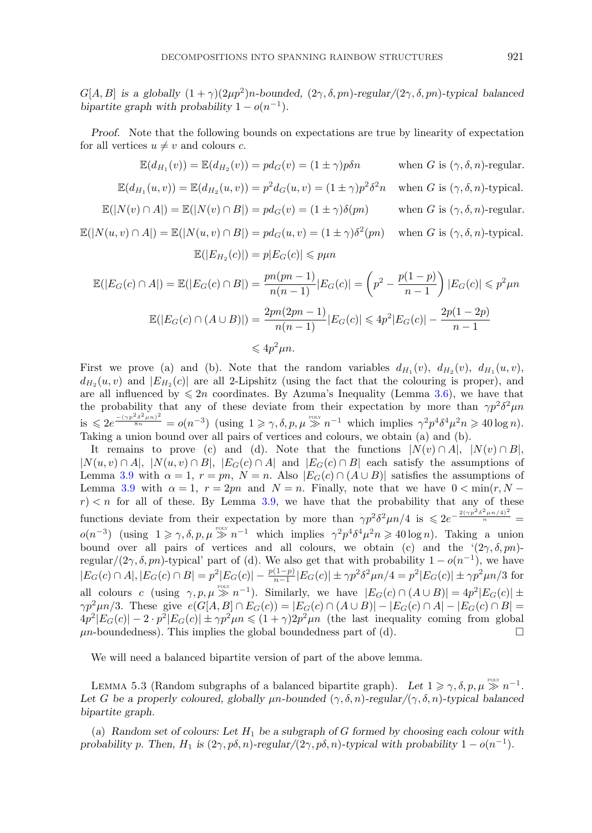<span id="page-22-0"></span>G[A, B] is a globally  $(1 + \gamma)(2\mu p^2)n$ *-bounded,*  $(2\gamma, \delta, pn)$ *-regular*/ $(2\gamma, \delta, pn)$ *-typical balanced bipartite graph with probability*  $1 - o(n^{-1})$ *.* 

*Proof.* Note that the following bounds on expectations are true by linearity of expectation for all vertices  $u \neq v$  and colours c.

$$
\mathbb{E}(d_{H_1}(v)) = \mathbb{E}(d_{H_2}(v)) = pd_G(v) = (1 \pm \gamma)p\delta n \qquad \text{when } G \text{ is } (\gamma, \delta, n)\text{-regular.}
$$

$$
\mathbb{E}(d_{H_1}(u, v)) = \mathbb{E}(d_{H_2}(u, v)) = p^2 d_G(u, v) = (1 \pm \gamma)p^2 \delta^2 n \quad \text{when } G \text{ is } (\gamma, \delta, n)\text{-typical.}
$$

$$
\mathbb{E}(|N(v) \cap A|) = \mathbb{E}(|N(v) \cap B|) = pd_G(v) = (1 \pm \gamma)\delta(pn) \qquad \text{when } G \text{ is } (\gamma, \delta, n)\text{-regular.}
$$

$$
\mathbb{E}(|N(u, v) \cap A|) = \mathbb{E}(|N(u, v) \cap B|) = pd_G(u, v) = (1 \pm \gamma)\delta^2(pn) \qquad \text{when } G \text{ is } (\gamma, \delta, n)\text{-typical.}
$$

$$
\mathbb{E}(|E_{H_2}(c)|) = p|E_G(c)| \leq p\mu n
$$

$$
\mathbb{E}(|E_G(c) \cap A|) = \mathbb{E}(|E_G(c) \cap B|) = \frac{pn(pn-1)}{n(n-1)}|E_G(c)| = \left(p^2 - \frac{p(1-p)}{n-1}\right)|E_G(c)| \le p^2\mu n
$$
  

$$
\mathbb{E}(|E_G(c) \cap (A \cup B)|) = \frac{2pn(2pn-1)}{n(n-1)}|E_G(c)| \le 4p^2|E_G(c)| - \frac{2p(1-2p)}{n-1}
$$
  

$$
\le 4p^2\mu n.
$$

First we prove (a) and (b). Note that the random variables  $d_{H_1}(v)$ ,  $d_{H_2}(v)$ ,  $d_{H_1}(u, v)$ ,  $d_{H_2}(u, v)$  and  $|E_{H_2}(c)|$  are all 2-Lipshitz (using the fact that the colouring is proper), and are all influenced by  $\leq 2n$  coordinates. By Azuma's Inequality (Lemma [3.6\)](#page-12-0), we have that the probability that any of these deviate from their expectation by more than  $\gamma p^2 \delta^2 \mu n$  $\text{is } \leqslant 2e^{\frac{-(\gamma p^2 \delta^2 \mu n)^2}{8n}} = o(n^{-3}) \text{ (using } 1 \geqslant \gamma, \delta, p, \mu \gg n^{-1} \text{ which implies } \gamma^2 p^4 \delta^4 \mu^2 n \geqslant 40 \log n).$ Taking a union bound over all pairs of vertices and colours, we obtain (a) and (b).

It remains to prove (c) and (d). Note that the functions  $|N(v) \cap A|, |N(v) \cap B|$ ,  $|N(u, v) \cap A|$ ,  $|N(u, v) \cap B|$ ,  $|E_G(c) \cap A|$  and  $|E_G(c) \cap B|$  each satisfy the assumptions of Lemma [3.9](#page-12-0) with  $\alpha = 1$ ,  $r = pn$ ,  $N = n$ . Also  $|E_G(c) \cap (A \cup B)|$  satisfies the assumptions of Lemma [3.9](#page-12-0) with  $\alpha = 1$ ,  $r = 2pn$  and  $N = n$ . Finally, note that we have  $0 < \min(r, N - 1)$  $r$   $\leq$  n for all of these. By Lemma [3.9,](#page-12-0) we have that the probability that any of these functions deviate from their expectation by more than  $\gamma p^2 \delta^2 \mu n/4$  is  $\leq 2e^{-\frac{2(\gamma p^2 \delta^2 \mu n/4)^2}{n}}$  $o(n^{-3})$  (using  $1 \geq \gamma, \delta, p, \mu \geq n^{-1}$  which implies  $\gamma^2 p^4 \delta^4 \mu^2 n \geq 40 \log n$ ). Taking a union bound over all pairs of vertices and all colours, we obtain (c) and the  $(2\gamma, \delta, pn)$ regular/(2 $\gamma$ ,  $\delta$ , pn)-typical' part of (d). We also get that with probability  $1 - o(n^{-1})$ , we have  $|E_G(c) \cap A|, |E_G(c) \cap B| = p^2 |E_G(c)| - \frac{p(1-p)}{n-1} |E_G(c)| \pm \gamma p^2 \delta^2 \mu n/4 = p^2 |E_G(c)| \pm \gamma p^2 \mu n/3$  for all colours c (using  $\gamma, p, \mu \gg n^{-1}$ ). Similarly, we have  $|E_G(c) \cap (A \cup B)| = 4p^2|E_G(c)| \pm$  $\gamma p^2 \mu n/3$ . These give  $e(G[A, B] \cap E_G(c)) = |E_G(c) \cap (A \cup B)| - |E_G(c) \cap A| - |E_G(c) \cap B|$  $4p^2|E_G(c)| - 2 \cdot p^2|E_G(c)| \pm \gamma p^2 \mu n \leq (1 + \gamma)2p^2 \mu n$  (the last inequality coming from global  $\mu$ n-boundedness). This implies the global boundedness part of (d).

We will need a balanced bipartite version of part of the above lemma.

LEMMA 5.3 (Random subgraphs of a balanced bipartite graph). Let  $1 \ge \gamma$ ,  $\delta$ ,  $p$ ,  $\mu \ge 0$  n<sup>-1</sup>. Let *G* be a properly coloured, globally  $\mu$ n-bounded  $(\gamma, \delta, n)$ -regular/ $(\gamma, \delta, n)$ -typical balanced *bipartite graph.*

(*a*) *Random set of colours: Let* H<sup>1</sup> *be a subgraph of* G *formed by choosing each colour with probability* p*.* Then,  $H_1$  *is*  $(2\gamma, p\delta, n)$ *-regular* $/(2\gamma, p\delta, n)$ *-typical with probability*  $1 - o(n^{-1})$ *.*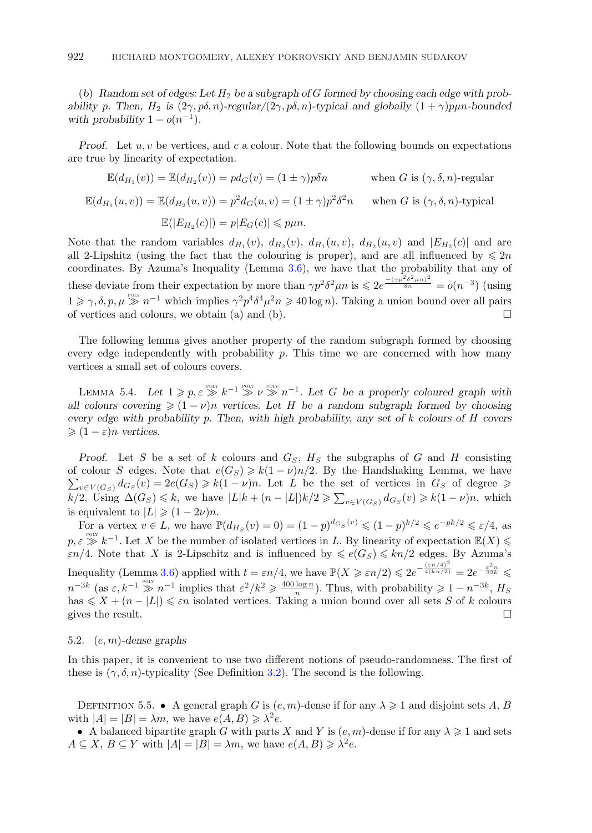<span id="page-23-0"></span>(*b*) *Random set of edges: Let* H<sup>2</sup> *be a subgraph of* G *formed by choosing each edge with probability* p. Then,  $H_2$  *is*  $(2\gamma, p\delta, n)$ *-regular* $/(2\gamma, p\delta, n)$ *-typical and globally*  $(1 + \gamma)p\mu n$ *-bounded with probability*  $1 - o(n^{-1})$ *.* 

*Proof.* Let u, v be vertices, and c a colour. Note that the following bounds on expectations are true by linearity of expectation.

$$
\mathbb{E}(d_{H_1}(v)) = \mathbb{E}(d_{H_2}(v)) = pd_G(v) = (1 \pm \gamma)p\delta n \quad \text{when } G \text{ is } (\gamma, \delta, n)\text{-regular}
$$
  

$$
\mathbb{E}(d_{H_1}(u, v)) = \mathbb{E}(d_{H_2}(u, v)) = p^2 d_G(u, v) = (1 \pm \gamma)p^2 \delta^2 n \quad \text{when } G \text{ is } (\gamma, \delta, n)\text{-typical}
$$
  

$$
\mathbb{E}(|E_{H_2}(c)|) = p|E_G(c)| \leq p\mu n.
$$

Note that the random variables  $d_{H_1}(v)$ ,  $d_{H_2}(v)$ ,  $d_{H_3}(u, v)$ ,  $d_{H_2}(u, v)$  and  $|E_{H_2}(c)|$  and are all 2-Lipshitz (using the fact that the colouring is proper), and are all influenced by  $\leq 2n$ coordinates. By Azuma's Inequality (Lemma [3.6\)](#page-12-0), we have that the probability that any of these deviate from their expectation by more than  $\gamma p^2 \delta^2 \mu n$  is  $\leqslant 2e^{\frac{-(\gamma p^2 \delta^2 \mu n)^2}{8n}} = o(n^{-3})$  (using  $1 \geq \gamma, \delta, p, \mu \geq 1$  which implies  $\gamma^2 p^4 \delta^4 \mu^2 n \geq 40 \log n$ . Taking a union bound over all pairs of vertices and colours, we obtain (a) and (b).  $\Box$ 

The following lemma gives another property of the random subgraph formed by choosing every edge independently with probability  $p$ . This time we are concerned with how many vertices a small set of colours covers.

LEMMA 5.4. Let  $1 \geqslant p, \varepsilon \geqslant k^{-1} \geqslant \nu \geqslant n^{-1}$ . Let G be a properly coloured graph with *all colours covering*  $\geq (1 - \nu)n$  *vertices. Let H be a random subgraph formed by choosing every edge with probability* p*. Then, with high probability, any set of* k *colours of* H *covers*  $\geqslant (1 - \varepsilon)n$  *vertices.* 

*Proof.* Let S be a set of k colours and  $G<sub>S</sub>$ ,  $H<sub>S</sub>$  the subgraphs of G and H consisting of colour S edges. Note that  $e(G_S) \geq k(1-\nu)n/2$ . By the Handshaking Lemma, we have  $\sum_{v\in V(G_S)}d_{G_S}(v)=2e(G_S) \geqslant k(1-\nu)n$ . Let L be the set of vertices in  $G_S$  of degree  $\geqslant$ k/2. Using  $\Delta(G_S) \leq k$ , we have  $|L|k + (n - |L|)k/2 \geq \sum_{v \in V(G_S)} d_{G_S}(v) \geq k(1 - \nu)n$ , which is equivalent to  $|L| \geqslant (1 - 2\nu)n$ .

For a vertex  $v \in L$ , we have  $\mathbb{P}(d_{H_S}(v) = 0) = (1 - p)^{d_{G_S}(v)} \leqslant (1 - p)^{k/2} \leqslant e^{-pk/2} \leqslant \varepsilon/4$ , as  $p, \varepsilon \gg k^{-1}$ . Let X be the number of isolated vertices in L. By linearity of expectation  $\mathbb{E}(X)$  $\varepsilon n/4$ . Note that X is 2-Lipschitz and is influenced by  $\leqslant e(G_S) \leqslant kn/2$  edges. By Azuma's Inequality (Lemma [3.6\)](#page-12-0) applied with  $t = \varepsilon n/4$ , we have  $\mathbb{P}(X \geq \varepsilon n/2) \leq 2e^{-\frac{\left(\varepsilon n/4\right)^2}{4(kn/2)}} = 2e^{-\frac{\varepsilon^2 n}{32k}}$  $n^{-3k}$  (as  $\varepsilon, k^{-1} \gg n^{-1}$  implies that  $\varepsilon^2/k^2 \geq \frac{400 \log n}{n}$ ). Thus, with probability  $\geq 1 - n^{-3k}$ ,  $H_S$ has  $\leq X + (n - |L|) \leq \varepsilon n$  isolated vertices. Taking a union bound over all sets S of k colours gives the result.  $\Box$ 

#### 5.2. (e, m)*-dense graphs*

In this paper, it is convenient to use two different notions of pseudo-randomness. The first of these is  $(\gamma, \delta, n)$ -typicality (See Definition 3.2). The second is the following.

DEFINITION 5.5. • A general graph G is  $(e, m)$ -dense if for any  $\lambda \geq 1$  and disjoint sets A, B with  $|A| = |B| = \lambda m$ , we have  $e(A, B) \geq \lambda^2 e$ .

• A balanced bipartite graph G with parts X and Y is  $(e, m)$ -dense if for any  $\lambda \geq 1$  and sets  $A \subseteq X, B \subseteq Y$  with  $|A| = |B| = \lambda m$ , we have  $e(A, B) \geq \lambda^2 e$ .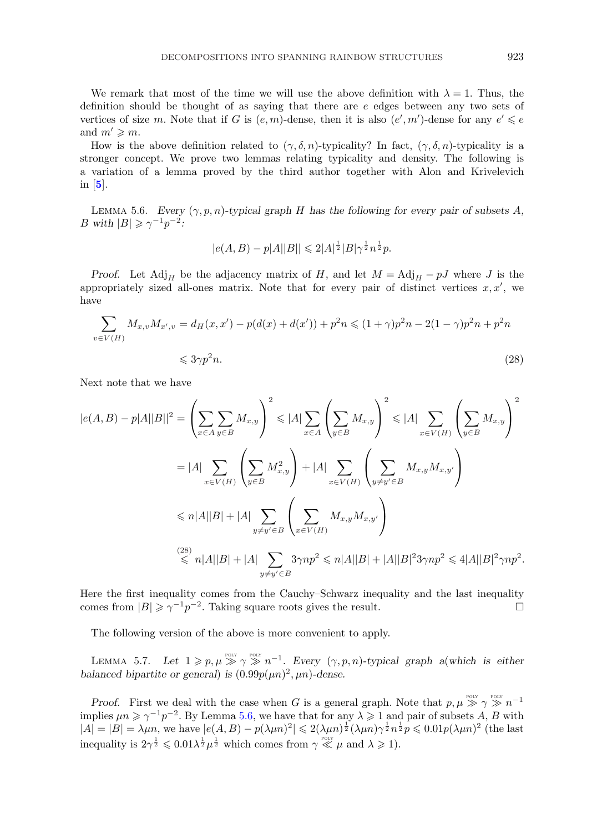<span id="page-24-0"></span>We remark that most of the time we will use the above definition with  $\lambda = 1$ . Thus, the definition should be thought of as saying that there are e edges between any two sets of vertices of size m. Note that if G is  $(e, m)$ -dense, then it is also  $(e', m')$ -dense for any  $e' \leq e$ and  $m' \geqslant m$ .

How is the above definition related to  $(\gamma, \delta, n)$ -typicality? In fact,  $(\gamma, \delta, n)$ -typicality is a stronger concept. We prove two lemmas relating typicality and density. The following is a variation of a lemma proved by the third author together with Alon and Krivelevich in [**[5](#page-59-0)**].

LEMMA 5.6. *Every*  $(\gamma, p, n)$ *-typical graph* H has the following for every pair of subsets A, B with  $|B| \geqslant \gamma^{-1} p^{-2}$ :

$$
|e(A,B)-p|A||B||\leq 2|A|^{\frac{1}{2}}|B|\gamma^{\frac{1}{2}}n^{\frac{1}{2}}p.
$$

*Proof.* Let Adj<sub>H</sub> be the adjacency matrix of H, and let  $M = \text{Adj}_H - pJ$  where J is the appropriately sized all-ones matrix. Note that for every pair of distinct vertices  $x, x'$ , we have

$$
\sum_{v \in V(H)} M_{x,v} M_{x',v} = d_H(x,x') - p(d(x) + d(x')) + p^2 n \leq (1+\gamma)p^2 n - 2(1-\gamma)p^2 n + p^2 n
$$

$$
\leqslant 3\gamma p^2 n. \tag{28}
$$

Next note that we have

$$
|e(A,B) - p|A||B||^2 = \left(\sum_{x \in A} \sum_{y \in B} M_{x,y}\right)^2 \le |A| \sum_{x \in A} \left(\sum_{y \in B} M_{x,y}\right)^2 \le |A| \sum_{x \in V(H)} \left(\sum_{y \in B} M_{x,y}\right)^2
$$
  

$$
= |A| \sum_{x \in V(H)} \left(\sum_{y \in B} M_{x,y}^2\right) + |A| \sum_{x \in V(H)} \left(\sum_{y \neq y' \in B} M_{x,y} M_{x,y'}\right)
$$
  

$$
\le n|A||B| + |A| \sum_{y \neq y' \in B} \left(\sum_{x \in V(H)} M_{x,y} M_{x,y'}\right)
$$
  

$$
\stackrel{(28)}{\le n|A||B|} + |A| \sum_{y \neq y' \in B} 3\gamma np^2 \le n|A||B| + |A||B|^2 3\gamma np^2 \le 4|A||B|^2 \gamma np^2.
$$

Here the first inequality comes from the Cauchy–Schwarz inequality and the last inequality comes from  $|B| \ge \gamma^{-1} p^{-2}$ . Taking square roots gives the result.

The following version of the above is more convenient to apply.

LEMMA 5.7. Let  $1 \geqslant p, \mu \geqslant \gamma \geqslant n^{-1}$ . Every  $(\gamma, p, n)$ -typical graph a(which is either *balanced bipartite or general*) *is*  $(0.99p(\mu n)^2, \mu n)$ -dense.

*Proof.* First we deal with the case when G is a general graph. Note that  $p, \mu \gg \gamma \gg n^{-1}$ implies  $\mu n \geq \gamma^{-1} p^{-2}$ . By Lemma 5.6, we have that for any  $\lambda \geq 1$  and pair of subsets A, B with  $|A| = |B| = \lambda \mu n$ , we have  $|e(A, B) - p(\lambda \mu n)^2| \leq 2(\lambda \mu n)^{\frac{1}{2}} (\lambda \mu n)^{\frac{1}{2}} n^{\frac{1}{2}} p \leq 0.01 p(\lambda \mu n)^2$  (the last inequality is  $2\gamma^{\frac{1}{2}} \leqslant 0.01 \lambda^{\frac{1}{2}} \mu^{\frac{1}{2}}$  which comes from  $\gamma \ll \mu$  and  $\lambda \geqslant 1$ ).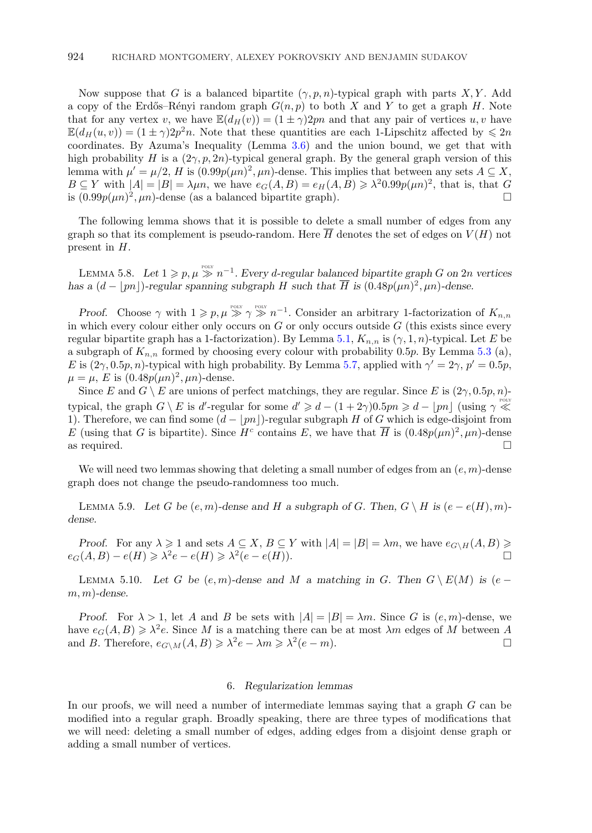<span id="page-25-0"></span>Now suppose that G is a balanced bipartite  $(\gamma, p, n)$ -typical graph with parts X, Y. Add a copy of the Erdős–Rényi random graph  $G(n, p)$  to both X and Y to get a graph H. Note that for any vertex v, we have  $\mathbb{E}(d_H(v)) = (1 \pm \gamma)2pn$  and that any pair of vertices u, v have  $\mathbb{E}(d_H(u, v)) = (1 \pm \gamma)2p^2n$ . Note that these quantities are each 1-Lipschitz affected by  $\leq 2n$ coordinates. By Azuma's Inequality (Lemma [3.6\)](#page-12-0) and the union bound, we get that with high probability H is a  $(2\gamma, p, 2n)$ -typical general graph. By the general graph version of this lemma with  $\mu' = \mu/2$ , H is  $(0.99p(\mu n)^2, \mu n)$ -dense. This implies that between any sets  $A \subseteq X$ ,  $B \subseteq Y$  with  $|A| = |B| = \lambda \mu n$ , we have  $e_G(A, B) = e_H(A, B) \geq \lambda^2 0.99 p(\mu n)^2$ , that is, that G is  $(0.99p(\mu n)^2, \mu n)$ -dense (as a balanced bipartite graph).

The following lemma shows that it is possible to delete a small number of edges from any graph so that its complement is pseudo-random. Here  $\overline{H}$  denotes the set of edges on  $V(H)$  not present in H.

LEMMA 5.8. Let  $1 \geqslant p, \mu \geqslant n^{-1}$ . Every d-regular balanced bipartite graph G on 2n vertices *has a*  $(d - |pn|)$ -regular spanning subgraph H such that  $\overline{H}$  is  $(0.48p(\mu n)^2, \mu n)$ -dense.

*Proof.* Choose  $\gamma$  with  $1 \geqslant p, \mu \geqslant \gamma \geqslant n^{-1}$ . Consider an arbitrary 1-factorization of  $K_{n,n}$ in which every colour either only occurs on  $G$  or only occurs outside  $G$  (this exists since every regular bipartite graph has a 1-factorization). By Lemma [5.1,](#page-21-0)  $K_{n,n}$  is  $(\gamma, 1, n)$ -typical. Let E be a subgraph of  $K_{n,n}$  formed by choosing every colour with probability 0.5p. By Lemma [5.3](#page-22-0) (a), E is  $(2\gamma, 0.5p, n)$ -typical with high probability. By Lemma [5.7,](#page-24-0) applied with  $\gamma' = 2\gamma$ ,  $p' = 0.5p$ ,  $\mu = \mu$ , E is  $(0.48p(\mu n)^2, \mu n)$ -dense.

Since E and  $G \setminus E$  are unions of perfect matchings, they are regular. Since E is  $(2\gamma, 0.5p, n)$ typical, the graph  $G \setminus E$  is d'-regular for some  $d' \geq d - (1 + 2\gamma)0.5pn \geq d - \lfloor pn \rfloor$  (using  $\gamma \ll$ 1). Therefore, we can find some  $(d - |pn|)$ -regular subgraph H of G which is edge-disjoint from E (using that G is bipartite). Since  $H^c$  contains E, we have that  $\overline{H}$  is  $(0.48p(\mu n)^2, \mu n)$ -dense as required.  $\hfill \square$ 

We will need two lemmas showing that deleting a small number of edges from an  $(e, m)$ -dense graph does not change the pseudo-randomness too much.

LEMMA 5.9. Let G be  $(e, m)$ -dense and H a subgraph of G. Then,  $G \setminus H$  is  $(e - e(H), m)$ *dense.*

*Proof.* For any  $\lambda \geq 1$  and sets  $A \subseteq X$ ,  $B \subseteq Y$  with  $|A| = |B| = \lambda m$ , we have  $e_{G\setminus H}(A, B) \geq$  $e_G(A, B) - e(H) \geq \lambda^2 e - e(H) \geq \lambda^2 (e - e(H)).$ 

LEMMA 5.10. Let G be  $(e, m)$ -dense and M a matching in G. Then  $G \setminus E(M)$  is  $(e$ m, m)*-dense.*

*Proof.* For  $\lambda > 1$ , let A and B be sets with  $|A| = |B| = \lambda m$ . Since G is  $(e, m)$ -dense, we have  $e_G(A, B) \geq \lambda^2 e$ . Since M is a matching there can be at most  $\lambda m$  edges of M between A and B. Therefore,  $e_{G\setminus M}(A, B) \geq \lambda^2 e - \lambda m \geq \lambda^2 (e - m)$ .

#### 6. *Regularization lemmas*

In our proofs, we will need a number of intermediate lemmas saying that a graph G can be modified into a regular graph. Broadly speaking, there are three types of modifications that we will need: deleting a small number of edges, adding edges from a disjoint dense graph or adding a small number of vertices.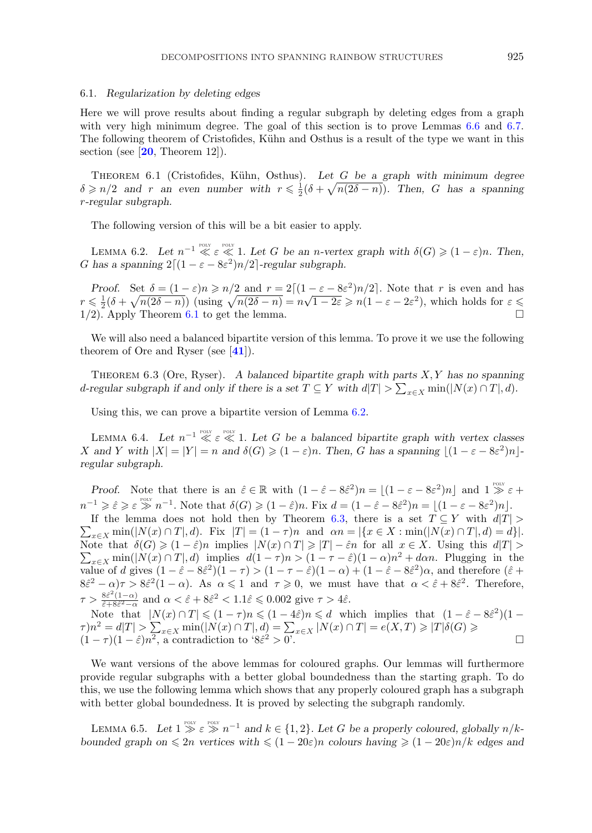#### <span id="page-26-0"></span>6.1. *Regularization by deleting edges*

Here we will prove results about finding a regular subgraph by deleting edges from a graph with very high minimum degree. The goal of this section is to prove Lemmas [6.6](#page-27-0) and [6.7.](#page-27-0) The following theorem of Cristofides, Kühn and Osthus is a result of the type we want in this section (see [**[20](#page-59-0)**, Theorem 12]).

Theorem 6.1 (Cristofides, K¨uhn, Osthus). *Let* G *be a graph with minimum degree*  $\delta \geqslant n/2$  and r an even number with  $r \leqslant \frac{1}{2}(\delta + \sqrt{n(2\delta - n)})$ . Then, G has a spanning r*-regular subgraph.*

The following version of this will be a bit easier to apply.

LEMMA 6.2. Let  $n^{-1} \ll \varepsilon \ll 1$ . Let G be an *n*-vertex graph with  $\delta(G) \geq (1 - \varepsilon)n$ . Then, G has a spanning  $2[(1 - \varepsilon - 8\varepsilon^2)n/2]$ -regular subgraph.

*Proof.* Set  $\delta = (1 - \varepsilon)n \ge n/2$  and  $r = 2[(1 - \varepsilon - 8\varepsilon^2)n/2]$ . Note that r is even and has From. Set  $\theta = (1 - \varepsilon)n \ge n/2$  and  $r = 2[(1 - \varepsilon - \infty) n/2]$ . Note that  $r$  is even and has<br>  $r \le \frac{1}{2}(\delta + \sqrt{n(2\delta - n)})$  (using  $\sqrt{n(2\delta - n)} = n\sqrt{1 - 2\varepsilon} \ge n(1 - \varepsilon - 2\varepsilon^2)$ , which holds for  $\varepsilon \le$  $1/2$ . Apply Theorem 6.1 to get the lemma.

We will also need a balanced bipartite version of this lemma. To prove it we use the following theorem of Ore and Ryser (see [**[41](#page-60-0)**]).

Theorem 6.3 (Ore, Ryser). *A balanced bipartite graph with parts* X, Y *has no spanning* d-regular subgraph if and only if there is a set  $T \subseteq Y$  with  $d|T| > \sum_{x \in X} \min(|N(x) \cap T|, d)$ .

Using this, we can prove a bipartite version of Lemma 6.2.

LEMMA 6.4. Let  $n^{-1} \ll \varepsilon \ll 1$ . Let G be a balanced bipartite graph with vertex classes X and Y with  $|X| = |Y| = n$  and  $\delta(G) \geq (1 - \varepsilon)n$ . Then, G has a spanning  $\lfloor (1 - \varepsilon - 8\varepsilon^2)n \rfloor$ *regular subgraph.*

*Proof.* Note that there is an  $\hat{\varepsilon} \in \mathbb{R}$  with  $(1 - \hat{\varepsilon} - 8\hat{\varepsilon}^2)n = \lfloor (1 - \varepsilon - 8\varepsilon^2)n \rfloor$  and  $1 \gg \varepsilon +$  $n^{-1} \geqslant \hat{\varepsilon} \geqslant \varepsilon \geqslant n^{-1}$ . Note that  $\delta(G) \geqslant (1-\hat{\varepsilon})n$ . Fix  $d = (1-\hat{\varepsilon} - 8\hat{\varepsilon}^2)n = \lfloor (1-\varepsilon - 8\varepsilon^2)n \rfloor$ .

 $\sum_{x \in X} \min(|N(x) \cap T|, d)$ . Fix  $|T| = (1 - \tau)n$  and  $\alpha n = |\{x \in X : \min(|N(x) \cap T|, d) = d\}|$ . If the lemma does not hold then by Theorem 6.3, there is a set  $T \subseteq Y$  with  $d|T| >$ Note that  $\delta(G) \geq (1 - \hat{\varepsilon})n$  implies  $|N(x) \cap T| \geq |T| - \hat{\varepsilon}n$  for all  $x \in X$ . Using this  $d|T| >$  $\sum_{x\in X}$  min(|N(x) ∩ T|, d) implies  $d(1-\tau)n > (1-\tau-\hat{\varepsilon})(1-\alpha)n^2 + d\alpha n$ . Plugging in the value of d gives  $(1 - \hat{\varepsilon} - 8\hat{\varepsilon}^2)(1 - \tau) > (1 - \tau - \hat{\varepsilon})(1 - \alpha) + (1 - \hat{\varepsilon} - 8\hat{\varepsilon}^2)\alpha$ , and therefore  $(\hat{\varepsilon} +$  $8\hat{\epsilon}^2 - \alpha\gamma > 8\hat{\epsilon}^2(1-\alpha)$ . As  $\alpha \leq 1$  and  $\tau \geq 0$ , we must have that  $\alpha < \hat{\epsilon} + 8\hat{\epsilon}^2$ . Therefore,  $\tau > \frac{8\hat{\varepsilon}^2(1-\alpha)}{\hat{\varepsilon}+8\hat{\varepsilon}^2-\alpha}$  and  $\alpha < \hat{\varepsilon}+8\hat{\varepsilon}^2 < 1.1\hat{\varepsilon} \leq 0.002$  give  $\tau > 4\hat{\varepsilon}$ .

Note that  $|N(x) \cap T| \leq (1 - \tau)n \leq (1 - 4\hat{\varepsilon})n \leq d$  which implies that  $(1 - \hat{\varepsilon} - 8\hat{\varepsilon}^2)(1 \tau$ )n<sup>2</sup> = d|T| >  $\sum_{x \in X} \min(|N(x) \cap T|, d) = \sum_{x \in X} |N(x) \cap T| = e(X, T) \geq |T|\delta(G) \geq (1 - \tau)(1 - \hat{\varepsilon})n^2$ , a contradiction to '8 $\hat{\varepsilon}^2 > 0$ '.

We want versions of the above lemmas for coloured graphs. Our lemmas will furthermore provide regular subgraphs with a better global boundedness than the starting graph. To do this, we use the following lemma which shows that any properly coloured graph has a subgraph with better global boundedness. It is proved by selecting the subgraph randomly.

LEMMA 6.5. Let  $1 \geq \varepsilon \geq n^{-1}$  and  $k \in \{1, 2\}$ . Let G be a properly coloured, globally  $n/k$ *bounded graph on*  $\leq 2n$  *vertices with*  $\leq (1 - 20\varepsilon)n$  *colours having*  $\geq (1 - 20\varepsilon)n/k$  *edges and*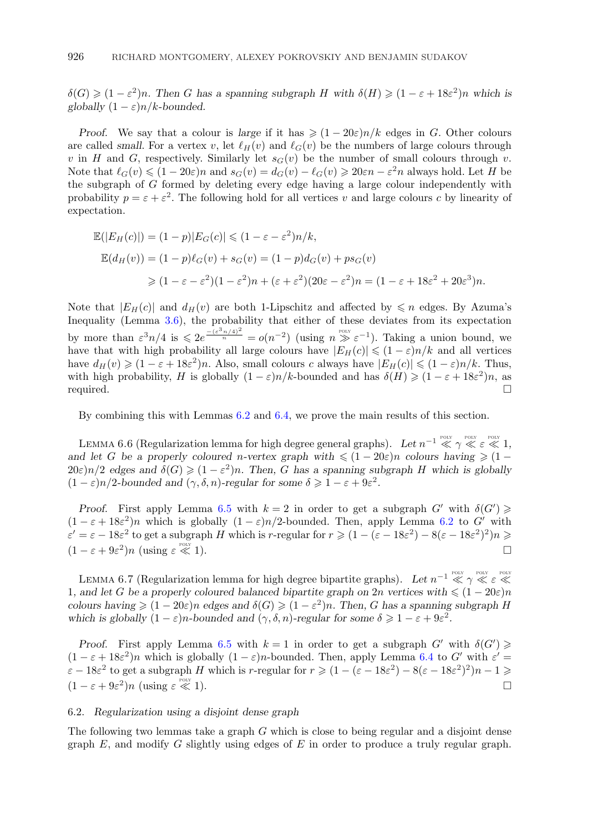<span id="page-27-0"></span> $\delta(G) \geq (1 - \varepsilon^2)n$ . Then G has a spanning subgraph H with  $\delta(H) \geq (1 - \varepsilon + 18\varepsilon^2)n$  which is *globally*  $(1 - \varepsilon)n/k$ -bounded.

*Proof.* We say that a colour is *large* if it has  $\geq (1 - 20\varepsilon)n/k$  edges in G. Other colours are called *small*. For a vertex v, let  $\ell_H(v)$  and  $\ell_G(v)$  be the numbers of large colours through v in H and G, respectively. Similarly let  $s_G(v)$  be the number of small colours through v. Note that  $\ell_G(v) \leq (1 - 20\varepsilon)n$  and  $s_G(v) = d_G(v) - \ell_G(v) \geq 20\varepsilon n - \varepsilon^2 n$  always hold. Let H be the subgraph of G formed by deleting every edge having a large colour independently with probability  $p = \varepsilon + \varepsilon^2$ . The following hold for all vertices v and large colours c by linearity of expectation.

$$
\mathbb{E}(|E_H(c)|) = (1-p)|E_G(c)| \le (1 - \varepsilon - \varepsilon^2)n/k,
$$
  
\n
$$
\mathbb{E}(d_H(v)) = (1-p)\ell_G(v) + s_G(v) = (1-p)d_G(v) + ps_G(v)
$$
  
\n
$$
\ge (1 - \varepsilon - \varepsilon^2)(1 - \varepsilon^2)n + (\varepsilon + \varepsilon^2)(20\varepsilon - \varepsilon^2)n = (1 - \varepsilon + 18\varepsilon^2 + 20\varepsilon^3)n.
$$

Note that  $|E_H(c)|$  and  $d_H(v)$  are both 1-Lipschitz and affected by  $\leq n$  edges. By Azuma's Inequality (Lemma [3.6\)](#page-12-0), the probability that either of these deviates from its expectation by more than  $\varepsilon^3 n/4$  is  $\leq 2e^{\frac{-(\varepsilon^3 n/4)^2}{n}} = o(n^{-2})$  (using  $n \geq \varepsilon^{-1}$ ). Taking a union bound, we have that with high probability all large colours have  $|E_H(c)| \leq (1 - \varepsilon)n/k$  and all vertices have  $d_H(v) \geqslant (1 - \varepsilon + 18\varepsilon^2)n$ . Also, small colours c always have  $|E_H(c)| \leqslant (1 - \varepsilon)n/k$ . Thus, with high probability, H is globally  $(1 - \varepsilon)n/k$ -bounded and has  $\delta(H) \geq (1 - \varepsilon + 18\varepsilon^2)n$ , as required.  $\square$ 

By combining this with Lemmas [6.2](#page-26-0) and [6.4,](#page-26-0) we prove the main results of this section.

LEMMA 6.6 (Regularization lemma for high degree general graphs). Let  $n^{-1} \ll \gamma \ll \varepsilon \ll 1$ , *and let* G *be a properly coloured n*-vertex graph with  $\leq (1 - 20\varepsilon)n$  colours having  $\geq (1 20\varepsilon$ )n/2 edges and  $\delta(G) \geq (1 - \varepsilon^2)n$ . Then, G has a spanning subgraph H which is globally  $(1 - \varepsilon)n/2$ -bounded and  $(\gamma, \delta, n)$ -regular for some  $\delta \geq 1 - \varepsilon + 9\varepsilon^2$ .

*Proof.* First apply Lemma [6.5](#page-26-0) with  $k = 2$  in order to get a subgraph  $G'$  with  $\delta(G') \geq$  $(1 - \varepsilon + 18\varepsilon^2)n$  which is globally  $(1 - \varepsilon)n/2$ -bounded. Then, apply Lemma [6.2](#page-26-0) to G' with  $\varepsilon' = \varepsilon - 18\varepsilon^2$  to get a subgraph H which is r-regular for  $r \geq (1 - (\varepsilon - 18\varepsilon^2) - 8(\varepsilon - 18\varepsilon^2)^2)n \geq$  $(1 - \varepsilon + 9\varepsilon^2)n$  (using  $\varepsilon \ll$  $\ll 1$ ).

LEMMA 6.7 (Regularization lemma for high degree bipartite graphs). Let  $n^{-1} \ll \gamma \ll \varepsilon \ll$ 1, and let G be a properly coloured balanced bipartite graph on  $2n$  vertices with  $\leq (1-20\varepsilon)n$ *colours having*  $\geq (1 - 20\varepsilon)n$  *edges and*  $\delta(G) \geq (1 - \varepsilon^2)n$ *. Then, G has a spanning subgraph* H *which is globally*  $(1 - \varepsilon)n$ *-bounded and*  $(\gamma, \delta, n)$ *-regular for some*  $\delta \geq 1 - \varepsilon + 9\varepsilon^2$ *.* 

*Proof.* First apply Lemma [6.5](#page-26-0) with  $k = 1$  in order to get a subgraph  $G'$  with  $\delta(G') \geq$  $(1 - \varepsilon + 18\varepsilon^2)n$  which is globally  $(1 - \varepsilon)n$ -bounded. Then, apply Lemma [6.4](#page-26-0) to G' with  $\varepsilon' =$  $\varepsilon - 18\varepsilon^2$  to get a subgraph H which is r-regular for  $r \geq (1 - (\varepsilon - 18\varepsilon^2) - 8(\varepsilon - 18\varepsilon^2)^2)n - 1 \geq$  $(1 - \varepsilon + 9\varepsilon^2)n$  (using  $\varepsilon \ll$  $\leqslant$  1).

# 6.2. *Regularization using a disjoint dense graph*

The following two lemmas take a graph G which is close to being regular and a disjoint dense graph  $E$ , and modify  $G$  slightly using edges of  $E$  in order to produce a truly regular graph.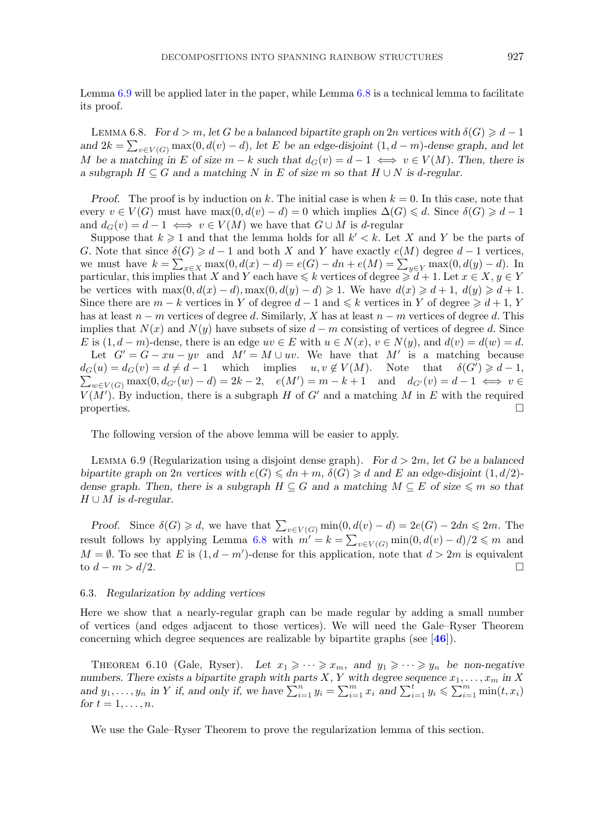<span id="page-28-0"></span>Lemma 6.9 will be applied later in the paper, while Lemma 6.8 is a technical lemma to facilitate its proof.

LEMMA 6.8. *For*  $d > m$ , let *G* be a balanced bipartite graph on 2n vertices with  $\delta(G) \geq d - 1$ *and*  $2k = \sum_{v \in V(G)} \max(0, d(v) - d)$ , let *E* be an edge-disjoint  $(1, d - m)$ -dense graph, and let M be a matching in E of size  $m - k$  such that  $d_G(v) = d - 1 \iff v \in V(M)$ . Then, there is *a* subgraph  $H \subseteq G$  and a matching N in E of size m so that  $H \cup N$  is d-regular.

*Proof.* The proof is by induction on k. The initial case is when  $k = 0$ . In this case, note that every  $v \in V(G)$  must have  $\max(0, d(v) - d) = 0$  which implies  $\Delta(G) \leq d$ . Since  $\delta(G) \geq d - 1$ and  $d_G(v) = d - 1 \iff v \in V(M)$  we have that  $G \cup M$  is d-regular

Suppose that  $k \geqslant 1$  and that the lemma holds for all  $k' < k$ . Let X and Y be the parts of G. Note that since  $\delta(G) \geq d - 1$  and both X and Y have exactly  $e(M)$  degree  $d - 1$  vertices, we must have  $k = \sum_{x \in X} \max(0, d(x) - d) = e(G) - dn + e(M) = \sum_{y \in Y} \max(0, d(y) - d)$ . In particular, this implies that X and Y each have  $\leq k$  vertices of degree  $\geq d+1$ . Let  $x \in X, y \in Y$ be vertices with  $\max(0, d(x) - d), \max(0, d(y) - d) \geq 1$ . We have  $d(x) \geq d + 1$ ,  $d(y) \geq d + 1$ . Since there are  $m - k$  vertices in Y of degree  $d - 1$  and  $\leq k$  vertices in Y of degree  $\geq d + 1$ , Y has at least  $n - m$  vertices of degree d. Similarly, X has at least  $n - m$  vertices of degree d. This implies that  $N(x)$  and  $N(y)$  have subsets of size  $d - m$  consisting of vertices of degree d. Since E is  $(1, d-m)$ -dense, there is an edge  $uv \in E$  with  $u \in N(x)$ ,  $v \in N(y)$ , and  $d(v) = d(w) = d$ . Let  $G' = G - xu - yv$  and  $M' = M \cup uv$ . We have that M' is a matching because  $d_G(u) = d_G(v) = d \neq d - 1$  which implies  $u, v \notin V(M)$ . Note that  $\delta(G') \geq d - 1$ ,  $\sum_{w \in V(G)} \max(0, d_{G'}(w) - d) = 2k - 2, \quad e(M') = m - k + 1 \quad \text{and} \quad d_{G'}(v) = d - 1 \iff v \in$  $V(M')$ . By induction, there is a subgraph H of G' and a matching M in E with the required properties.  $\Box$ 

The following version of the above lemma will be easier to apply.

Lemma 6.9 (Regularization using a disjoint dense graph). *For* d > 2m*, let* G *be a balanced bipartite graph on*  $2n$  *vertices with*  $e(G) \leq d_n + m$ ,  $\delta(G) \geq d$  *and*  $E$  *an edge-disjoint*  $(1, d/2)$ *dense graph. Then, there is a subgraph*  $H \subseteq G$  *and a matching*  $M \subseteq E$  *of size*  $\leq m$  *so that* H ∪ M *is* d*-regular.*

*Proof.* Since  $\delta(G) \ge d$ , we have that  $\sum_{v \in V(G)} \min(0, d(v) - d) = 2e(G) - 2dn \le 2m$ . The result follows by applying Lemma 6.8 with  $m' = k = \sum_{v \in V(G)} \min(0, d(v) - d)/2 \leq m$  and  $M = \emptyset$ . To see that E is  $(1, d - m')$ -dense for this application, note that  $d > 2m$  is equivalent to  $d - m > d/2$ .

## 6.3. *Regularization by adding vertices*

Here we show that a nearly-regular graph can be made regular by adding a small number of vertices (and edges adjacent to those vertices). We will need the Gale–Ryser Theorem concerning which degree sequences are realizable by bipartite graphs (see [**[46](#page-60-0)**]).

THEOREM 6.10 (Gale, Ryser). Let  $x_1 \geqslant \cdots \geqslant x_m$ , and  $y_1 \geqslant \cdots \geqslant y_n$  be non-negative numbers. There exists a bipartite graph with parts X, Y with degree sequence  $x_1, \ldots, x_m$  in X and  $y_1, \ldots, y_n$  in Y if, and only if, we have  $\sum_{i=1}^n y_i = \sum_{i=1}^m x_i$  and  $\sum_{i=1}^t y_i \leq \sum_{i=1}^m \min(t, x_i)$ *for*  $t = 1, ..., n$ *.* 

We use the Gale–Ryser Theorem to prove the regularization lemma of this section.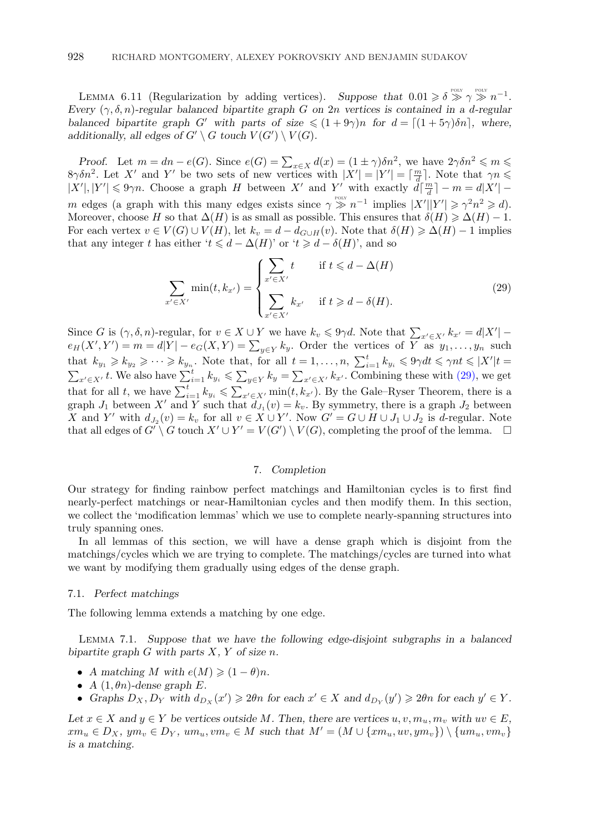<span id="page-29-0"></span>LEMMA 6.11 (Regularization by adding vertices). Suppose that  $0.01 \geq \delta \geq 0$   $\gamma \geq n^{-1}$ . *Every* (γ, δ, n)*-regular balanced bipartite graph* G *on* 2n *vertices is contained in a* d*-regular balanced bipartite graph* G' with parts of size  $\leq (1 + 9\gamma)n$  for  $d = [(1 + 5\gamma)\delta n]$ , where, additionally, all edges of  $G' \setminus G$  touch  $V(G') \setminus V(G)$ *.* 

*Proof.* Let  $m = dn - e(G)$ . Since  $e(G) = \sum_{x \in X} d(x) = (1 \pm \gamma) \delta n^2$ , we have  $2\gamma \delta n^2 \leq m \leq$ 8γδn<sup>2</sup>. Let X' and Y' be two sets of new vertices with  $|X'| = |Y'| = \lceil \frac{m}{d} \rceil$ . Note that  $\gamma n \leq$  $|X'|, |Y'| \leq 9\gamma n$ . Choose a graph H between X' and Y' with exactly  $d\left[\frac{m}{d}\right] - m = d|X'|$ m edges (a graph with this many edges exists since  $\gamma \gg n^{-1}$  implies  $|X'||Y'| \geq \gamma^2 n^2 \geq d$ ). Moreover, choose H so that  $\Delta(H)$  is as small as possible. This ensures that  $\delta(H) \geq \Delta(H) - 1$ . For each vertex  $v \in V(G) \cup V(H)$ , let  $k_v = d - d_{G \cup H}(v)$ . Note that  $\delta(H) \geq \Delta(H) - 1$  implies that any integer t has either ' $t \le d - \Delta(H)$ ' or ' $t \ge d - \delta(H)$ ', and so

$$
\sum_{x' \in X'} \min(t, k_{x'}) = \begin{cases} \sum_{x' \in X'} t & \text{if } t \leq d - \Delta(H) \\ \sum_{x' \in X'} k_{x'} & \text{if } t \geq d - \delta(H). \end{cases}
$$
(29)

Since G is  $(\gamma, \delta, n)$ -regular, for  $v \in X \cup Y$  we have  $k_v \leq 9\gamma d$ . Note that  $\sum_{x' \in X'} k_{x'} = d|X'|$  $e_H(X', Y') = m = d|Y| - e_G(X, Y) = \sum_{y \in Y} k_y$ . Order the vertices of Y as  $y_1, \ldots, y_n$  such that  $k_{y_1} \geqslant k_{y_2} \geqslant \cdots \geqslant k_{y_n}$ . Note that, for all  $t = 1, \ldots, n$ ,  $\sum_{i=1}^t k_{y_i} \leqslant 9\gamma dt \leqslant \gamma nt \leqslant |X'|t =$  $\sum_{x' \in X'} t$ . We also have  $\sum_{i=1}^{n} k_{y_i} \leqslant \sum_{y \in Y} k_y = \sum_{x' \in X'} k_{x'}$ . Combining these with (29), we get that for all t, we have  $\sum_{i=1}^t k_{y_i} \leqslant \sum_{x' \in X'} \min(t, k_{x'})$ . By the Gale–Ryser Theorem, there is a graph  $J_1$  between X' and Y such that  $d_{J_1}(v) = k_v$ . By symmetry, there is a graph  $J_2$  between X and Y' with  $d_{J_2}(v) = k_v$  for all  $v \in X \cup Y'$ . Now  $G' = G \cup H \cup J_1 \cup J_2$  is d-regular. Note that all edges of  $G' \setminus G$  touch  $X' \cup Y' = V(G') \setminus V(G)$ , completing the proof of the lemma.  $\Box$ 

# 7. *Completion*

Our strategy for finding rainbow perfect matchings and Hamiltonian cycles is to first find nearly-perfect matchings or near-Hamiltonian cycles and then modify them. In this section, we collect the 'modification lemmas' which we use to complete nearly-spanning structures into truly spanning ones.

In all lemmas of this section, we will have a dense graph which is disjoint from the matchings/cycles which we are trying to complete. The matchings/cycles are turned into what we want by modifying them gradually using edges of the dense graph.

## 7.1. *Perfect matchings*

The following lemma extends a matching by one edge.

Lemma 7.1. *Suppose that we have the following edge-disjoint subgraphs in a balanced* bipartite graph  $G$  with parts  $X, Y$  of size  $n$ .

- *A* matching *M* with  $e(M) \geq (1 \theta)n$ .
- $A(1, \theta n)$ -dense graph  $E$ .
- *Graphs*  $D_X, D_Y$  *with*  $d_{D_X}(x') \geq 2\theta n$  *for each*  $x' \in X$  *and*  $d_{D_Y}(y') \geq 2\theta n$  *for each*  $y' \in Y$ *.*

*Let*  $x \in X$  and  $y \in Y$  *be vertices outside* M. Then, there are vertices  $u, v, m_u, m_v$  with  $uv \in E$ ,  $xm_u \in D_X$ ,  $ym_v \in D_Y$ ,  $um_u,vm_v \in M$  such that  $M' = (M \cup \{xm_u,uv,ym_v\}) \setminus \{um_u,vm_v\}$ *is a matching.*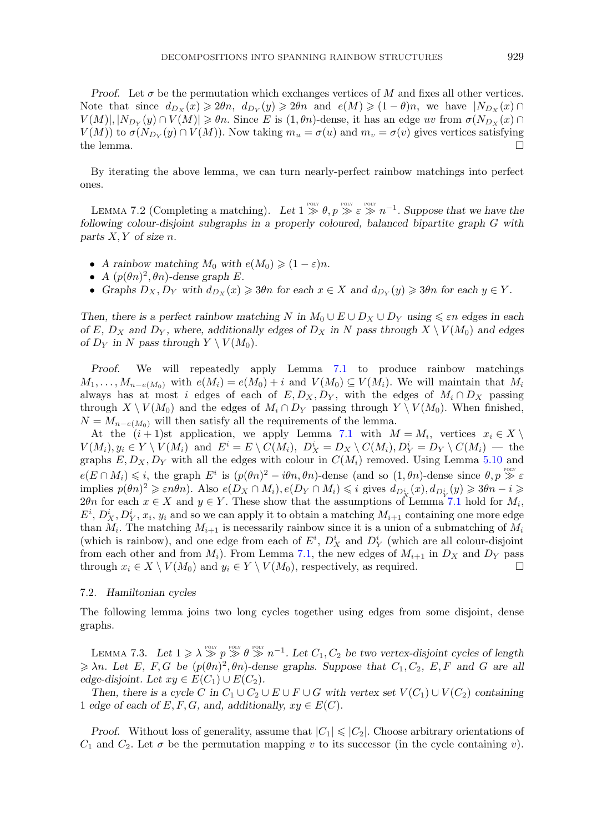<span id="page-30-0"></span>*Proof.* Let  $\sigma$  be the permutation which exchanges vertices of M and fixes all other vertices. Note that since  $d_{D_X}(x) \geq 2\theta n$ ,  $d_{D_Y}(y) \geq 2\theta n$  and  $e(M) \geq (1 - \theta)n$ , we have  $|N_{D_X}(x)| \cap$  $V(M)|, |N_{D_Y}(y) \cap V(M)| \geq \theta n$ . Since E is  $(1, \theta n)$ -dense, it has an edge uv from  $\sigma(N_{D_X}(x) \cap V(M))$  $V(M)$ ) to  $\sigma(N_{D_Y}(y) \cap V(M))$ . Now taking  $m_u = \sigma(u)$  and  $m_v = \sigma(v)$  gives vertices satisfying the lemma.

By iterating the above lemma, we can turn nearly-perfect rainbow matchings into perfect ones.

LEMMA 7.2 (Completing a matching). Let  $1 \gg \theta$ ,  $p \gg \varepsilon \gg n^{-1}$ . Suppose that we have the *following colour-disjoint subgraphs in a properly coloured, balanced bipartite graph* G *with parts* X, Y *of size* n*.*

- *A rainbow matching*  $M_0$  *with*  $e(M_0) \geq (1 \varepsilon)n$ .
- *A*  $(p(\theta n)^2, \theta n)$ -dense graph *E*.
- *Graphs*  $D_X, D_Y$  *with*  $d_{D_X}(x) \ge 3\theta n$  *for each*  $x \in X$  *and*  $d_{D_Y}(y) \ge 3\theta n$  *for each*  $y \in Y$ *.*

*Then, there is a perfect rainbow matching* N in  $M_0 \cup E \cup D_X \cup D_Y$  *using*  $\leq \varepsilon n$  *edges in each of* E,  $D_X$  and  $D_Y$ , where, additionally edges of  $D_X$  in N pass through  $X \setminus V(M_0)$  and edges *of*  $D_Y$  *in* N pass through  $Y \setminus V(M_0)$ .

*Proof.* We will repeatedly apply Lemma [7.1](#page-29-0) to produce rainbow matchings  $M_1,\ldots,M_{n-e(M_0)}$  with  $e(M_i)=e(M_0)+i$  and  $V(M_0)\subseteq V(M_i)$ . We will maintain that  $M_i$ always has at most i edges of each of  $E, D_X, D_Y$ , with the edges of  $M_i \cap D_X$  passing through  $X \setminus V(M_0)$  and the edges of  $M_i \cap D_Y$  passing through  $Y \setminus V(M_0)$ . When finished,  $N = M_{n-e(M_0)}$  will then satisfy all the requirements of the lemma.

At the  $(i+1)$ st application, we apply Lemma [7.1](#page-29-0) with  $M = M_i$ , vertices  $x_i \in X \setminus$  $V(M_i), y_i \in Y \setminus V(M_i)$  and  $E^i = E \setminus C(M_i), D_X^i = D_X \setminus C(M_i), D_Y^i = D_Y \setminus C(M_i)$  — the graphs  $E, D_X, D_Y$  with all the edges with colour in  $C(M_i)$  removed. Using Lemma [5.10](#page-25-0) and  $e(E \cap M_i) \leq i$ , the graph  $E^i$  is  $(p(\theta n)^2 - i\theta n, \theta n)$ -dense (and so  $(1, \theta n)$ -dense since  $\theta, p \geq \varepsilon$ implies  $p(\theta n)^2 \geqslant \varepsilon n \theta n$ ). Also  $e(D_X \cap M_i)$ ,  $e(D_Y \cap M_i) \leqslant i$  gives  $d_{D_X^i}(x), d_{D_Y^i}(y) \geqslant 3\theta n - i \geqslant i$ 2θn for each  $x \in X$  and  $y \in Y$ . These show that the assumptions of Lemma [7.1](#page-29-0) hold for  $M_i$ ,  $E^i, D_X^i, D_Y^i, x_i, y_i$  and so we can apply it to obtain a matching  $M_{i+1}$  containing one more edge than  $M_i$ . The matching  $M_{i+1}$  is necessarily rainbow since it is a union of a submatching of  $M_i$ (which is rainbow), and one edge from each of  $E^i$ ,  $D_X^i$  and  $D_Y^i$  (which are all colour-disjoint from each other and from  $M_i$ ). From Lemma [7.1,](#page-29-0) the new edges of  $M_{i+1}$  in  $D_X$  and  $D_Y$  pass through  $x_i \in X \setminus V(M_0)$  and  $y_i \in Y \setminus V(M_0)$ , respectively, as required.

## 7.2. *Hamiltonian cycles*

The following lemma joins two long cycles together using edges from some disjoint, dense graphs.

LEMMA 7.3. Let  $1 \geqslant \lambda \geqslant p \geqslant \theta \geqslant n^{-1}$ . Let  $C_1, C_2$  be two vertex-disjoint cycles of length  $\geq \lambda n$ *. Let* E, F, G be  $(p(\theta n)^2, \theta n)$ -dense graphs. Suppose that  $C_1, C_2, E, F$  and G are all *edge-disjoint.* Let  $xy \in E(C_1) \cup E(C_2)$ .

*Then, there is a cycle* C in  $C_1 \cup C_2 \cup E \cup F \cup G$  *with vertex set*  $V(C_1) \cup V(C_2)$  *containing* 1 *edge of each of*  $E, F, G$ *, and, additionally,*  $xy \in E(C)$ *.* 

*Proof.* Without loss of generality, assume that  $|C_1| \leq |C_2|$ . Choose arbitrary orientations of  $C_1$  and  $C_2$ . Let  $\sigma$  be the permutation mapping v to its successor (in the cycle containing v).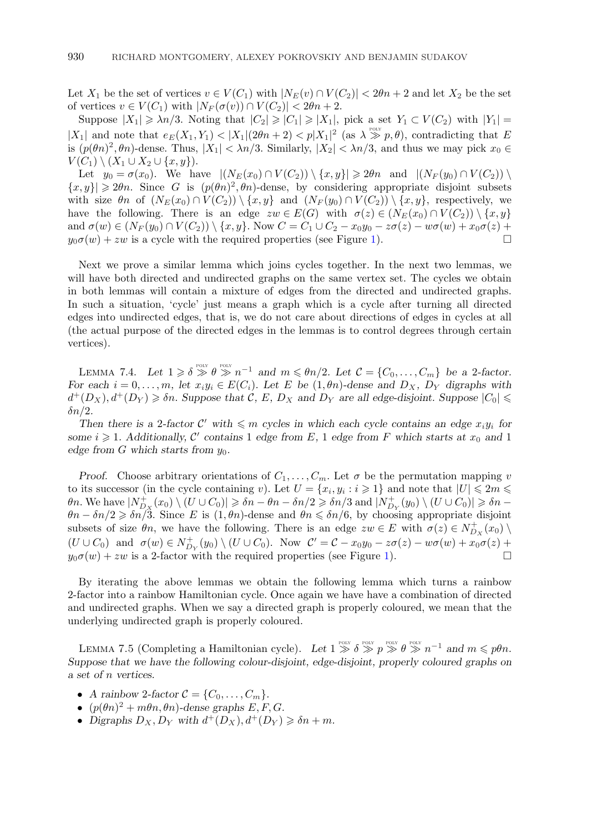<span id="page-31-0"></span>Let  $X_1$  be the set of vertices  $v \in V(C_1)$  with  $|N_E(v) \cap V(C_2)| < 2\theta n + 2$  and let  $X_2$  be the set of vertices  $v \in V(C_1)$  with  $|N_F(\sigma(v)) \cap V(C_2)| < 2\theta n + 2$ .

Suppose  $|X_1| \geq \lambda n/3$ . Noting that  $|C_2| \geqslant |C_1| \geqslant |X_1|$ , pick a set  $Y_1 \subset V(C_2)$  with  $|Y_1| =$ |X<sub>1</sub>| and note that  $e_E(X_1, Y_1) < |X_1|(2\theta n + 2) < p|X_1|^2$  (as  $\lambda \gg p, \theta$ ), contradicting that E is  $(p(\theta n)^2, \theta n)$ -dense. Thus,  $|X_1| < \lambda n/3$ . Similarly,  $|X_2| < \lambda n/3$ , and thus we may pick  $x_0 \in$  $V(C_1) \setminus (X_1 \cup X_2 \cup \{x,y\}).$ 

Let  $y_0 = \sigma(x_0)$ . We have  $|(N_E(x_0) \cap V(C_2)) \setminus \{x, y\}| \geq 2\theta n$  and  $|(N_F(y_0) \cap V(C_2)) \setminus$  $\{x, y\} \geq 2\theta n$ . Since G is  $(p(\theta n)^2, \theta n)$ -dense, by considering appropriate disjoint subsets with size  $\theta_n$  of  $(N_E(x_0) \cap V(C_2)) \setminus \{x, y\}$  and  $(N_F(y_0) \cap V(C_2)) \setminus \{x, y\}$ , respectively, we have the following. There is an edge  $zw \in E(G)$  with  $\sigma(z) \in (N_E(x_0) \cap V(C_2)) \setminus \{x, y\}$ and  $\sigma(w) \in (N_F(y_0) \cap V(C_2)) \setminus \{x, y\}$ . Now  $C = C_1 \cup C_2 - x_0y_0 - z\sigma(z) - w\sigma(w) + x_0\sigma(z) + y_0\sigma(w) + zw$  is a cycle with the required properties (see Figure 1)  $y_0\sigma(w) + zw$  is a cycle with the required properties (see Figure [1\)](#page-32-0).

Next we prove a similar lemma which joins cycles together. In the next two lemmas, we will have both directed and undirected graphs on the same vertex set. The cycles we obtain in both lemmas will contain a mixture of edges from the directed and undirected graphs. In such a situation, 'cycle' just means a graph which is a cycle after turning all directed edges into undirected edges, that is, we do not care about directions of edges in cycles at all (the actual purpose of the directed edges in the lemmas is to control degrees through certain vertices).

LEMMA 7.4. Let  $1 \geq \delta \geq 0$   $\gg$   $n^{-1}$  and  $m \leq \theta n/2$ . Let  $\mathcal{C} = \{C_0, \ldots, C_m\}$  be a 2-factor. *For each*  $i = 0, \ldots, m$ , let  $x_i y_i \in E(C_i)$ . Let E be  $(1, \theta n)$ -dense and  $D_X$ ,  $D_Y$  digraphs with  $d^+(D_X), d^+(D_Y) \geq \delta n$ . Suppose that C, E,  $D_X$  and  $D_Y$  are all edge-disjoint. Suppose  $|C_0| \leq$  $\delta n/2$ .

*Then there is a 2-factor*  $C'$  with  $\leqslant m$  cycles in which each cycle contains an edge  $x_i y_i$  for some  $i \geq 1$ . Additionally, C' contains 1 edge from E, 1 edge from F which starts at  $x_0$  and 1 *edge from G which starts from*  $y_0$ *.* 

*Proof.* Choose arbitrary orientations of  $C_1, \ldots, C_m$ . Let  $\sigma$  be the permutation mapping v to its successor (in the cycle containing v). Let  $U = \{x_i, y_i : i \geqslant 1\}$  and note that  $|U| \leqslant 2m \leqslant$  $\theta$ n. We have  $|N_{D_X}^+(x_0)\setminus (U\cup C_0)| \geqslant \delta n - \theta n - \delta n/2 \geqslant \delta n/3$  and  $|N_{D_Y}^+(y_0)\setminus (U\cup C_0)| \geqslant \delta n - \delta n$  $\theta n - \delta n/2 \geqslant \delta n/3$ . Since E is  $(1, \theta n)$ -dense and  $\theta n \leqslant \delta n/6$ , by choosing appropriate disjoint subsets of size  $\theta_n$ , we have the following. There is an edge  $zw \in E$  with  $\sigma(z) \in N_{D_X}^+(x_0) \setminus$  $(U\cup C_0)$  and  $\sigma(w) \in N^+_{D_Y}(y_0) \setminus (U\cup C_0)$ . Now  $C' = C - x_0y_0 - z\sigma(z) - w\sigma(w) + x_0\sigma(z) +$  $y_0\sigma(w) + zw$  is a 2-factor with the required properties (see Figure [1\)](#page-32-0).

By iterating the above lemmas we obtain the following lemma which turns a rainbow 2-factor into a rainbow Hamiltonian cycle. Once again we have have a combination of directed and undirected graphs. When we say a directed graph is properly coloured, we mean that the underlying undirected graph is properly coloured.

LEMMA 7.5 (Completing a Hamiltonian cycle). Let  $1 \gg \delta \gg p \gg \theta \gg n^{-1}$  and  $m \leq p\theta n$ . *Suppose that we have the following colour-disjoint, edge-disjoint, properly coloured graphs on a set of* n *vertices.*

- *A rainbow* 2-factor  $C = \{C_0, \ldots, C_m\}.$
- $\bullet$   $(p(\theta n)^2 + m\theta n, \theta n)$ -dense graphs  $E, F, G$ .
- Digraphs  $D_X, D_Y$  with  $d^+(D_X), d^+(D_Y) \geq \delta n + m$ .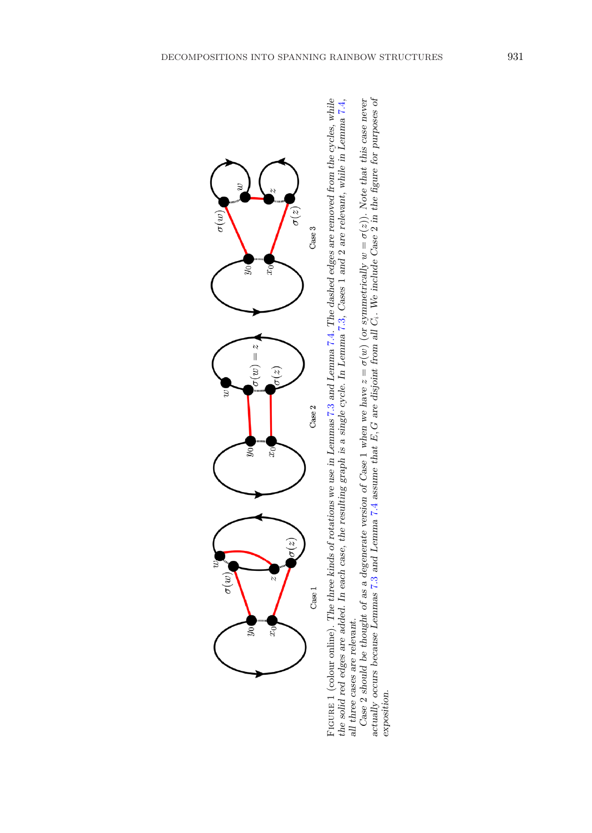<span id="page-32-0"></span>

the solid red edges are added. In each case, the resulting graph is a single cycle. In Lemma 7.3, Cases 1 and 2 are relevant, while in Lemma 7.4, FIGURE 1 (colour online). The three kinds of rotations we use in Lemmas [7.3](#page-30-0) and Lemma [7.4](#page-31-0). The dashed edges are removed from the cycles, while solid red edges are added. In each case, the resulting graph is a single cycle all three cases are relevant.

Ci*. We include Case* 2 *in the figure for purposes of* σ(z))*. Note that this case never*  $\parallel$ w σ(w) (*or symmetrically* actually occurs because Lemmas [7.3](#page-30-0) and Lemma [7.4](#page-31-0) assume that  $E, G$  are disjoint from all exposition. *exposition.*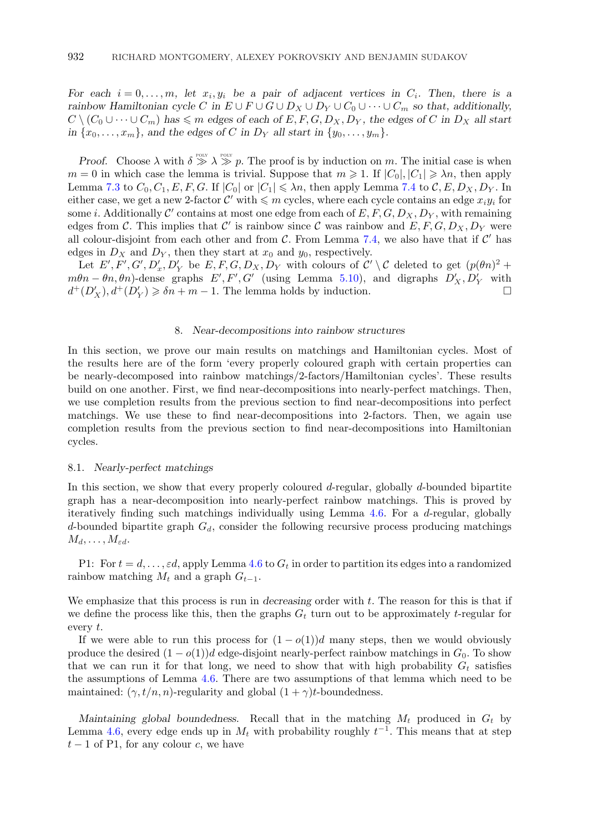*For each*  $i = 0, \ldots, m$ , let  $x_i, y_i$  be a pair of adjacent vertices in  $C_i$ . Then, there is a *rainbow Hamiltonian cycle* C in  $E \cup F \cup G \cup D_X \cup D_Y \cup C_0 \cup \cdots \cup C_m$  so that, additionally,  $C \setminus (C_0 \cup \cdots \cup C_m)$  has  $\leqslant m$  edges of each of  $E, F, G, D_X, D_Y$ , the edges of C in  $D_X$  all start *in*  $\{x_0, \ldots, x_m\}$ , and the edges of C *in*  $D_Y$  *all start in*  $\{y_0, \ldots, y_m\}$ .

*Proof.* Choose  $\lambda$  with  $\delta \gg \lambda \gg p$ . The proof is by induction on m. The initial case is when  $m = 0$  in which case the lemma is trivial. Suppose that  $m \geq 1$ . If  $|C_0|, |C_1| \geq \lambda n$ , then apply Lemma [7.3](#page-30-0) to  $C_0, C_1, E, F, G$ . If  $|C_0|$  or  $|C_1| \leq \lambda n$ , then apply Lemma [7.4](#page-31-0) to  $\mathcal{C}, E, D_X, D_Y$ . In either case, we get a new 2-factor  $\mathcal{C}'$  with  $\leqslant m$  cycles, where each cycle contains an edge  $x_i y_i$  for some *i*. Additionally C' contains at most one edge from each of  $E, F, G, D_X, D_Y$ , with remaining edges from C. This implies that C' is rainbow since C was rainbow and  $E, F, G, D_X, D_Y$  were all colour-disjoint from each other and from  $C$ . From Lemma [7.4,](#page-31-0) we also have that if  $C'$  has edges in  $D_X$  and  $D_Y$ , then they start at  $x_0$  and  $y_0$ , respectively.

Let  $E', F', G', D'_x, D'_Y$  be  $E, F, G, D_X, D_Y$  with colours of  $\mathcal{C}' \setminus \mathcal{C}$  deleted to get  $(p(\theta n)^2 + p)$  $m\theta n - \theta n$ ,  $\theta n$ )-dense graphs E', F', G' (using Lemma [5.10\)](#page-25-0), and digraphs  $D'_X, D'_Y$  with  $d^+(D'_X), d^+(D'_Y) \ge \delta n + m - 1$ . The lemma holds by induction.

## 8. *Near-decompositions into rainbow structures*

In this section, we prove our main results on matchings and Hamiltonian cycles. Most of the results here are of the form 'every properly coloured graph with certain properties can be nearly-decomposed into rainbow matchings/2-factors/Hamiltonian cycles'. These results build on one another. First, we find near-decompositions into nearly-perfect matchings. Then, we use completion results from the previous section to find near-decompositions into perfect matchings. We use these to find near-decompositions into 2-factors. Then, we again use completion results from the previous section to find near-decompositions into Hamiltonian cycles.

## 8.1. *Nearly-perfect matchings*

In this section, we show that every properly coloured d-regular, globally d-bounded bipartite graph has a near-decomposition into nearly-perfect rainbow matchings. This is proved by iteratively finding such matchings individually using Lemma [4.6.](#page-19-0) For a d-regular, globally d-bounded bipartite graph  $G_d$ , consider the following recursive process producing matchings  $M_d, \ldots, M_{\varepsilon d}.$ 

P1: For  $t = d, \ldots, \varepsilon d$ , apply Lemma [4.6](#page-19-0) to  $G_t$  in order to partition its edges into a randomized rainbow matching  $M_t$  and a graph  $G_{t-1}$ .

We emphasize that this process is run in *decreasing* order with t. The reason for this is that if we define the process like this, then the graphs  $G_t$  turn out to be approximately t-regular for every t.

If we were able to run this process for  $(1 - o(1))d$  many steps, then we would obviously produce the desired  $(1 - o(1))d$  edge-disjoint nearly-perfect rainbow matchings in  $G_0$ . To show that we can run it for that long, we need to show that with high probability  $G_t$  satisfies the assumptions of Lemma [4.6.](#page-19-0) There are two assumptions of that lemma which need to be maintained:  $(\gamma, t/n, n)$ -regularity and global  $(1 + \gamma)t$ -boundedness.

*Maintaining global boundedness.* Recall that in the matching  $M_t$  produced in  $G_t$  by Lemma [4.6,](#page-19-0) every edge ends up in  $M_t$  with probability roughly  $t^{-1}$ . This means that at step  $t-1$  of P1, for any colour c, we have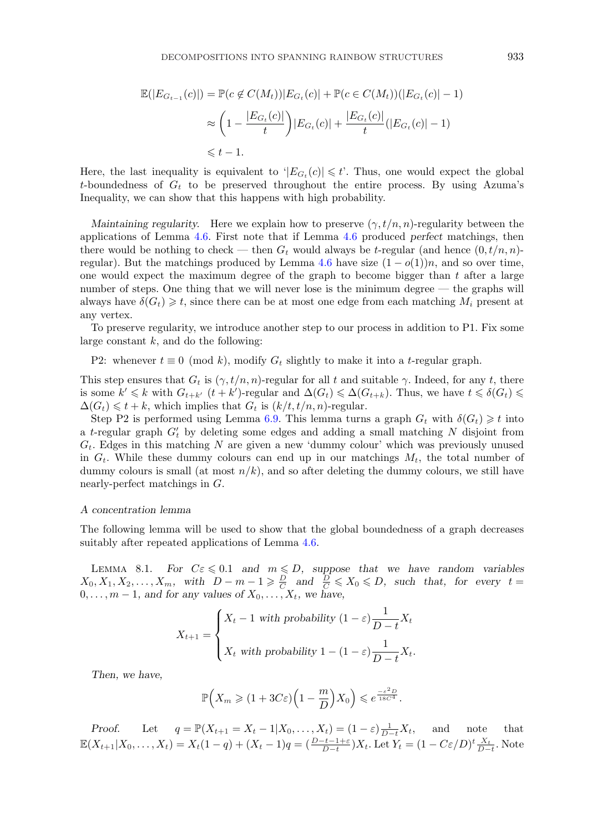<span id="page-34-0"></span>
$$
\mathbb{E}(|E_{G_{t-1}}(c)|) = \mathbb{P}(c \notin C(M_t))|E_{G_t}(c)| + \mathbb{P}(c \in C(M_t))(|E_{G_t}(c)| - 1)
$$
  

$$
\approx \left(1 - \frac{|E_{G_t}(c)|}{t}\right)|E_{G_t}(c)| + \frac{|E_{G_t}(c)|}{t}(|E_{G_t}(c)| - 1)
$$
  

$$
\leq t - 1.
$$

Here, the last inequality is equivalent to  $|E_{G_t}(c)| \leq t$ . Thus, one would expect the global t-boundedness of  $G_t$  to be preserved throughout the entire process. By using Azuma's Inequality, we can show that this happens with high probability.

*Maintaining regularity.* Here we explain how to preserve  $(\gamma, t/n, n)$ -regularity between the applications of Lemma [4.6.](#page-19-0) First note that if Lemma [4.6](#page-19-0) produced *perfect* matchings, then there would be nothing to check — then  $G_t$  would always be t-regular (and hence  $(0, t/n, n)$ -regular). But the matchings produced by Lemma [4.6](#page-19-0) have size  $(1 - o(1))n$ , and so over time, one would expect the maximum degree of the graph to become bigger than  $t$  after a large number of steps. One thing that we will never lose is the minimum degree — the graphs will always have  $\delta(G_t) \geq t$ , since there can be at most one edge from each matching  $M_i$  present at any vertex.

To preserve regularity, we introduce another step to our process in addition to P1. Fix some large constant  $k$ , and do the following:

P2: whenever  $t \equiv 0 \pmod{k}$ , modify  $G_t$  slightly to make it into a t-regular graph.

This step ensures that  $G_t$  is  $(\gamma, t/n, n)$ -regular for all t and suitable  $\gamma$ . Indeed, for any t, there is some  $k' \leq k$  with  $G_{t+k'}$   $(t+k')$ -regular and  $\Delta(G_t) \leq \Delta(G_{t+k})$ . Thus, we have  $t \leq \delta(G_t) \leq$  $\Delta(G_t) \leq t + k$ , which implies that  $G_t$  is  $(k/t, t/n, n)$ -regular.

Step P2 is performed using Lemma [6.9.](#page-28-0) This lemma turns a graph  $G_t$  with  $\delta(G_t) \geq t$  into a t-regular graph  $G'_{t}$  by deleting some edges and adding a small matching N disjoint from  $G_t$ . Edges in this matching N are given a new 'dummy colour' which was previously unused in  $G_t$ . While these dummy colours can end up in our matchings  $M_t$ , the total number of dummy colours is small (at most  $n/k$ ), and so after deleting the dummy colours, we still have nearly-perfect matchings in G.

#### *A concentration lemma*

The following lemma will be used to show that the global boundedness of a graph decreases suitably after repeated applications of Lemma [4.6.](#page-19-0)

LEMMA 8.1. *For*  $C\epsilon \leq 0.1$  *and*  $m \leq D$ , suppose that we have random variables  $X_0, X_1, X_2, \ldots, X_m$ , with  $D - m - 1 \geqslant \frac{D}{C}$  and  $\frac{D}{C} \leqslant X_0 \leqslant D$ , such that, for every  $t =$  $0, \ldots, m-1$ , and for any values of  $X_0, \ldots, X_t$ , we have,

$$
X_{t+1} = \begin{cases} X_t - 1 \text{ with probability } (1 - \varepsilon) \frac{1}{D - t} X_t \\ X_t \text{ with probability } 1 - (1 - \varepsilon) \frac{1}{D - t} X_t. \end{cases}
$$

*Then, we have,*

$$
\mathbb{P}\Big(X_m \geqslant (1+3C\varepsilon)\Big(1-\frac{m}{D}\Big)X_0\Big) \leqslant e^{\frac{-\varepsilon^2 D}{18C^4}}.
$$

*Proof.* Let  $q = \mathbb{P}(X_{t+1} = X_t - 1 | X_0, \dots, X_t) = (1 - \varepsilon) \frac{1}{D-t} X_t$ , and note that  $\mathbb{E}(X_{t+1}|X_0,\ldots,X_t) = X_t(1-q) + (X_t-1)q = \left(\frac{D-t-1+\varepsilon}{D-t}\right)X_t.$  Let  $Y_t = (1-C\varepsilon/D)^t \frac{X_t}{D-t}.$  Note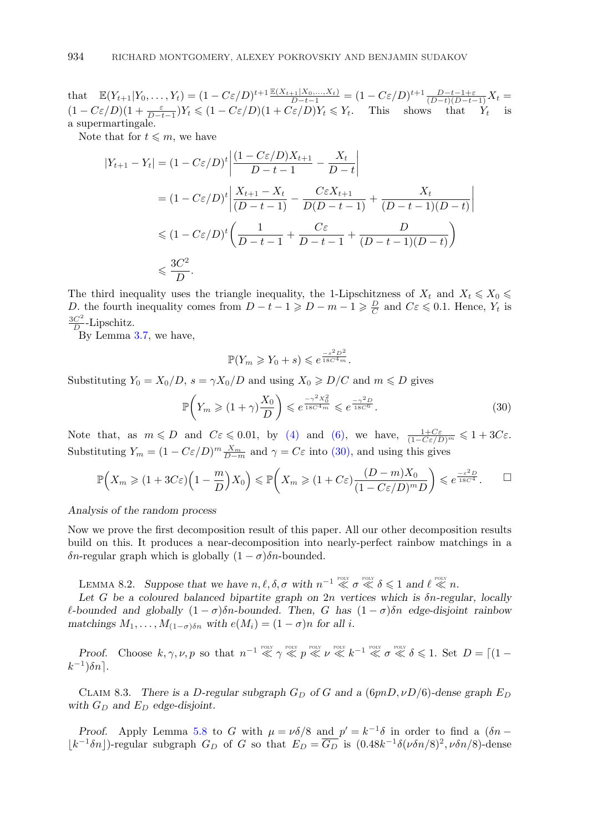<span id="page-35-0"></span>that  $\mathbb{E}(Y_{t+1}|Y_0,\ldots,Y_t) = (1 - C\varepsilon/D)^{t+1} \frac{\mathbb{E}(X_{t+1}|X_0,\ldots,X_t)}{D-t-1} = (1 - C\varepsilon/D)^{t+1} \frac{D-t-1+\varepsilon}{(D-t)(D-t-1)} X_t$  $(1 - C\varepsilon/D)(1 + \frac{\varepsilon}{D-t-1})Y_t \leq (1 - C\varepsilon/D)(1 + C\varepsilon/D)Y_t \leq Y_t$ . This shows that  $Y_t$  is a supermartingale.

Note that for  $t \leq m$ , we have

$$
|Y_{t+1} - Y_t| = (1 - C\varepsilon/D)^t \left| \frac{(1 - C\varepsilon/D)X_{t+1}}{D - t - 1} - \frac{X_t}{D - t} \right|
$$
  

$$
= (1 - C\varepsilon/D)^t \left| \frac{X_{t+1} - X_t}{(D - t - 1)} - \frac{C\varepsilon X_{t+1}}{D(D - t - 1)} + \frac{X_t}{(D - t - 1)(D - t)} \right|
$$
  

$$
\leq (1 - C\varepsilon/D)^t \left( \frac{1}{D - t - 1} + \frac{C\varepsilon}{D - t - 1} + \frac{D}{(D - t - 1)(D - t)} \right)
$$
  

$$
\leq \frac{3C^2}{D}.
$$

The third inequality uses the triangle inequality, the 1-Lipschitzness of  $X_t$  and  $X_t \leq X_0 \leq$ D. the fourth inequality comes from  $D-t-1 \geq D-m-1 \geq \frac{D}{C}$  and  $C \in \{0,1\}$ . Hence,  $Y_t$  is  $\frac{3C^2}{D}$ -Lipschitz.

By Lemma [3.7,](#page-12-0) we have,

$$
\mathbb{P}(Y_m \geq Y_0 + s) \leqslant e^{\frac{-s^2 D^2}{18C^4 m}}.
$$

Substituting  $Y_0 = X_0/D$ ,  $s = \gamma X_0/D$  and using  $X_0 \ge D/C$  and  $m \le D$  gives

$$
\mathbb{P}\left(Y_m \geqslant (1+\gamma)\frac{X_0}{D}\right) \leqslant e^{\frac{-\gamma^2 X_0^2}{18C^4 m}} \leqslant e^{\frac{-\gamma^2 D}{18C^6}}.\tag{30}
$$

Note that, as  $m \leq D$  and  $C\varepsilon \leq 0.01$ , by [\(4\)](#page-9-0) and [\(6\),](#page-9-0) we have,  $\frac{1+C\varepsilon}{(1-C\varepsilon/D)^m} \leq 1+3C\varepsilon$ . Substituting  $Y_m = (1 - C\varepsilon/D)^m \frac{X_m}{D-m}$  and  $\gamma = C\varepsilon$  into (30), and using this gives

$$
\mathbb{P}\Big(X_m \geqslant (1+3C\varepsilon)\Big(1-\frac{m}{D}\Big)X_0\Big) \leqslant \mathbb{P}\Big(X_m \geqslant (1+C\varepsilon)\frac{(D-m)X_0}{(1-C\varepsilon/D)^mD}\Big) \leqslant e^{\frac{-\varepsilon^2 D}{18C^4}}.\qquad \Box
$$

*Analysis of the random process*

Now we prove the first decomposition result of this paper. All our other decomposition results build on this. It produces a near-decomposition into nearly-perfect rainbow matchings in a δn-regular graph which is globally  $(1 - σ)$ δn-bounded.

LEMMA 8.2. Suppose that we have  $n, \ell, \delta, \sigma$  with  $n^{-1} \ll \sigma \ll \delta \leq 1$  and  $\ell \ll n$ .

*Let* G *be a coloured balanced bipartite graph on* 2n *vertices which is* δn*-regular, locally l*-bounded and globally  $(1 - \sigma)\delta n$ -bounded. Then, G has  $(1 - \sigma)\delta n$  edge-disjoint rainbow *matchings*  $M_1, \ldots, M_{(1-\sigma)\delta n}$  *with*  $e(M_i) = (1-\sigma)n$  *for all i.* 

*Proof.* Choose  $k, \gamma, \nu, p$  so that  $n^{-1} \ll \gamma \ll p \ll \nu \ll k^{-1} \ll \sigma \ll \delta \leq 1$ . Set  $D = \lceil (1 - \gamma)^{100} \rceil$  $k^{-1}$ ) $\delta n$ .

CLAIM 8.3. There is a D-regular subgraph  $G_D$  of G and a (6pnD,  $\nu D/6$ )-dense graph  $E_D$ with  $G_D$  and  $E_D$  edge-disjoint.

*Proof.* Apply Lemma [5.8](#page-25-0) to G with  $\mu = \nu \delta/8$  and  $p' = k^{-1}\delta$  in order to find a  $(\delta n \lfloor k^{-1}\delta n \rfloor$ -regular subgraph  $G_D$  of G so that  $E_D = \overline{G_D}$  is  $(0.48k^{-1}\delta(\nu\delta n/8)^2, \nu\delta n/8)$ -dense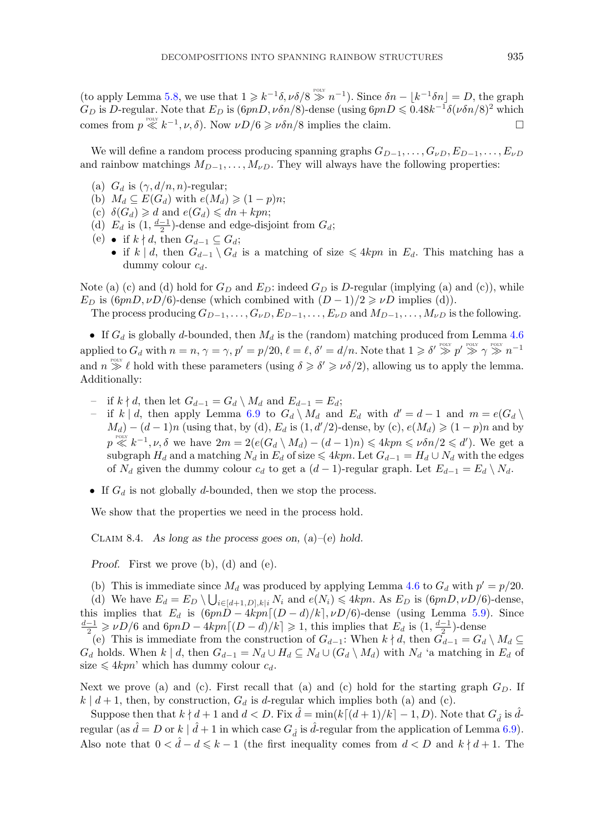(to apply Lemma [5.8,](#page-25-0) we use that  $1 \geq k^{-1}\delta$ ,  $\nu \delta/8 \gg n^{-1}$ ). Since  $\delta n - \lfloor k^{-1} \delta n \rfloor = D$ , the graph  $G_D$  is D-regular. Note that  $E_D$  is  $(6pnD, \nu \delta n/8)$ -dense (using  $6pnD \leq 0.48k^{-1}\delta(\nu \delta n/8)^2$  which comes from  $p \ll k^{-1}, \nu, \delta$ ). Now  $\nu D/6 \ge \nu \delta n/8$  implies the claim.

We will define a random process producing spanning graphs  $G_{D-1},\ldots,G_{\nu D},E_{D-1},\ldots,E_{\nu D}$ and rainbow matchings  $M_{D-1},\ldots,M_{\nu D}$ . They will always have the following properties:

- (a)  $G_d$  is  $(\gamma, d/n, n)$ -regular;
- (b)  $M_d \subseteq E(G_d)$  with  $e(M_d) \geqslant (1-p)n;$
- (c)  $\delta(G_d) \geq d$  and  $e(G_d) \leq dn + kpn;$
- (d)  $E_d$  is  $(1, \frac{d-1}{2})$ -dense and edge-disjoint from  $G_d$ ;
- (e) if  $k \nmid d$ , then  $G_{d-1} \subseteq G_d$ ;
	- if k | d, then  $G_{d-1} \setminus G_d$  is a matching of size  $\leq 4kpn$  in  $E_d$ . This matching has a dummy colour  $c_d$ .

Note (a) (c) and (d) hold for  $G_D$  and  $E_D$ : indeed  $G_D$  is D-regular (implying (a) and (c)), while  $E_D$  is  $(6pnD, \nu D/6)$ -dense (which combined with  $(D-1)/2 \geq \nu D$  implies (d)).

The process producing  $G_{D-1},\ldots,G_{\nu D},E_{D-1},\ldots,E_{\nu D}$  and  $M_{D-1},\ldots,M_{\nu D}$  is the following.

• If  $G_d$  is globally d-bounded, then  $M_d$  is the (random) matching produced from Lemma [4.6](#page-19-0) applied to  $G_d$  with  $n = n$ ,  $\gamma = \gamma$ ,  $p' = p/20$ ,  $\ell = \ell$ ,  $\delta' = d/n$ . Note that  $1 \geq \delta' \geq p' \geq p' \geq \gamma \geq n^{-1}$ and  $n \geq 0$  hold with these parameters (using  $\delta \geq \delta' \geq \nu \delta/2$ ), allowing us to apply the lemma. Additionally:

- $-$  if  $k \nmid d$ , then let  $G_{d-1} = G_d \setminus M_d$  and  $E_{d-1} = E_d$ ;
- if k | d, then apply Lemma [6.9](#page-28-0) to  $G_d \setminus M_d$  and  $E_d$  with  $d' = d 1$  and  $m = e(G_d \setminus M_d)$  $M_d$ ) –  $(d-1)n$  (using that, by (d),  $E_d$  is  $(1, d'/2)$ -dense, by (c),  $e(M_d) \geq (1-p)n$  and by  $p \ll k^{-1}, \nu, \delta$  we have  $2m = 2(e(G_d \setminus M_d) - (d-1)n) \leq 4kpn \leq \nu \delta n/2 \leq d')$ . We get a subgraph  $H_d$  and a matching  $N_d$  in  $E_d$  of size  $\leqslant 4kpn$ . Let  $G_{d-1} = H_d \cup N_d$  with the edges of  $N_d$  given the dummy colour  $c_d$  to get a  $(d-1)$ -regular graph. Let  $E_{d-1} = E_d \setminus N_d$ .
- If  $G_d$  is not globally d-bounded, then we stop the process.

We show that the properties we need in the process hold.

Claim 8.4. *As long as the process goes on,* (*a*)*–*(*e*) *hold.*

*Proof.* First we prove (b), (d) and (e).

(b) This is immediate since  $M_d$  was produced by applying Lemma [4.6](#page-19-0) to  $G_d$  with  $p' = p/20$ . (d) We have  $E_d = E_D \setminus \bigcup_{i \in [d+1,D], k \mid i} N_i$  and  $e(N_i) \leq 4kpn$ . As  $E_D$  is  $(6pnD, \nu D/6)$ -dense, this implies that  $E_d$  is  $(6pnD - 4kpn[(D - d)/k], \nu D/6)$ -dense (using Lemma [5.9\)](#page-25-0). Since  $\frac{d-1}{2}$  ≥  $\nu D/6$  and  $6pnD - 4kpn[(D-d)/k] \geq 1$ , this implies that  $E_d$  is  $(1, \frac{d-1}{2})$ -dense

(e) This is immediate from the construction of  $G_{d-1}$ : When  $k \nmid d$ , then  $G_{d-1} = G_d \setminus M_d \subseteq$  $G_d$  holds. When  $k | d$ , then  $G_{d-1} = N_d \cup H_d \subseteq N_d \cup (G_d \setminus M_d)$  with  $N_d$  'a matching in  $E_d$  of size  $\leqslant 4kpn'$  which has dummy colour  $c_d$ .

Next we prove (a) and (c). First recall that (a) and (c) hold for the starting graph  $G_D$ . If  $k | d+1$ , then, by construction,  $G_d$  is d-regular which implies both (a) and (c).

Suppose then that  $k \nmid d+1$  and  $d < D$ . Fix  $\hat{d} = \min(k[(d+1)/k] - 1, D)$ . Note that  $G_{\hat{d}}$  is  $\hat{d}$ regular (as  $\hat{d} = D$  or  $k \mid \hat{d} + 1$  in which case  $G_{\hat{d}}$  is  $\hat{d}$ -regular from the application of Lemma [6.9\)](#page-28-0). Also note that  $0 < \hat{d} - d \leqslant k - 1$  (the first inequality comes from  $d < D$  and  $k \nmid d + 1$ . The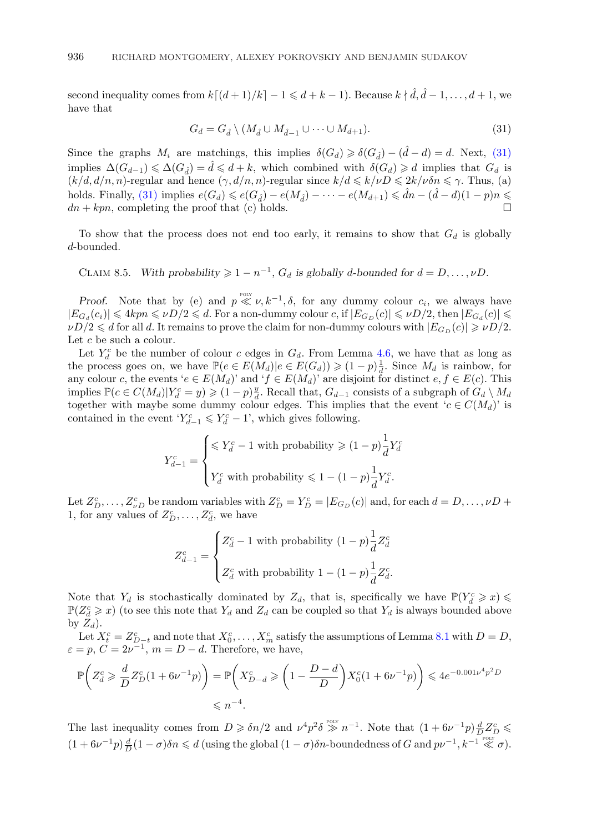second inequality comes from  $k[(d+1)/k] - 1 \leqslant d + k - 1$ ). Because  $k \nmid \hat{d}, \hat{d} - 1, \ldots, d + 1$ , we have that

$$
G_d = G_{\hat{d}} \setminus (M_{\hat{d}} \cup M_{\hat{d}-1} \cup \cdots \cup M_{d+1}).
$$
\n(31)

Since the graphs  $M_i$  are matchings, this implies  $\delta(G_d) \geq \delta(G_d) - (\hat{d} - d) = d$ . Next, (31) implies  $\Delta(G_{d-1}) \leq \Delta(G_{\hat{d}}) = \hat{d} \leq d+k$ , which combined with  $\delta(G_d) \geq d$  implies that  $G_d$  is  $(k/d, d/n, n)$ -regular and hence  $(\gamma, d/n, n)$ -regular since  $k/d \leq k/\nu D \leq 2k/\nu \delta n \leq \gamma$ . Thus, (a) holds. Finally, (31) implies  $e(G_d) \leq e(G_{\hat{d}}) - e(M_{\hat{d}}) - \cdots - e(M_{d+1}) \leq \hat{d}n - (\hat{d} - d)(1 - p)n \leq$  $dn + kpn$ , completing the proof that (c) holds.

To show that the process does not end too early, it remains to show that  $G_d$  is globally d-bounded.

CLAIM 8.5. *With probability*  $\geq 1 - n^{-1}$ ,  $G_d$  *is globally d-bounded for*  $d = D, ..., \nu D$ .

*Proof.* Note that by (e) and  $p \ll v, k^{-1}, \delta$ , for any dummy colour  $c_i$ , we always have  $|E_{G_d}(c_i)| \leqslant 4kpn \leqslant \nu D/2 \leqslant d$ . For a non-dummy colour c, if  $|E_{G_D}(c)| \leqslant \nu D/2$ , then  $|E_{G_d}(c)| \leqslant$  $\nu D/2 \leqslant d$  for all  $d.$  It remains to prove the claim for non-dummy colours with  $|E_{G_D} (c)| \geqslant \nu D/2.$ Let  $c$  be such a colour.

Let  $Y_d^c$  be the number of colour c edges in  $G_d$ . From Lemma [4.6,](#page-19-0) we have that as long as the process goes on, we have  $\mathbb{P}(e \in E(M_d)|e \in E(G_d)) \geq (1-p)\frac{1}{d}$ . Since  $M_d$  is rainbow, for any colour c, the events ' $e \in E(M_d)$ ' and ' $f \in E(M_d)$ ' are disjoint for distinct  $e, f \in E(c)$ . This implies  $\mathbb{P}(c \in C(M_d) | Y_d^c = y) \geq (1-p) \frac{y}{d}$ . Recall that,  $G_{d-1}$  consists of a subgraph of  $G_d \setminus M_d$ together with maybe some dummy colour edges. This implies that the event ' $c \in C(M_d)$ ' is contained in the event  $Y_{d-1}^c \leq Y_d^c - 1$ , which gives following.

$$
Y_{d-1}^c = \begin{cases} \le Y_d^c - 1 \text{ with probability } \ge (1 - p) \frac{1}{d} Y_d^c \\ Y_d^c \text{ with probability } \le 1 - (1 - p) \frac{1}{d} Y_d^c. \end{cases}
$$

Let  $Z_{D}^{c}$ ,...,  $Z_{\nu D}^{c}$  be random variables with  $Z_{D}^{c} = Y_{D}^{c} = |E_{G_{D}}(c)|$  and, for each  $d = D, \ldots, \nu D +$ 1, for any values of  $Z_D^c, \ldots, Z_d^c$ , we have

$$
Z_{d-1}^c = \begin{cases} Z_d^c - 1 \text{ with probability } (1-p)\frac{1}{d}Z_d^c \\ Z_d^c \text{ with probability } 1 - (1-p)\frac{1}{d}Z_d^c. \end{cases}
$$

Note that  $Y_d$  is stochastically dominated by  $Z_d$ , that is, specifically we have  $\mathbb{P}(Y_d^c \geq x)$  $\mathbb{P}(Z_d^c \geq x)$  (to see this note that  $Y_d$  and  $Z_d$  can be coupled so that  $Y_d$  is always bounded above by  $Z_d$ ).

Let  $X_t^c = Z_{D-t}^c$  and note that  $X_0^c, \ldots, X_m^c$  satisfy the assumptions of Lemma [8.1](#page-34-0) with  $D = D$ ,  $\varepsilon = p, C = 2\nu^{-1}, m = D - d.$  Therefore, we have,

$$
\mathbb{P}\left(Z_d^c \ge \frac{d}{D} Z_D^c (1 + 6\nu^{-1} p)\right) = \mathbb{P}\left(X_{D-d}^c \ge \left(1 - \frac{D-d}{D}\right) X_0^c (1 + 6\nu^{-1} p)\right) \le 4e^{-0.001\nu^4 p^2 D}
$$
  
 $\le n^{-4}.$ 

The last inequality comes from  $D \geq \delta n/2$  and  $\nu^4 p^2 \delta \gg n^{-1}$ . Note that  $(1 + 6\nu^{-1}p)\frac{d}{D}Z_D^c$  $(1+6\nu^{-1}p)\frac{d}{D}(1-\sigma)\delta n \le d$  (using the global  $(1-\sigma)\delta n$ -boundedness of G and  $p\nu^{-1}, k^{-1} \ll \sigma$ ).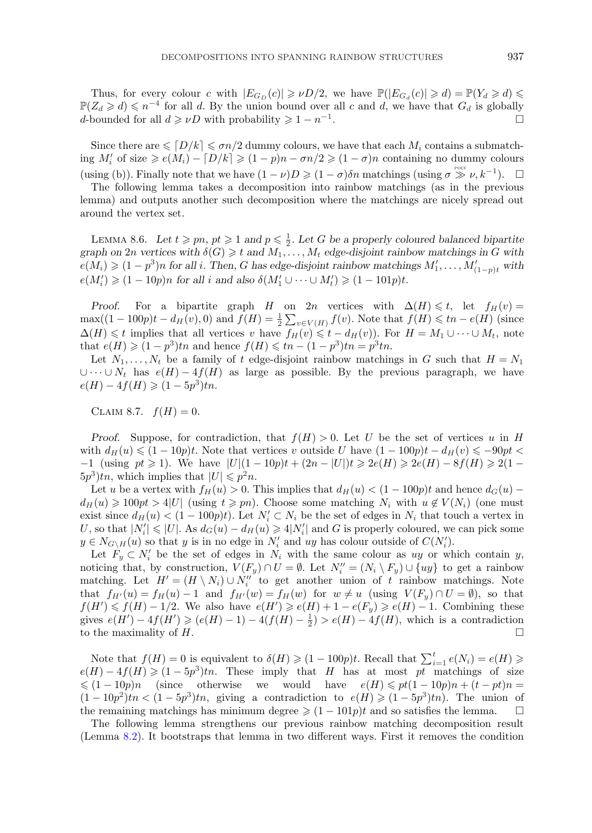<span id="page-38-0"></span>Thus, for every colour c with  $|E_{G_D}(c)| \ge \nu D/2$ , we have  $\mathbb{P}(|E_{G_d}(c)| \ge d) = \mathbb{P}(Y_d \ge d) \le$  $\mathbb{P}(Z_d \geq d) \leq n^{-4}$  for all d. By the union bound over all c and d, we have that  $G_d$  is globally d-bounded for all  $d \geq \nu D$  with probability  $\geq 1 - n^{-1}$ .

Since there are  $\leqslant \lceil D/k \rceil \leqslant \sigma n/2$  dummy colours, we have that each  $M_i$  contains a submatching  $M'_i$  of size  $\geqslant e(M_i) - [D/k] \geqslant (1-p)n - \sigma n/2 \geqslant (1-\sigma)n$  containing no dummy colours (using (b)). Finally note that we have  $(1 - \nu)D \geqslant (1 - \sigma)\delta n$  matchings (using  $\sigma \geqslant \nu, k^{-1}$ ).  $\Box$ 

The following lemma takes a decomposition into rainbow matchings (as in the previous lemma) and outputs another such decomposition where the matchings are nicely spread out around the vertex set.

LEMMA 8.6. Let  $t \geq p_n$ ,  $pt \geq 1$  and  $p \leq \frac{1}{2}$ . Let G be a properly coloured balanced bipartite *graph on*  $2n$  *vertices with*  $\delta(G) \geq t$  *and*  $M_1, \ldots, M_t$  *edge-disjoint rainbow matchings in* G *with*  $e(M_i) \geqslant (1-p^3)n$  for all i. Then, G has edge-disjoint rainbow matchings  $M'_1, \ldots, M'_{(1-p)t}$  with  $e(M'_i) \geq (1 - 10p)n$  for all *i* and also  $\delta(M'_1 \cup \cdots \cup M'_t) \geq (1 - 101p)t$ .

*Proof.* For a bipartite graph H on 2n vertices with  $\Delta(H) \leq t$ , let  $f_H(v) =$  $\max((1-100p)t - d_H(v), 0)$  and  $f(H) = \frac{1}{2} \sum_{v \in V(H)} f(v)$ . Note that  $f(H) \leq t_n - e(H)$  (since  $\Delta(H) \leq t$  implies that all vertices v have  $f_H(v) \leq t - d_H(v)$ . For  $H = M_1 \cup \cdots \cup M_t$ , note that  $e(H) \geqslant (1 - p^3)t_n$  and hence  $f(H) \leqslant tn - (1 - p^3)t_n = p^3tn$ .

Let  $N_1,\ldots,N_t$  be a family of t edge-disjoint rainbow matchings in G such that  $H = N_1$ ∪···∪  $N_t$  has  $e(H) - 4f(H)$  as large as possible. By the previous paragraph, we have  $e(H) - 4f(H) \geqslant (1 - 5p^3)tn.$ 

CLAIM 8.7.  $f(H)=0$ .

*Proof.* Suppose, for contradiction, that  $f(H) > 0$ . Let U be the set of vertices u in H with  $d_H(u) \leq (1 - 10p)t$ . Note that vertices v outside U have  $(1 - 100p)t - d_H(v) \leq -90pt <$  $-1$  (using  $pt \ge 1$ ). We have  $|U|(1-10p)t + (2n - |U|)t \ge 2e(H) \ge 2e(H) - 8f(H) \ge 2(1-\frac{1}{2})$  $5p<sup>3</sup>$ )tn, which implies that  $|U| \leqslant p<sup>2</sup>n$ .

Let u be a vertex with  $f_H(u) > 0$ . This implies that  $d_H(u) < (1 - 100p)t$  and hence  $d_G(u)$  $d_H(u) \geq 100pt > 4|U|$  (using  $t \geq p_n$ ). Choose some matching  $N_i$  with  $u \notin V(N_i)$  (one must exist since  $d_H(u) < (1 - 100p)t$ . Let  $N_i' \subset N_i$  be the set of edges in  $N_i$  that touch a vertex in U, so that  $|N_i'|\leq |U|$ . As  $d_G(u)-d_H(u)\geq 4|N_i'|$  and G is properly coloured, we can pick some  $y \in N_{G \setminus H}(u)$  so that y is in no edge in  $N_i'$  and uy has colour outside of  $C(N_i')$ .

Let  $F_y \subset N'_i$  be the set of edges in  $N_i$  with the same colour as uy or which contain y, noticing that, by construction,  $V(F_y) \cap U = \emptyset$ . Let  $N''_i = (N_i \setminus F_y) \cup \{uy\}$  to get a rainbow matching. Let  $H' = (H \setminus N_i) \cup N_i''$  to get another union of t rainbow matchings. Note that  $f_{H'}(u) = f_H(u) - 1$  and  $f_{H'}(w) = f_H(w)$  for  $w \neq u$  (using  $V(F_u) \cap U = \emptyset$ ), so that  $f(H') \leq f(H) - 1/2$ . We also have  $e(H') \geq e(H) + 1 - e(F_y) \geq e(H) - 1$ . Combining these gives  $e(H') - 4f(H') \geqslant (e(H) - 1) - 4(f(H) - \frac{1}{2}) > e(H) - 4f(H)$ , which is a contradiction to the maximality of  $H$ .

Note that  $f(H) = 0$  is equivalent to  $\delta(H) \geqslant (1 - 100p)t$ . Recall that  $\sum_{i=1}^{t} e(N_i) = e(H) \geqslant$  $e(H) - 4f(H) \geq (1 - 5p^3)tn$ . These imply that H has at most pt matchings of size  $\leqslant (1 - 10p)n$  (since otherwise we would have  $e(H) \leqslant pt(1 - 10p)n + (t - pt)n =$  $(1 - 10p^2)tn < (1 - 5p^3)tn$ , giving a contradiction to  $e(H) \geq (1 - 5p^3)tn$ . The union of the remaining matchings has minimum degree  $\geq (1 - 101p)t$  and so satisfies the lemma.  $\Box$ 

The following lemma strengthens our previous rainbow matching decomposition result (Lemma [8.2\)](#page-35-0). It bootstraps that lemma in two different ways. First it removes the condition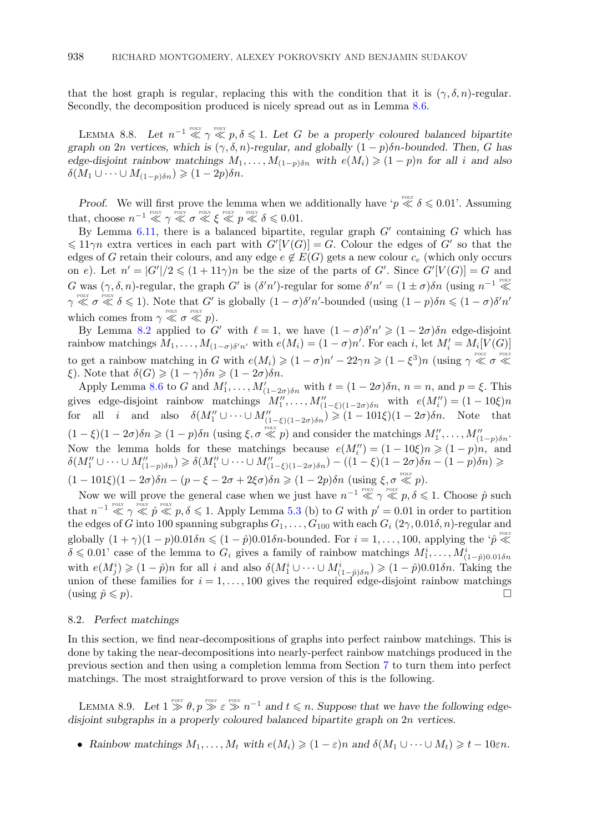<span id="page-39-0"></span>that the host graph is regular, replacing this with the condition that it is  $(\gamma, \delta, n)$ -regular. Secondly, the decomposition produced is nicely spread out as in Lemma [8.6.](#page-38-0)

LEMMA 8.8. Let  $n^{-1} \ll \gamma \ll p, \delta \leq 1$ . Let G be a properly coloured balanced bipartite *graph on* 2n *vertices, which is*  $(\gamma, \delta, n)$ *-regular, and globally*  $(1 - p)\delta n$ *-bounded. Then,* G has *edge-disjoint rainbow matchings*  $M_1, \ldots, M_{(1-p)\delta n}$  *with*  $e(M_i) \geq (1-p)n$  *for all i and also*  $\delta(M_1 \cup \cdots \cup M_{(1-p)\delta n}) \geqslant (1-2p)\delta n.$ 

*Proof.* We will first prove the lemma when we additionally have ' $p \ll \delta \leq 0.01$ '. Assuming that, choose  $n^{-1} \ll \gamma \ll \sigma \ll \xi \ll p \ll \delta \leq 0.01$ .

By Lemma [6.11,](#page-29-0) there is a balanced bipartite, regular graph  $G'$  containing G which has  $\leq 11\gamma n$  extra vertices in each part with  $G'[V(G)] = G$ . Colour the edges of G' so that the edges of G retain their colours, and any edge  $e \notin E(G)$  gets a new colour  $c_e$  (which only occurs on e). Let  $n' = |G'|/2 \leq (1+11\gamma)n$  be the size of the parts of G'. Since  $G'[V(G)] = G$  and G was  $(\gamma, \delta, n)$ -regular, the graph G' is  $(\delta' n')$ -regular for some  $\delta' n' = (1 \pm \sigma) \delta n$  (using  $n^{-1} \ll$  $\gamma \ll \sigma \ll \delta \leq 1$ ). Note that G' is globally  $(1-\sigma)\delta'n'$ -bounded (using  $(1-p)\delta n \leq (1-\sigma)\delta'n'$ which comes from  $\gamma \ll \sigma \ll p$ ).

By Lemma [8.2](#page-35-0) applied to G' with  $\ell = 1$ , we have  $(1 - \sigma)\delta'n' \geq (1 - 2\sigma)\delta n$  edge-disjoint rainbow matchings  $M_1, \ldots, M_{(1-\sigma)\delta'n'}$  with  $e(M_i) = (1-\sigma)n'$ . For each i, let  $M'_i = M_i[V(G)]$ to get a rainbow matching in G with  $e(M_i) \geq (1 - \sigma)n' - 22\gamma n \geq (1 - \xi^3)n$  (using  $\gamma \ll \sigma \ll$  $\xi$ ). Note that  $\delta(G) \geqslant (1 - \gamma)\delta n \geqslant (1 - 2\sigma)\delta n$ .

Apply Lemma [8.6](#page-38-0) to G and  $M'_1, \ldots, M'_{(1-2\sigma)\delta n}$  with  $t = (1 - 2\sigma)\delta n$ ,  $n = n$ , and  $p = \xi$ . This gives edge-disjoint rainbow matchings  $M''_1, \ldots, M''_{(1-\xi)(1-2\sigma)\delta n}$  with  $e(M''_i) = (1-10\xi)n$ for all *i* and also  $\delta(M''_1 \cup \cdots \cup M''_{(1-\xi)(1-2\sigma)\delta n}) \geq (1-101\xi)(1-2\sigma)\delta n$ . Note that  $(1-\xi)(1-2\sigma)\delta n \geqslant (1-p)\delta n$  (using  $\xi, \sigma \ll p$ ) and consider the matchings  $M''_1, \ldots, M''_{(1-p)\delta n}$ . Now the lemma holds for these matchings because  $e(M''_i) = (1 - 10\xi)n \ge (1 - p)n$ , and  $\delta(M''_1 \cup \cdots \cup M''_{(1-p)\delta n}) \geq \delta(M''_1 \cup \cdots \cup M''_{(1-\xi)(1-2\sigma)\delta n}) - ((1-\xi)(1-2\sigma)\delta n - (1-p)\delta n) \geq$  $(1 - 101\xi)(1 - 2\sigma)\delta n - (p - \xi - 2\sigma + 2\xi\sigma)\delta n \geq (1 - 2p)\delta n \text{ (using } \xi, \sigma \ll p).$ 

Now we will prove the general case when we just have  $n^{-1} \ll \gamma \ll p, \delta \leq 1$ . Choose  $\hat{p}$  such that  $n^{-1} \ll \gamma \ll p \ll p, \delta \leq 1$ . Apply Lemma [5.3](#page-22-0) (b) to G with  $p' = 0.01$  in order to partition the edges of G into 100 spanning subgraphs  $G_1,\ldots,G_{100}$  with each  $G_i$  (2 $\gamma$ , 0.01 $\delta$ , n)-regular and globally  $(1 + \gamma)(1 - p)0.01\delta n \leq (1 - \hat{p})0.01\delta n$ -bounded. For  $i = 1, ..., 100$ , applying the ' $\hat{p} \ll$  $\delta \leq 0.01'$  case of the lemma to  $G_i$  gives a family of rainbow matchings  $M_1^i,\ldots,M_{(1-\hat{p})0.01\delta n}^i$ with  $e(M_j^i) \geqslant (1 - \hat{p})n$  for all i and also  $\delta(M_1^i \cup \cdots \cup M_{(1 - \hat{p})\delta n}^i) \geqslant (1 - \hat{p})0.01\delta n$ . Taking the union of these families for  $i = 1, \ldots, 100$  gives the required edge-disjoint rainbow matchings (using  $\hat{p} \leqslant p$ ).

# 8.2. *Perfect matchings*

In this section, we find near-decompositions of graphs into perfect rainbow matchings. This is done by taking the near-decompositions into nearly-perfect rainbow matchings produced in the previous section and then using a completion lemma from Section [7](#page-29-0) to turn them into perfect matchings. The most straightforward to prove version of this is the following.

LEMMA 8.9. Let  $1 \geq \theta, p \geq \varepsilon \geq n^{-1}$  and  $t \leq n$ . Suppose that we have the following edge*disjoint subgraphs in a properly coloured balanced bipartite graph on* 2n *vertices.*

• *Rainbow matchings*  $M_1, \ldots, M_t$  *with*  $e(M_i) \geq (1 - \varepsilon)n$  *and*  $\delta(M_1 \cup \cdots \cup M_t) \geq t - 10\varepsilon n$ *.*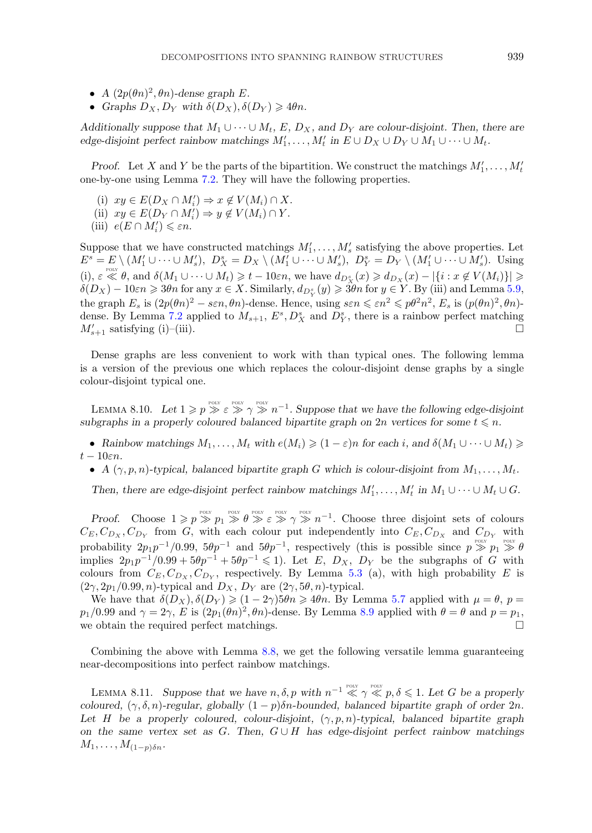- <span id="page-40-0"></span>•  $A(2p(\theta n)^2, \theta n)$ -dense graph E.
- *Graphs*  $D_X, D_Y$  *with*  $\delta(D_X), \delta(D_Y) \geq 4\theta n$ .

*Additionally suppose that*  $M_1 \cup \cdots \cup M_t$ *, E,*  $D_X$ *, and*  $D_Y$  *are colour-disjoint. Then, there are edge-disjoint perfect rainbow matchings*  $M'_1, \ldots, M'_t$  *in*  $E \cup D_X \cup D_Y \cup M_1 \cup \cdots \cup M_t$ *.* 

*Proof.* Let X and Y be the parts of the bipartition. We construct the matchings  $M'_1, \ldots, M'_t$ one-by-one using Lemma [7.2.](#page-30-0) They will have the following properties.

- (i)  $xy \in E(D_X \cap M'_i) \Rightarrow x \notin V(M_i) \cap X$ .
- (ii)  $xy \in E(D_Y \cap M'_i) \Rightarrow y \notin V(M_i) \cap Y$ .
- (iii)  $e(E \cap M'_i) \leq \varepsilon n$ .

Suppose that we have constructed matchings  $M'_1, \ldots, M'_s$  satisfying the above properties. Let  $E^s = E \setminus (M'_1 \cup \cdots \cup M'_s), \ D_X^s = D_X \setminus (M'_1 \cup \cdots \cup M'_s), \ D_Y^s = D_Y \setminus (M'_1 \cup \cdots \cup M'_s).$  Using (i),  $\varepsilon \ll \theta$ , and  $\delta(M_1 \cup \cdots \cup M_t) \geq t - 10\varepsilon n$ , we have  $d_{D_X^s}(x) \geq d_{D_X}(x) - |\{i : x \notin V(M_i)\}| \geq$  $\delta(D_X) - 10\varepsilon n \geqslant 3\theta n$  for any  $x \in X$ . Similarly,  $d_{D_Y^s}(y) \geqslant 3\theta n$  for  $y \in Y$ . By (iii) and Lemma [5.9,](#page-25-0) the graph  $E_s$  is  $(2p(\theta n)^2 - s\epsilon n, \theta n)$ -dense. Hence, using  $s\epsilon n \leq \epsilon n^2 \leq p\theta^2 n^2$ ,  $E_s$  is  $(p(\theta n)^2, \theta n)$ -dense. By Lemma [7.2](#page-30-0) applied to  $M_{s+1}$ ,  $E^s$ ,  $D_X^s$  and  $D_Y^s$ , there is a rainbow perfect matching  $M'_{s+1}$  satisfying (i)–(iii).

Dense graphs are less convenient to work with than typical ones. The following lemma is a version of the previous one which replaces the colour-disjoint dense graphs by a single colour-disjoint typical one.

LEMMA 8.10. Let  $1 \geqslant p \geqslant \varepsilon \geqslant \gamma \geqslant n^{-1}$ . Suppose that we have the following edge-disjoint subgraphs in a properly coloured balanced bipartite graph on  $2n$  vertices for some  $t \leq n$ .

• *Rainbow matchings*  $M_1, \ldots, M_t$  *with*  $e(M_i) \geq (1 - \varepsilon)n$  *for each i*, and  $\delta(M_1 \cup \cdots \cup M_t) \geq$  $t - 10\varepsilon n$ .

• *A*  $(\gamma, p, n)$ -typical, balanced bipartite graph *G* which is colour-disjoint from  $M_1, \ldots, M_t$ .

Then, there are edge-disjoint perfect rainbow matchings  $M'_1, \ldots, M'_t$  in  $M_1 \cup \cdots \cup M_t \cup G$ .

*Proof.* Choose  $1 \geqslant p \geqslant p_1 \geqslant \theta \geqslant \varepsilon \geqslant \gamma \geqslant \gamma \geqslant n^{-1}$ . Choose three disjoint sets of colours  $C_E, C_{D_X}, C_{D_Y}$  from G, with each colour put independently into  $C_E, C_{D_X}$  and  $C_{D_Y}$  with probability  $2p_1p^{-1}/0.99$ ,  $5\theta p^{-1}$  and  $5\theta p^{-1}$ , respectively (this is possible since  $p \gg p_1 \gg \theta$ implies  $2p_1p^{-1}/0.99 + 5\theta p^{-1} + 5\theta p^{-1} \leq 1$ ). Let E,  $D_X$ ,  $D_Y$  be the subgraphs of G with colours from  $C_E, C_{D_X}, C_{D_Y}$ , respectively. By Lemma [5.3](#page-22-0) (a), with high probability E is  $(2\gamma, 2p_1/0.99, n)$ -typical and  $D_X$ ,  $D_Y$  are  $(2\gamma, 5\theta, n)$ -typical.

We have that  $\delta(D_X), \delta(D_Y) \geq (1-2\gamma)5\theta n \geq 4\theta n$ . By Lemma [5.7](#page-24-0) applied with  $\mu = \theta$ ,  $p =$  $p_1/0.99$  and  $\gamma = 2\gamma$ , E is  $(2p_1(\theta n)^2, \theta n)$ -dense. By Lemma [8.9](#page-39-0) applied with  $\theta = \theta$  and  $p = p_1$ , we obtain the required perfect matchings.

Combining the above with Lemma [8.8,](#page-39-0) we get the following versatile lemma guaranteeing near-decompositions into perfect rainbow matchings.

LEMMA 8.11. Suppose that we have  $n, \delta, p$  with  $n^{-1} \ll \gamma \ll p, \delta \leq 1$ . Let G be a properly *coloured,*  $(\gamma, \delta, n)$ -regular, globally  $(1 - p)\delta n$ -bounded, balanced bipartite graph of order  $2n$ . *Let* H *be a properly coloured, colour-disjoint,* (γ, p, n)*-typical, balanced bipartite graph on the same vertex set as* G*. Then,* G ∪ H *has edge-disjoint perfect rainbow matchings*  $M_1,\ldots,M_{(1-p)\delta n}$ .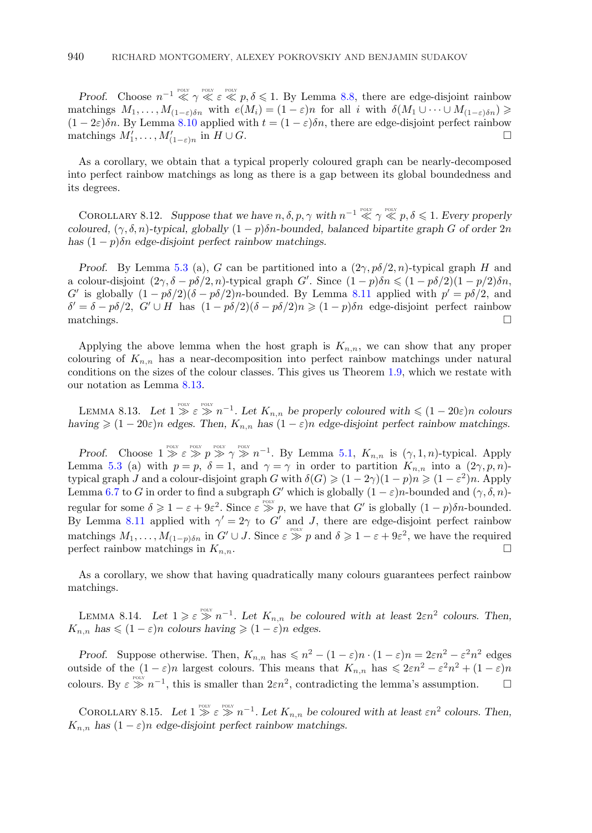<span id="page-41-0"></span>*Proof.* Choose  $n^{-1} \ll \gamma \ll \varepsilon \ll p, \delta \leq 1$ . By Lemma [8.8,](#page-39-0) there are edge-disjoint rainbow matchings  $M_1, \ldots, M_{(1-\varepsilon)\delta n}$  with  $e(M_i) = (1-\varepsilon)n$  for all i with  $\delta(M_1 \cup \cdots \cup M_{(1-\varepsilon)\delta n}) \geq$  $(1 - 2\varepsilon)\delta n$ . By Lemma [8.10](#page-40-0) applied with  $t = (1 - \varepsilon)\delta n$ , there are edge-disjoint perfect rainbow matchings  $M'_1, \ldots, M'_{(1-\varepsilon)n}$  in  $H \cup G$ .

As a corollary, we obtain that a typical properly coloured graph can be nearly-decomposed into perfect rainbow matchings as long as there is a gap between its global boundedness and its degrees.

COROLLARY 8.12. Suppose that we have  $n, \delta, p, \gamma$  with  $n^{-1} \ll \gamma \ll p, \delta \leq 1$ . Every properly *coloured,*  $(\gamma, \delta, n)$ -typical, globally  $(1 - p)\delta n$ -bounded, balanced bipartite graph G of order 2n *has*  $(1 - p)\delta n$  *edge-disjoint perfect rainbow matchings.* 

*Proof.* By Lemma [5.3](#page-22-0) (a), G can be partitioned into a  $(2\gamma, p\delta/2, n)$ -typical graph H and a colour-disjoint  $(2\gamma, \delta - p\delta/2, n)$ -typical graph G'. Since  $(1 - p)\delta n \leq (1 - p\delta/2)(1 - p/2)\delta n$ , G' is globally  $(1 - p\delta/2)(\delta - p\delta/2)n$ -bounded. By Lemma [8.11](#page-40-0) applied with  $p' = p\delta/2$ , and  $\delta' = \delta - p\delta/2$ ,  $G' \cup H$  has  $(1 - p\delta/2)(\delta - p\delta/2)n \ge (1 - p)\delta n$  edge-disjoint perfect rainbow matchings.  $\Box$ 

Applying the above lemma when the host graph is  $K_{n,n}$ , we can show that any proper colouring of  $K_{n,n}$  has a near-decomposition into perfect rainbow matchings under natural conditions on the sizes of the colour classes. This gives us Theorem [1.9,](#page-3-0) which we restate with our notation as Lemma 8.13.

LEMMA 8.13. Let  $1 \geq \varepsilon \geq n^{-1}$ . Let  $K_{n,n}$  be properly coloured with  $\leq (1-20\varepsilon)n$  colours *having*  $\geq (1 - 20\varepsilon)n$  *edges. Then,*  $K_{n,n}$  *has*  $(1 - \varepsilon)n$  *edge-disjoint perfect rainbow matchings.* 

*Proof.* Choose  $1 \gg \varepsilon \gg p \gg \gamma \gg n^{-1}$ . By Lemma [5.1,](#page-21-0)  $K_{n,n}$  is  $(\gamma, 1, n)$ -typical. Apply Lemma [5.3](#page-22-0) (a) with  $p = p$ ,  $\delta = 1$ , and  $\gamma = \gamma$  in order to partition  $K_{n,n}$  into a  $(2\gamma, p, n)$ typical graph J and a colour-disjoint graph G with  $\delta(G) \geq (1 - 2\gamma)(1 - p)n \geq (1 - \varepsilon^2)n$ . Apply Lemma [6.7](#page-27-0) to G in order to find a subgraph G' which is globally  $(1 - \varepsilon)n$ -bounded and  $(\gamma, \delta, n)$ regular for some  $\delta \geqslant 1 - \varepsilon + 9\varepsilon^2$ . Since  $\varepsilon \geqslant^{\text{row}} p$ , we have that G' is globally  $(1-p)\delta n$ -bounded. By Lemma [8.11](#page-40-0) applied with  $\gamma' = 2\gamma$  to G' and J, there are edge-disjoint perfect rainbow matchings  $M_1, \ldots, M_{(1-p)\delta n}$  in  $G' \cup J$ . Since  $\varepsilon \geqslant p$  and  $\delta \geqslant 1 - \varepsilon + 9\varepsilon^2$ , we have the required perfect rainbow matchings in  $K_{n,n}$ .

As a corollary, we show that having quadratically many colours guarantees perfect rainbow matchings.

LEMMA 8.14. Let  $1 \geqslant \varepsilon \geqslant n^{-1}$ . Let  $K_{n,n}$  be coloured with at least  $2\varepsilon n^2$  colours. Then,  $K_{n,n}$  has  $\leqslant (1 - \varepsilon)n$  colours having  $\geqslant (1 - \varepsilon)n$  edges.

*Proof.* Suppose otherwise. Then,  $K_{n,n}$  has  $\leq n^2 - (1 - \varepsilon)n \cdot (1 - \varepsilon)n = 2\varepsilon n^2 - \varepsilon^2 n^2$  edges outside of the  $(1 - \varepsilon)n$  largest colours. This means that  $K_{n,n}$  has  $\leq 2\varepsilon n^2 - \varepsilon^2 n^2 + (1 - \varepsilon)n$ colours. By  $\varepsilon \gg n^{-1}$ , this is smaller than  $2\varepsilon n^2$ , contradicting the lemma's assumption.  $\square$ 

COROLLARY 8.15. Let  $1 \geq \varepsilon \geq n^{-1}$ . Let  $K_{n,n}$  be coloured with at least  $\varepsilon n^2$  colours. Then,  $K_{n,n}$  has  $(1 - \varepsilon)n$  edge-disjoint perfect rainbow matchings.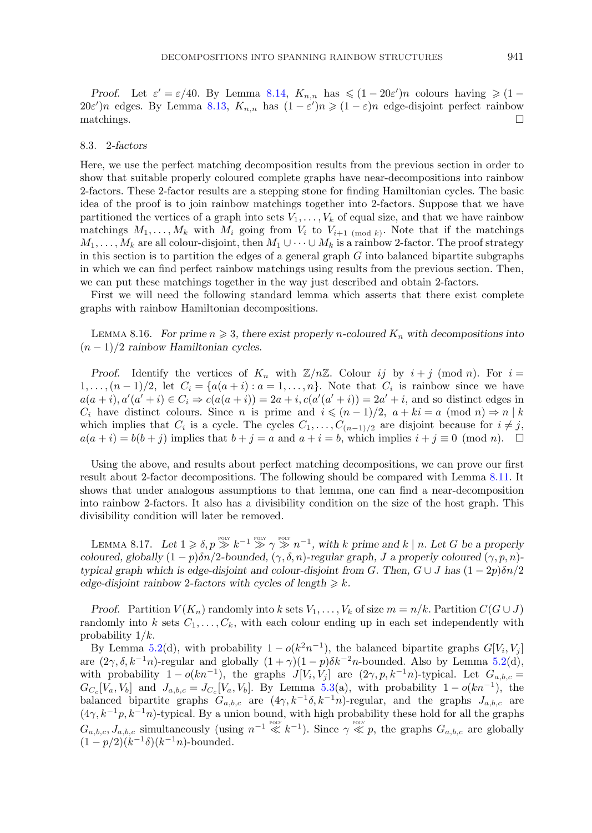<span id="page-42-0"></span>*Proof.* Let  $\varepsilon' = \varepsilon/40$ . By Lemma [8.14,](#page-41-0)  $K_{n,n}$  has  $\leq (1 - 20\varepsilon')n$  colours having  $\geq (1 20\varepsilon'n$  edges. By Lemma [8.13,](#page-41-0)  $K_{n,n}$  has  $(1-\varepsilon')n \geq (1-\varepsilon)n$  edge-disjoint perfect rainbow matchings.

# 8.3. 2*-factors*

Here, we use the perfect matching decomposition results from the previous section in order to show that suitable properly coloured complete graphs have near-decompositions into rainbow 2-factors. These 2-factor results are a stepping stone for finding Hamiltonian cycles. The basic idea of the proof is to join rainbow matchings together into 2-factors. Suppose that we have partitioned the vertices of a graph into sets  $V_1, \ldots, V_k$  of equal size, and that we have rainbow matchings  $M_1, \ldots, M_k$  with  $M_i$  going from  $V_i$  to  $V_{i+1 \pmod{k}}$ . Note that if the matchings  $M_1,\ldots,M_k$  are all colour-disjoint, then  $M_1\cup\cdots\cup M_k$  is a rainbow 2-factor. The proof strategy in this section is to partition the edges of a general graph  $G$  into balanced bipartite subgraphs in which we can find perfect rainbow matchings using results from the previous section. Then, we can put these matchings together in the way just described and obtain 2-factors.

First we will need the following standard lemma which asserts that there exist complete graphs with rainbow Hamiltonian decompositions.

LEMMA 8.16. For prime  $n \geqslant 3$ , there exist properly *n*-coloured  $K_n$  with decompositions into (n − 1)/2 *rainbow Hamiltonian cycles.*

*Proof.* Identify the vertices of  $K_n$  with  $\mathbb{Z}/n\mathbb{Z}$ . Colour ij by  $i + j \pmod{n}$ . For  $i =$  $1,\ldots,(n-1)/2$ , let  $C_i = \{a(a+i): a=1,\ldots,n\}$ . Note that  $C_i$  is rainbow since we have  $a(a + i), a'(a' + i) \in C_i \Rightarrow c(a(a + i)) = 2a + i, c(a'(a' + i)) = 2a' + i$ , and so distinct edges in  $C_i$  have distinct colours. Since n is prime and  $i \leqslant (n-1)/2$ ,  $a + ki = a \pmod{n} \Rightarrow n \mid k$ which implies that  $C_i$  is a cycle. The cycles  $C_1, \ldots, C_{(n-1)/2}$  are disjoint because for  $i \neq j$ ,  $a(a + i) = b(b + j)$  implies that  $b + j = a$  and  $a + i = b$ , which implies  $i + j \equiv 0 \pmod{n}$ .  $\Box$ 

Using the above, and results about perfect matching decompositions, we can prove our first result about 2-factor decompositions. The following should be compared with Lemma [8.11.](#page-40-0) It shows that under analogous assumptions to that lemma, one can find a near-decomposition into rainbow 2-factors. It also has a divisibility condition on the size of the host graph. This divisibility condition will later be removed.

LEMMA 8.17. Let  $1 \geq \delta$ ,  $p \geq k^{-1} \geq p_{\text{out}} \geq n^{-1}$ , with k prime and k | n. Let G be a properly *coloured, globally*  $(1 - p)\delta n/2$ *-bounded,*  $(\gamma, \delta, n)$ *-regular graph,* J a properly coloured  $(\gamma, p, n)$ *typical graph which is edge-disjoint and colour-disjoint from G. Then,*  $G \cup J$  *has*  $(1 - 2p)\delta n/2$ *edge-disjoint rainbow* 2-factors with cycles of length  $\geq k$ .

*Proof.* Partition  $V(K_n)$  randomly into k sets  $V_1, \ldots, V_k$  of size  $m = n/k$ . Partition  $C(G \cup J)$ randomly into k sets  $C_1,\ldots,C_k$ , with each colour ending up in each set independently with probability  $1/k$ .

By Lemma [5.2\(](#page-21-0)d), with probability  $1 - o(k^2n^{-1})$ , the balanced bipartite graphs  $G[V_i, V_j]$ are  $(2\gamma, \delta, k^{-1}n)$ -regular and globally  $(1 + \gamma)(1 - p)\delta k^{-2}n$ -bounded. Also by Lemma [5.2\(](#page-21-0)d), with probability  $1 - o(kn^{-1})$ , the graphs  $J[V_i, V_j]$  are  $(2\gamma, p, k^{-1}n)$ -typical. Let  $G_{a,b,c} =$  $G_{C_c}[V_a, V_b]$  and  $J_{a,b,c} = J_{C_c}[V_a, V_b]$ . By Lemma [5.3\(](#page-22-0)a), with probability  $1 - o(kn^{-1})$ , the balanced bipartite graphs  $G_{a,b,c}$  are  $(4\gamma, k^{-1}\delta, k^{-1}n)$ -regular, and the graphs  $J_{a,b,c}$  are  $(4\gamma, k^{-1}p, k^{-1}n)$ -typical. By a union bound, with high probability these hold for all the graphs  $G_{a,b,c}, J_{a,b,c}$  simultaneously (using  $n^{-1} \ll k^{-1}$ ). Since  $\gamma \ll p$ , the graphs  $G_{a,b,c}$  are globally  $(1 - p/2)(k^{-1}\delta)(k^{-1}n)$ -bounded.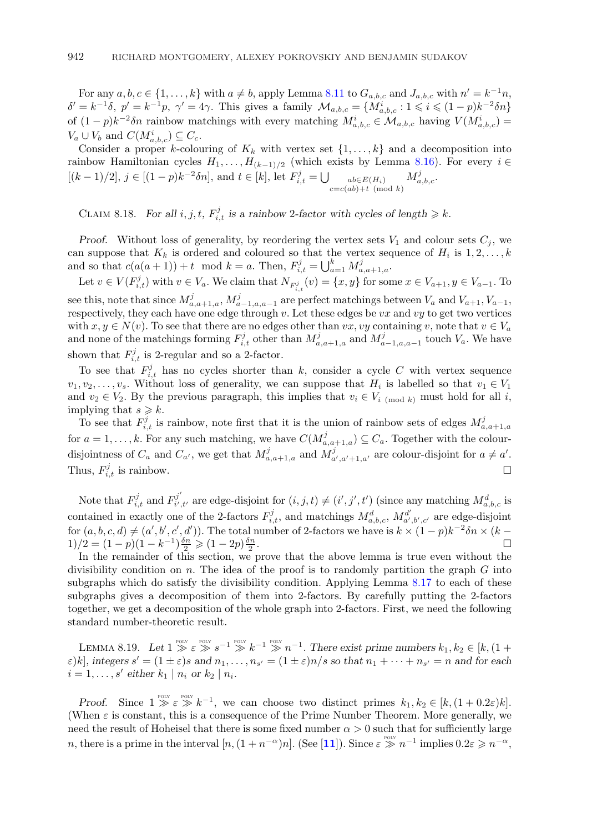<span id="page-43-0"></span>For any  $a, b, c \in \{1, \ldots, k\}$  with  $a \neq b$ , apply Lemma [8.11](#page-40-0) to  $G_{a,b,c}$  and  $J_{a,b,c}$  with  $n' = k^{-1}n$ ,  $\delta' = k^{-1}\delta$ ,  $p' = k^{-1}p$ ,  $\gamma' = 4\gamma$ . This gives a family  $\mathcal{M}_{a,b,c} = \{M_{a,b,c}^i : 1 \leqslant i \leqslant (1-p)k^{-2}\delta n\}$ of  $(1-p)k^{-2}\delta n$  rainbow matchings with every matching  $M_{a,b,c}^i \in \mathcal{M}_{a,b,c}$  having  $V(M_{a,b,c}^i)$  $V_a \cup V_b$  and  $C(M_{a,b,c}^i) \subseteq C_c$ .

Consider a proper k-colouring of  $K_k$  with vertex set  $\{1,\ldots,k\}$  and a decomposition into rainbow Hamiltonian cycles  $H_1, \ldots, H_{(k-1)/2}$  (which exists by Lemma [8.16\)](#page-42-0). For every  $i \in$  $[(k-1)/2], j \in [(1-p)k^{-2}\delta n],$  and  $t \in [k],$  let  $F_{i,t}^j = \bigcup_{\substack{ab \in E(H_i) \\ c = c(ab) + t \pmod{k}}}$  $M_{a,b,c}^j$ .

CLAIM 8.18. *For all*  $i, j, t, F_{i,t}^j$  *is a rainbow* 2-factor with cycles of length  $\geq k$ .

*Proof.* Without loss of generality, by reordering the vertex sets  $V_1$  and colour sets  $C_j$ , we can suppose that  $K_k$  is ordered and coloured so that the vertex sequence of  $H_i$  is  $1, 2, \ldots, k$ and so that  $c(a(a+1))+t \mod k = a$ . Then,  $F_{i,t}^j = \bigcup_{a=1}^k M_{a,a+1,a}^j$ .

Let  $v \in V(F_{i,t}^j)$  with  $v \in V_a$ . We claim that  $N_{F_{i,t}^j}(v) = \{x, y\}$  for some  $x \in V_{a+1}, y \in V_{a-1}$ . To see this, note that since  $M_{a,a+1,a}^j$ ,  $M_{a-1,a,a-1}^j$  are perfect matchings between  $V_a$  and  $V_{a+1}, V_{a-1}$ , respectively, they each have one edge through  $v$ . Let these edges be  $vx$  and  $vy$  to get two vertices with  $x, y \in N(v)$ . To see that there are no edges other than vx, vy containing v, note that  $v \in V_a$ and none of the matchings forming  $F_{i,t}^j$  other than  $M_{a,a+1,a}^j$  and  $M_{a-1,a,a-1}^j$  touch  $V_a$ . We have shown that  $F_{i,t}^j$  is 2-regular and so a 2-factor.

To see that  $F_{i,t}^{j}$  has no cycles shorter than k, consider a cycle C with vertex sequence  $v_1, v_2, \ldots, v_s$ . Without loss of generality, we can suppose that  $H_i$  is labelled so that  $v_1 \in V_1$ and  $v_2 \in V_2$ . By the previous paragraph, this implies that  $v_i \in V_i$  (mod k) must hold for all i, implying that  $s \geqslant k$ .

To see that  $F_{i,t}^j$  is rainbow, note first that it is the union of rainbow sets of edges  $M_{a,a+1,a}^j$ for  $a = 1, \ldots, k$ . For any such matching, we have  $C(M_{a,a+1,a}^j) \subseteq C_a$ . Together with the colourdisjointness of  $C_a$  and  $C_{a'}$ , we get that  $M_{a,a+1,a}^j$  and  $M_{a',a'+1,a'}^j$  are colour-disjoint for  $a \neq a'$ . Thus,  $F_{i,t}^j$  is rainbow.

Note that  $F_{i,t}^j$  and  $F_{i',t'}^{j'}$  are edge-disjoint for  $(i, j, t) \neq (i', j', t')$  (since any matching  $M_{a,b,c}^d$  is contained in exactly one of the 2-factors  $F_{i,t}^j$ , and matchings  $M_{a,b,c}^d$ ,  $M_{a',b',c'}^{d'}$  are edge-disjoint for  $(a, b, c, d) \neq (a', b', c', d')$ ). The total number of 2-factors we have is  $k \times (1-p)k^{-2} \delta n \times (k-p)$  $1)/2 = (1-p)(1-k^{-1})\frac{\delta n}{2} \geq (1-2p)\frac{\delta n}{2}$  $\frac{2n}{2}$ .

In the remainder of this section, we prove that the above lemma is true even without the divisibility condition on  $n$ . The idea of the proof is to randomly partition the graph  $G$  into subgraphs which do satisfy the divisibility condition. Applying Lemma [8.17](#page-42-0) to each of these subgraphs gives a decomposition of them into 2-factors. By carefully putting the 2-factors together, we get a decomposition of the whole graph into 2-factors. First, we need the following standard number-theoretic result.

LEMMA 8.19. Let  $1 \gg \varepsilon \gg s^{-1} \gg k^{-1} \gg n^{-1}$ . There exist prime numbers  $k_1, k_2 \in [k, (1 +$  $\varepsilon$ )k], integers  $s' = (1 \pm \varepsilon)s$  and  $n_1, \ldots, n_{s'} = (1 \pm \varepsilon)n/s$  so that  $n_1 + \cdots + n_{s'} = n$  and for each  $i = 1, \ldots, s'$  either  $k_1 | n_i$  or  $k_2 | n_i$ .

*Proof.* Since  $1 \geq \varepsilon \geq k^{-1}$ , we can choose two distinct primes  $k_1, k_2 \in [k, (1+0.2\varepsilon)k]$ . (When  $\varepsilon$  is constant, this is a consequence of the Prime Number Theorem. More generally, we need the result of Hoheisel that there is some fixed number  $\alpha > 0$  such that for sufficiently large n, there is a prime in the interval  $[n,(1+n^{-\alpha})n]$ . (See [[11](#page-59-0)]). Since  $\varepsilon \gg n^{-1}$  implies  $0.2\varepsilon \geqslant n^{-\alpha}$ ,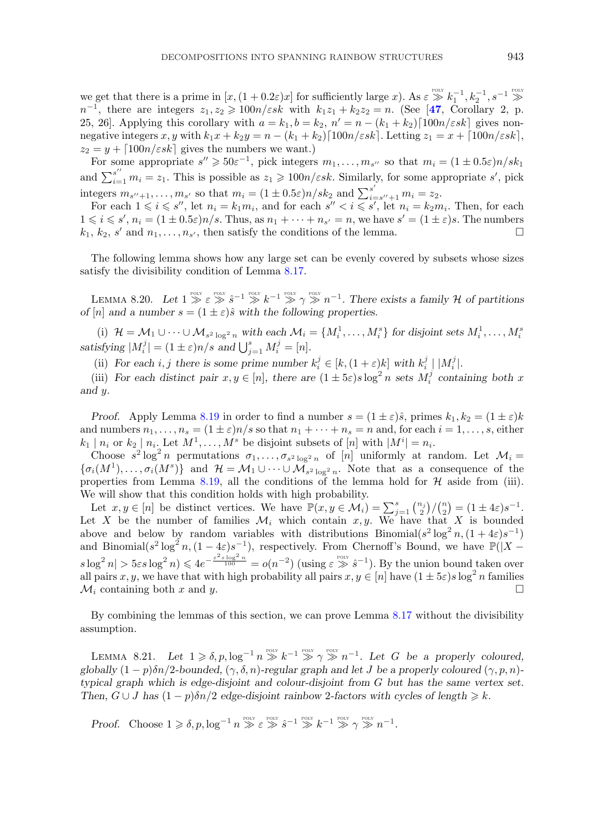<span id="page-44-0"></span>we get that there is a prime in  $[x,(1+0.2\varepsilon)x]$  for sufficiently large x). As  $\varepsilon \gg k_1^{-1}, k_2^{-1}, s^{-1} \gg$  $n^{-1}$ , there are integers  $z_1, z_2 \geq 100n/\varepsilon s k$  with  $k_1z_1 + k_2z_2 = n$ . (See [[47](#page-60-0), Corollary 2, p. 25, 26]. Applying this corollary with  $a = k_1, b = k_2, n' = n - (k_1 + k_2) \lfloor 100n/\varepsilon sk \rfloor$  gives nonnegative integers x, y with  $k_1x + k_2y = n - (k_1 + k_2) \lfloor 100n/\varepsilon sk \rfloor$ . Letting  $z_1 = x + \lfloor 100n/\varepsilon sk \rfloor$ ,  $z_2 = y + \lceil 100n/\varepsilon s k \rceil$  gives the numbers we want.)

For some appropriate  $s'' \geqslant 50\varepsilon^{-1}$ , pick integers  $m_1, \ldots, m_{s''}$  so that  $m_i = (1 \pm 0.5\varepsilon)n/sk_1$ and  $\sum_{i=1}^{s''} m_i = z_1$ . This is possible as  $z_1 \geqslant 100n/\varepsilon sk$ . Similarly, for some appropriate s', pick integers  $m_{s''+1}, \ldots, m_{s'}$  so that  $m_i = (1 \pm 0.5\varepsilon)n/sk_2$  and  $\sum_{i=s''+1}^{s'} m_i = z_2$ .

For each  $1 \leq i \leq s''$ , let  $n_i = k_1 m_i$ , and for each  $s'' < i \leq s'$ , let  $n_i = k_2 m_i$ . Then, for each  $1 \leq i \leq s', n_i = (1 \pm 0.5\varepsilon)n/s$ . Thus, as  $n_1 + \cdots + n_{s'} = n$ , we have  $s' = (1 \pm \varepsilon)s$ . The numbers  $k_1, k_2, s'$  and  $n_1, \ldots, n_{s'}$ , then satisfy the conditions of the lemma.

The following lemma shows how any large set can be evenly covered by subsets whose sizes satisfy the divisibility condition of Lemma [8.17.](#page-42-0)

LEMMA 8.20. Let  $1 \gg \varepsilon \gg s^{-1} \gg k^{-1} \gg \gamma \gg n^{-1}$ . There exists a family H of partitions *of* [n] and a number  $s = (1 \pm \varepsilon)\hat{s}$  with the following properties.

(i)  $\mathcal{H} = \mathcal{M}_1 \cup \cdots \cup \mathcal{M}_{s^2 \log^2 n}$  with each  $\mathcal{M}_i = \{M_i^1, \ldots, M_i^s\}$  for disjoint sets  $M_i^1, \ldots, M_i^s$ *satisfying*  $|M_i^j| = (1 \pm \varepsilon)n/s$  *and*  $\bigcup_{j=1}^s M_i^j = [n]$ *.* 

(ii) For each i, j there is some prime number  $k_i^j \in [k, (1 + \varepsilon)k]$  with  $k_i^j \mid |M_i^j|$ .

(iii) For each distinct pair  $x, y \in [n]$ , there are  $(1 \pm 5\varepsilon)s \log^2 n$  sets  $M_i^j$  containing both x *and* y*.*

*Proof.* Apply Lemma [8.19](#page-43-0) in order to find a number  $s = (1 \pm \varepsilon)\hat{s}$ , primes  $k_1, k_2 = (1 \pm \varepsilon)k$ and numbers  $n_1,\ldots,n_s = (1 \pm \varepsilon)n/s$  so that  $n_1 + \cdots + n_s = n$  and, for each  $i = 1,\ldots,s$ , either  $k_1 | n_i$  or  $k_2 | n_i$ . Let  $M^1, \ldots, M^s$  be disjoint subsets of  $[n]$  with  $|M^i| = n_i$ .

Choose  $s^2 \log^2 n$  permutations  $\sigma_1, \ldots, \sigma_{s^2 \log^2 n}$  of  $[n]$  uniformly at random. Let  $\mathcal{M}_i =$  ${\{\sigma_i(M^1),\ldots,\sigma_i(M^s)\}}$  and  $\mathcal{H}=\mathcal{M}_1\cup\cdots\cup\mathcal{M}_{s^2 \log^2 n}$ . Note that as a consequence of the properties from Lemma [8.19,](#page-43-0) all the conditions of the lemma hold for  $H$  aside from (iii). We will show that this condition holds with high probability.

Let  $x, y \in [n]$  be distinct vertices. We have  $\mathbb{P}(x, y \in \mathcal{M}_i) = \sum_{j=1}^s \binom{n_j}{2} / \binom{n}{2} = (1 \pm 4\varepsilon)s^{-1}$ . Let X be the number of families  $\mathcal{M}_i$  which contain x, y. We have that X is bounded above and below by random variables with distributions Binomial( $s^2 \log^2 n$ ,  $(1+4\varepsilon)s^{-1}$ ) and Binomial( $s^2 \log^2 n$ ,  $(1-4\varepsilon)s^{-1}$ ), respectively. From Chernoff's Bound, we have  $\mathbb{P}(|X$  $s \log^2 n \geqslant 5\varepsilon s \log^2 n \leqslant 4e^{-\frac{\varepsilon^2 s \log^2 n}{100}} = o(n^{-2})$  (using  $\varepsilon \gg s^{-1}$ ). By the union bound taken over all pairs  $x, y$ , we have that with high probability all pairs  $x, y \in [n]$  have  $(1 \pm 5\varepsilon)s\log^2 n$  families  $\mathcal{M}_i$  containing both x and y.

By combining the lemmas of this section, we can prove Lemma [8.17](#page-42-0) without the divisibility assumption.

LEMMA 8.21. Let  $1 \geq \delta$ ,  $p$ ,  $\log^{-1} n \geq k^{-1} \geq p_1 \log n^{-1}$ . Let G be a properly coloured, *globally*  $(1 - p)\delta n/2$ *-bounded,*  $(\gamma, \delta, n)$ *-regular graph and let* J *be a properly coloured*  $(\gamma, p, n)$ *typical graph which is edge-disjoint and colour-disjoint from* G *but has the same vertex set. Then,*  $G \cup J$  *has*  $(1 - p)\delta n/2$  *edge-disjoint rainbow* 2-factors with cycles of length  $\ge k$ .

*Proof.* Choose  $1 \geq \delta, p, \log^{-1} n \geq \varepsilon \geq \varepsilon^{-p_{\text{OLY}}}\hat{s}^{-1} \geq \varepsilon^{p_{\text{OLY}}} k^{-1} \geq \varepsilon \geq n^{-1}$ .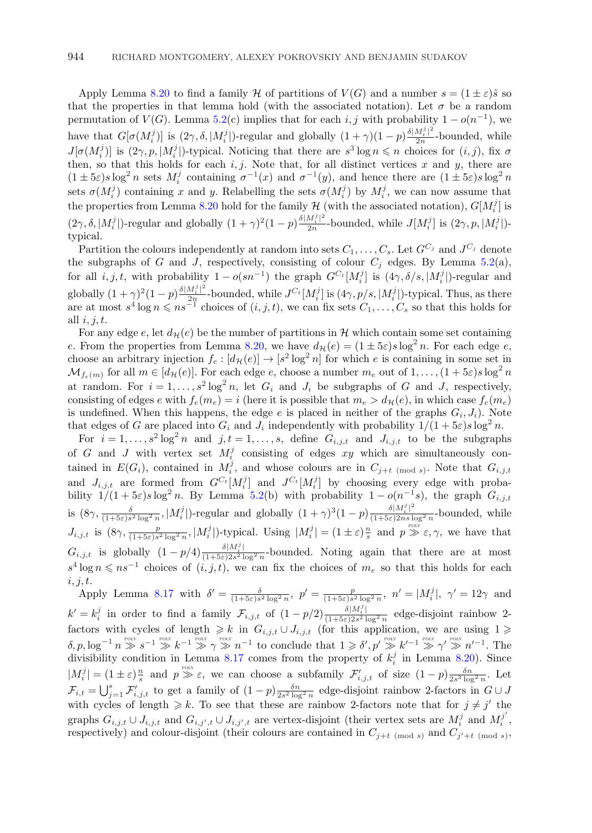Apply Lemma [8.20](#page-44-0) to find a family H of partitions of  $V(G)$  and a number  $s = (1 \pm \varepsilon)\hat{s}$  so that the properties in that lemma hold (with the associated notation). Let  $\sigma$  be a random permutation of  $V(G)$ . Lemma [5.2\(](#page-21-0)c) implies that for each i, j with probability  $1 - o(n^{-1})$ , we have that  $G[\sigma(M_i^j)]$  is  $(2\gamma, \delta, |M_i^j|)$ -regular and globally  $(1 + \gamma)(1 - p)\frac{\delta |M_i^j|^2}{2n}$ -bounded, while  $J[\sigma(M_i^j)]$  is  $(2\gamma, p, |M_i^j|)$ -typical. Noticing that there are  $s^3 \log n \leq n$  choices for  $(i, j)$ , fix  $\sigma$ then, so that this holds for each  $i, j$ . Note that, for all distinct vertices x and y, there are  $(1 \pm 5\varepsilon)s\log^2 n$  sets  $M_i^j$  containing  $\sigma^{-1}(x)$  and  $\sigma^{-1}(y)$ , and hence there are  $(1 \pm 5\varepsilon)s\log^2 n$ sets  $\sigma(M_i^j)$  containing x and y. Relabelling the sets  $\sigma(M_i^j)$  by  $M_i^j$ , we can now assume that the properties from Lemma [8.20](#page-44-0) hold for the family  $H$  (with the associated notation),  $G[M_i^j]$  is  $(2\gamma, \delta, |M_i^j|)$ -regular and globally  $(1 + \gamma)^2 (1 - p) \frac{\delta |M_i^j|^2}{2n}$ -bounded, while  $J[M_i^j]$  is  $(2\gamma, p, |M_i^j|)$ typical.

Partition the colours independently at random into sets  $C_1, \ldots, C_s$ . Let  $G^{C_j}$  and  $J^{C_j}$  denote the subgraphs of G and J, respectively, consisting of colour  $C_j$  edges. By Lemma [5.2\(](#page-21-0)a), for all  $i, j, t$ , with probability  $1 - o(s n^{-1})$  the graph  $G^{C_t}[M_i^j]$  is  $(4\gamma, \delta/s, |M_i^j|)$ -regular and globally  $(1+\gamma)^2(1-p)\frac{\delta |M_i^j|^2}{2n}$ -bounded, while  $J^{C_t}[M_i^j]$  is  $(4\gamma, p/s, |M_i^j|)$ -typical. Thus, as there are at most  $s^4 \log n \leqslant n s^{-1}$  choices of  $(i, j, t)$ , we can fix sets  $C_1, \ldots, C_s$  so that this holds for all  $i, j, t$ .

For any edge e, let  $d_{\mathcal{H}}(e)$  be the number of partitions in H which contain some set containing e. From the properties from Lemma [8.20,](#page-44-0) we have  $d_{\mathcal{H}}(e) = (1 \pm 5\varepsilon)s \log^2 n$ . For each edge e, choose an arbitrary injection  $f_e: [d_{\mathcal{H}}(e)] \to [s^2 \log^2 n]$  for which e is containing in some set in  $\mathcal{M}_{f_e(m)}$  for all  $m \in [d_{\mathcal{H}}(e)]$ . For each edge e, choose a number  $m_e$  out of  $1, \ldots, (1 + 5\varepsilon)s \log^2 n$ at random. For  $i = 1, ..., s^2 \log^2 n$ , let  $G_i$  and  $J_i$  be subgraphs of G and J, respectively, consisting of edges e with  $f_e(m_e) = i$  (here it is possible that  $m_e > d_{\mathcal{H}}(e)$ , in which case  $f_e(m_e)$ is undefined. When this happens, the edge e is placed in neither of the graphs  $G_i, J_i$ ). Note that edges of G are placed into  $G_i$  and  $J_i$  independently with probability  $1/(1+5\varepsilon)s\log^2 n$ .

For  $i = 1, \ldots, s^2 \log^2 n$  and  $j, t = 1, \ldots, s$ , define  $G_{i,j,t}$  and  $J_{i,j,t}$  to be the subgraphs of G and J with vertex set  $M_i^j$  consisting of edges xy which are simultaneously contained in  $E(G_i)$ , contained in  $M_i^j$ , and whose colours are in  $C_{j+t \pmod{s}}$ . Note that  $G_{i,j,t}$ and  $J_{i,j,t}$  are formed from  $G^{C_t}[M_i^j]$  and  $J^{C_t}[M_i^j]$  by choosing every edge with probability  $1/(1+5\varepsilon)s\log^2 n$ . By Lemma [5.2\(](#page-21-0)b) with probability  $1-o(n^{-1}s)$ , the graph  $G_{i,j,t}$ is  $(8\gamma, \frac{\delta}{(1+5\varepsilon)s^2\log^2 n}, |M_i^j|)$ -regular and globally  $(1+\gamma)^3(1-p)\frac{\delta|M_i^j|^2}{(1+5\varepsilon)2ns\log^2 n}$ -bounded, while  $J_{i,j,t}$  is  $(8\gamma, \frac{p}{(1+5\varepsilon)s^2\log^2 n}, |M_i^j|)$ -typical. Using  $|M_i^j| = (1 \pm \varepsilon)\frac{n}{s}$  and  $p \gg \varepsilon, \gamma$ , we have that  $G_{i,j,t}$  is globally  $(1-p/4)\frac{\delta|M_i^j|}{(1+5\varepsilon)2s^2\log^2 n}$ -bounded. Noting again that there are at most  $s^4 \log n \leqslant ns^{-1}$  choices of  $(i, j, t)$ , we can fix the choices of  $m_e$  so that this holds for each  $i, j, t.$ 

Apply Lemma [8.17](#page-42-0) with  $\delta' = \frac{\delta}{(1+5\varepsilon)s^2\log^2 n}$ ,  $p' = \frac{p}{(1+5\varepsilon)s^2\log^2 n}$ ,  $n' = |M_i^j|$ ,  $\gamma' = 12\gamma$  and  $k' = k_i^j$  in order to find a family  $\mathcal{F}_{i,j,t}$  of  $(1 - p/2) \frac{\delta |M_i^j|}{(1 + 5\varepsilon)2s^2 \log^2 n}$  edge-disjoint rainbow 2factors with cycles of length  $\geq k$  in  $G_{i,j,t} \cup J_{i,j,t}$  (for this application, we are using  $1 \geq \delta, p, \log^{-1} n \geq 1 \geq \delta + 1 \geq 1 \geq \delta + 1 \geq 0$  and the that  $1 \geq \delta', p' \geq k'^{-1} \geq 1 \geq \delta' + 1 \geq 1$ . The divisibility condition in Lemma [8.17](#page-42-0) comes from the property of  $k_i^j$  in Lemma [8.20\)](#page-44-0). Since  $|M_i^j| = (1 \pm \varepsilon) \frac{n}{s}$  and  $p \gg \varepsilon$ , we can choose a subfamily  $\mathcal{F}'_{i,j,t}$  of size  $(1-p) \frac{\delta n}{2s^3 \log^2 n}$ . Let  $\mathcal{F}_{i,t} = \bigcup_{j=1}^s \mathcal{F}'_{i,j,t}$  to get a family of  $(1-p) \frac{\delta n}{2s^2 \log^2 n}$  edge-disjoint rainbow 2-factors in  $G \cup J$ with cycles of length  $\geq k$ . To see that these are rainbow 2-factors note that for  $j \neq j'$  the graphs  $G_{i,j,t} \cup J_{i,j,t}$  and  $G_{i,j',t} \cup J_{i,j',t}$  are vertex-disjoint (their vertex sets are  $M_i^j$  and  $M_i^{j'}$ , respectively) and colour-disjoint (their colours are contained in  $C_{j+t \pmod{s}}$  and  $C_{j'+t \pmod{s}}$ ,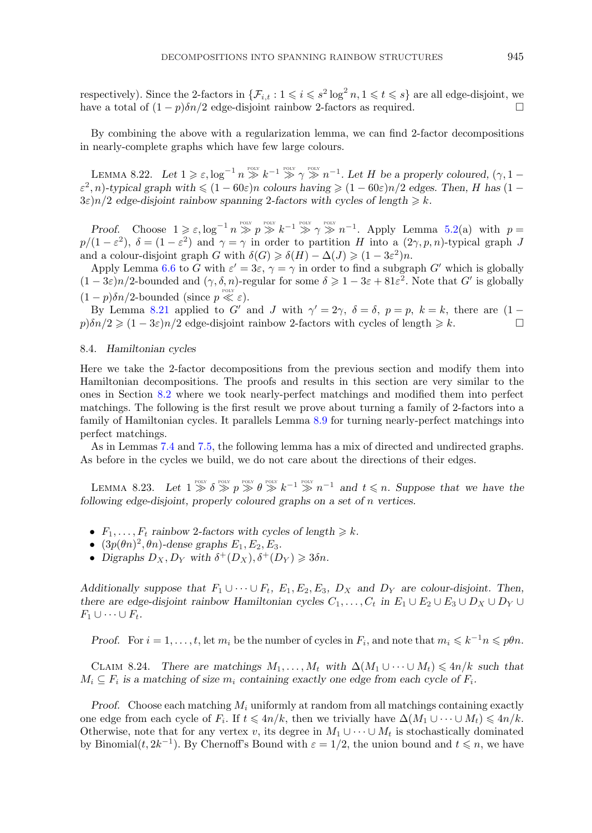<span id="page-46-0"></span>respectively). Since the 2-factors in  $\{\mathcal{F}_{i,t} : 1 \leqslant i \leqslant s^2 \log^2 n, 1 \leqslant t \leqslant s\}$  are all edge-disjoint, we have a total of  $(1 - p)\delta n/2$  edge-disjoint rainbow 2-factors as required.

By combining the above with a regularization lemma, we can find 2-factor decompositions in nearly-complete graphs which have few large colours.

LEMMA 8.22. Let  $1 \geq \varepsilon$ ,  $\log^{-1} n \geq k^{-1} \geq \gamma \geq n^{-1}$ . Let H be a properly coloured,  $(\gamma, 1 \varepsilon^2$ , *n*)*-typical graph with*  $\leq (1 - 60\varepsilon)n$  *colours having*  $\geq (1 - 60\varepsilon)n/2$  *edges. Then, H has*  $(1 - 60\varepsilon)n$  $3\varepsilon$ )n/2 edge-disjoint rainbow spanning 2-factors with cycles of length  $\geq k$ .

*Proof.* Choose  $1 \geq \varepsilon$ ,  $\log^{-1} n \geq p \geq k^{-1} \geq p^{-p_{\text{OLY}}}\nrightleftharpoons k^{-1}$ . Apply Lemma [5.2\(](#page-21-0)a) with  $p =$  $p/(1-\varepsilon^2)$ ,  $\delta = (1-\varepsilon^2)$  and  $\gamma = \gamma$  in order to partition H into a  $(2\gamma, p, n)$ -typical graph J and a colour-disjoint graph G with  $\delta(G) \geq \delta(H) - \Delta(J) \geq (1 - 3\varepsilon^2)n$ .

Apply Lemma [6.6](#page-27-0) to G with  $\varepsilon' = 3\varepsilon$ ,  $\gamma = \gamma$  in order to find a subgraph G' which is globally  $(1-3\varepsilon)n/2$ -bounded and  $(\gamma, \delta, n)$ -regular for some  $\delta \geq 1-3\varepsilon + 81\varepsilon^2$ . Note that G' is globally  $(1-p)\delta n/2$ -bounded (since  $p \ll \varepsilon$ ).

By Lemma [8.21](#page-44-0) applied to G' and J with  $\gamma' = 2\gamma$ ,  $\delta = \delta$ ,  $p = p$ ,  $k = k$ , there are  $(1$  $p)\delta n/2 \geq (1-3\varepsilon)n/2$  edge-disjoint rainbow 2-factors with cycles of length  $\geq k$ .

#### 8.4. *Hamiltonian cycles*

Here we take the 2-factor decompositions from the previous section and modify them into Hamiltonian decompositions. The proofs and results in this section are very similar to the ones in Section [8.2](#page-39-0) where we took nearly-perfect matchings and modified them into perfect matchings. The following is the first result we prove about turning a family of 2-factors into a family of Hamiltonian cycles. It parallels Lemma [8.9](#page-39-0) for turning nearly-perfect matchings into perfect matchings.

As in Lemmas [7.4](#page-31-0) and [7.5,](#page-31-0) the following lemma has a mix of directed and undirected graphs. As before in the cycles we build, we do not care about the directions of their edges.

LEMMA 8.23. Let  $1 \geq \delta \geq p \geq \theta \geq k^{-1} \geq n^{-1}$  and  $t \leq n$ . Suppose that we have the *following edge-disjoint, properly coloured graphs on a set of* n *vertices.*

- $F_1, \ldots, F_t$  rainbow 2-factors with cycles of length  $\geq k$ .
- $(3p(\theta n)^2, \theta n)$ -dense graphs  $E_1, E_2, E_3$ .
- Digraphs  $D_X, D_Y$  with  $\delta^+(D_X), \delta^+(D_Y) \geqslant 3\delta n$ .

*Additionally suppose that*  $F_1 \cup \cdots \cup F_t$ ,  $E_1, E_2, E_3, D_X$  *and*  $D_Y$  *are colour-disjoint. Then, there are edge-disjoint rainbow Hamiltonian cycles*  $C_1, \ldots, C_t$  *in*  $E_1 \cup E_2 \cup E_3 \cup D_X \cup D_Y \cup D_Y$  $F_1 \cup \cdots \cup F_t$ .

*Proof.* For  $i = 1, \ldots, t$ , let  $m_i$  be the number of cycles in  $F_i$ , and note that  $m_i \leq k^{-1}n \leq p\theta n$ .

CLAIM 8.24. *There are matchings*  $M_1, \ldots, M_t$  with  $\Delta(M_1 \cup \cdots \cup M_t) \leq 4n/k$  such that  $M_i \subseteq F_i$  is a matching of size  $m_i$  containing exactly one edge from each cycle of  $F_i$ .

*Proof.* Choose each matching  $M_i$  uniformly at random from all matchings containing exactly one edge from each cycle of  $F_i$ . If  $t \leq 4n/k$ , then we trivially have  $\Delta(M_1 \cup \cdots \cup M_t) \leq 4n/k$ . Otherwise, note that for any vertex v, its degree in  $M_1 \cup \cdots \cup M_t$  is stochastically dominated by Binomial $(t, 2k^{-1})$ . By Chernoff's Bound with  $\varepsilon = 1/2$ , the union bound and  $t \leq n$ , we have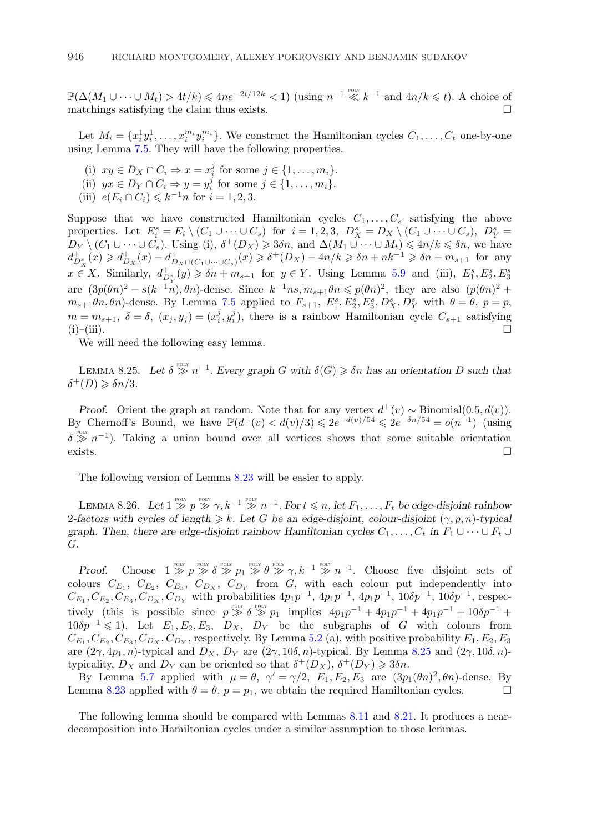<span id="page-47-0"></span> $\mathbb{P}(\Delta(M_1 \cup \cdots \cup M_t) > 4t/k) \leq 4ne^{-2t/12k} < 1)$  (using  $n^{-1} \ll k^{-1}$  and  $4n/k \leq t$ ). A choice of matchings satisfying the claim thus exists.  $\hfill \Box$ 

Let  $M_i = \{x_i^1 y_i^1, \ldots, x_i^{m_i} y_i^{m_i}\}.$  We construct the Hamiltonian cycles  $C_1, \ldots, C_t$  one-by-one using Lemma [7.5.](#page-31-0) They will have the following properties.

- (i)  $xy \in D_X \cap C_i \Rightarrow x = x_i^j$  for some  $j \in \{1, ..., m_i\}.$
- (ii)  $yx \in D_Y \cap C_i \Rightarrow y = y_i^j$  for some  $j \in \{1, \ldots, m_i\}.$
- (iii)  $e(E_i \cap C_i) \leq k^{-1}n$  for  $i = 1, 2, 3$ .

Suppose that we have constructed Hamiltonian cycles  $C_1,\ldots,C_s$  satisfying the above properties. Let  $E_i^s = E_i \setminus (C_1 \cup \cdots \cup C_s)$  for  $i = 1, 2, 3, D_X^s = D_X \setminus (C_1 \cup \cdots \cup C_s)$ ,  $D_Y^s =$  $D_Y \setminus (C_1 \cup \cdots \cup C_s)$ . Using (i),  $\delta^+(D_X) \geq 3\delta n$ , and  $\Delta(M_1 \cup \cdots \cup M_t) \leq 4n/k \leq \delta n$ , we have  $d_{D_X}^+(x) \geqslant d_{D_X}^+(x) - d_{D_X \cap (C_1 \cup \dots \cup C_s)}^+(x) \geqslant \delta^+(D_X) - 4n/k \geqslant \delta n + nk^{-1} \geqslant \delta n + m_{s+1}$  for any  $x \in X$ . Similarly,  $d_{D_Y^s}^+(y) \geq \delta n + m_{s+1}$  for  $y \in Y$ . Using Lemma [5.9](#page-25-0) and (iii),  $E_1^s, E_2^s, E_3^s$ are  $(3p(\theta n)^2 - s(k^{-1}n), \theta n)$ -dense. Since  $k^{-1}ns, m_{s+1}\theta n \leq p(\theta n)^2$ , they are also  $(p(\theta n)^2 + p(\theta n))^2$  $m_{s+1}\theta n, \theta n$ )-dense. By Lemma [7.5](#page-31-0) applied to  $F_{s+1}, E_1^s, E_2^s, E_3^s, D_X^s, D_Y^s$  with  $\theta = \theta, p = p$ ,  $m = m_{s+1}, \delta = \delta, (x_j, y_j) = (x_i^j, y_i^j)$ , there is a rainbow Hamiltonian cycle  $C_{s+1}$  satisfying  $(i)$ – $(i)$ iii).

We will need the following easy lemma.

LEMMA 8.25. Let  $\delta \geq 1$ <sup>*e*oly</sup>  $n^{-1}$ . Every graph G with  $\delta(G) \geq \delta n$  has an orientation D such that  $\delta^+(D) \geqslant \delta n/3.$ 

*Proof.* Orient the graph at random. Note that for any vertex  $d^+(v) \sim Binomial(0.5, d(v))$ . By Chernoff's Bound, we have  $\mathbb{P}(d^+(v) < d(v)/3) \leq 2e^{-d(v)/54} \leq 2e^{-\delta n/54} = o(n^{-1})$  (using  $\delta \gg n^{-1}$ ). Taking a union bound over all vertices shows that some suitable orientation exists.

The following version of Lemma [8.23](#page-46-0) will be easier to apply.

LEMMA 8.26. Let  $1 \gg p \gg \gamma$ ,  $k^{-1} \gg n^{-1}$ . For  $t \leq n$ , let  $F_1, \ldots, F_t$  be edge-disjoint rainbow 2-factors with cycles of length  $\geq k$ . Let G be an edge-disjoint, colour-disjoint  $(\gamma, p, n)$ -typical *graph. Then, there are edge-disjoint rainbow Hamiltonian cycles*  $C_1, \ldots, C_t$  *in*  $F_1 \cup \cdots \cup F_t \cup$ G*.*

*Proof.* Choose  $1 \geq p \geq \delta \geq p_1 \geq \delta \geq p_2 \geq \delta \geq \gamma, k^{-1} \geq n^{-1}$ . Choose five disjoint sets of colours  $C_{E_1}$ ,  $C_{E_2}$ ,  $C_{E_3}$ ,  $C_{D_X}$ ,  $C_{D_Y}$  from G, with each colour put independently into  $C_{E_1}, C_{E_2}, C_{E_3}, C_{D_X}, C_{D_Y}$  with probabilities  $4p_1p^{-1}$ ,  $4p_1p^{-1}$ ,  $4p_1p^{-1}$ ,  $10\delta p^{-1}$ ,  $10\delta p^{-1}$ , respectively (this is possible since  $p \gg \delta \gg p_1$  implies  $4p_1p^{-1} + 4p_1p^{-1} + 4p_1p^{-1} + 10\delta p^{-1}$  +  $10\delta p^{-1} \leq 1$ ). Let  $E_1, E_2, E_3, D_X, D_Y$  be the subgraphs of G with colours from  $C_{E_1}, C_{E_2}, C_{E_3}, C_{D_X}, C_{D_Y}$ , respectively. By Lemma [5.2](#page-21-0) (a), with positive probability  $E_1, E_2, E_3$ are  $(2\gamma, 4p_1, n)$ -typical and  $D_X$ ,  $D_Y$  are  $(2\gamma, 10\delta, n)$ -typical. By Lemma 8.25 and  $(2\gamma, 10\delta, n)$ typicality,  $D_X$  and  $D_Y$  can be oriented so that  $\delta^+(D_X)$ ,  $\delta^+(D_Y) \geqslant 3\delta n$ .

By Lemma [5.7](#page-24-0) applied with  $\mu = \theta$ ,  $\gamma' = \gamma/2$ ,  $E_1, E_2, E_3$  are  $(3p_1(\theta n)^2, \theta n)$ -dense. By Lemma [8.23](#page-46-0) applied with  $\theta = \theta$ ,  $p = p_1$ , we obtain the required Hamiltonian cycles.

The following lemma should be compared with Lemmas [8.11](#page-40-0) and [8.21.](#page-44-0) It produces a neardecomposition into Hamiltonian cycles under a similar assumption to those lemmas.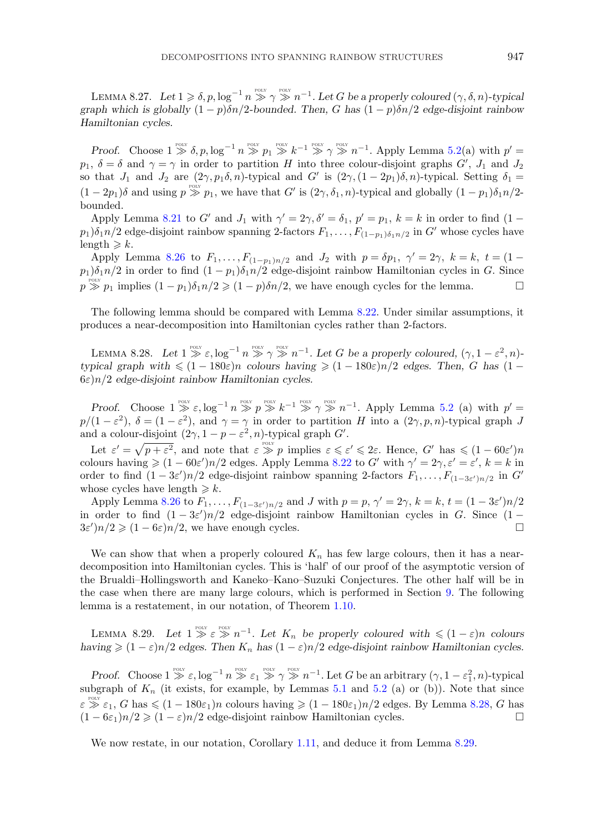<span id="page-48-0"></span>LEMMA 8.27. Let  $1 \geqslant \delta, p, \log^{-1} n \stackrel{\text{post}}{\gg} \gamma \stackrel{\text{post}}{\gg} n^{-1}$ . Let G be a properly coloured  $(\gamma, \delta, n)$ -typical *graph which is globally*  $(1 - p)\delta n/2$ *-bounded. Then,* G has  $(1 - p)\delta n/2$  *edge-disjoint rainbow Hamiltonian cycles.*

*Proof.* Choose  $1 \geq \delta$ ,  $p$ ,  $\log^{-1} n \geq p_1 \geq k^{-1} \geq p_1 \geq k^{-1}$ . Apply Lemma [5.2\(](#page-21-0)a) with  $p' =$  $p_1, \delta = \delta$  and  $\gamma = \gamma$  in order to partition H into three colour-disjoint graphs  $G', J_1$  and  $J_2$ so that  $J_1$  and  $J_2$  are  $(2\gamma, p_1\delta, n)$ -typical and  $G'$  is  $(2\gamma, (1 - 2p_1)\delta, n)$ -typical. Setting  $\delta_1 =$  $(1-2p_1)\delta$  and using  $p \gg p_1$ , we have that G' is  $(2\gamma,\delta_1,n)$ -typical and globally  $(1-p_1)\delta_1n/2$ bounded.

Apply Lemma [8.21](#page-44-0) to G' and  $J_1$  with  $\gamma' = 2\gamma, \delta' = \delta_1$ ,  $p' = p_1$ ,  $k = k$  in order to find  $(1 - \delta_1)$  $p_1)\delta_1 n/2$  edge-disjoint rainbow spanning 2-factors  $F_1, \ldots, F_{(1-p_1)\delta_1 n/2}$  in  $G'$  whose cycles have  $\text{length} \geqslant k.$ 

Apply Lemma [8.26](#page-47-0) to  $F_1, ..., F_{(1-p_1)n/2}$  and  $J_2$  with  $p = \delta p_1, \gamma' = 2\gamma, k = k, t = (1 - \gamma)$  $p_1)\delta_1\eta/2$  in order to find  $(1-p_1)\delta_1\eta/2$  edge-disjoint rainbow Hamiltonian cycles in G. Since  $p \gg p_1$  implies  $(1 - p_1)\delta_1 n/2 \geq (1 - p)\delta_1 n/2$ , we have enough cycles for the lemma.

The following lemma should be compared with Lemma [8.22.](#page-46-0) Under similar assumptions, it produces a near-decomposition into Hamiltonian cycles rather than 2-factors.

LEMMA 8.28. Let  $1 \gg \varepsilon$ ,  $\log^{-1} n \gg \gamma \gg n^{-1}$ . Let G be a properly coloured,  $(\gamma, 1 - \varepsilon^2, n)$ *typical graph with*  $\leq (1 - 180\varepsilon)n$  *colours having*  $\geq (1 - 180\varepsilon)n/2$  *edges. Then, G has*  $(1 -$ 6ε)n/2 *edge-disjoint rainbow Hamiltonian cycles.*

*Proof.* Choose  $1 \gg \varepsilon$ ,  $\log^{-1} n \gg p \gg k^{-1} \gg \gamma \gg n^{-1}$ . Apply Lemma [5.2](#page-21-0) (a) with  $p' =$  $p/(1-\varepsilon^2)$ ,  $\delta = (1-\varepsilon^2)$ , and  $\gamma = \gamma$  in order to partition H into a  $(2\gamma, p, n)$ -typical graph J and a colour-disjoint  $(2\gamma, 1 - p - \varepsilon^2, n)$ -typical graph  $G'$ .

Let  $\varepsilon' = \sqrt{p+\varepsilon^2}$ , and note that  $\varepsilon \gg p$  implies  $\varepsilon \leqslant \varepsilon' \leqslant 2\varepsilon$ . Hence, G' has  $\leqslant (1-60\varepsilon')n$ colours having  $\geq (1 - 60\varepsilon')n/2$  edges. Apply Lemma [8.22](#page-46-0) to G' with  $\gamma' = 2\gamma, \varepsilon' = \varepsilon'$ ,  $k = k$  in order to find  $(1-3\varepsilon')n/2$  edge-disjoint rainbow spanning 2-factors  $F_1,\ldots,F_{(1-3\varepsilon')n/2}$  in  $G'$ whose cycles have length  $\geq k$ .

Apply Lemma [8.26](#page-47-0) to  $F_1, \ldots, F_{(1-3\varepsilon')n/2}$  and J with  $p = p, \gamma' = 2\gamma, k = k, t = (1-3\varepsilon')n/2$ in order to find  $(1-3\varepsilon')n/2$  edge-disjoint rainbow Hamiltonian cycles in G. Since  $(1 3\varepsilon'/n/2 \geqslant (1-6\varepsilon)n/2$ , we have enough cycles.

We can show that when a properly coloured  $K_n$  has few large colours, then it has a neardecomposition into Hamiltonian cycles. This is 'half' of our proof of the asymptotic version of the Brualdi–Hollingsworth and Kaneko–Kano–Suzuki Conjectures. The other half will be in the case when there are many large colours, which is performed in Section [9.](#page-49-0) The following lemma is a restatement, in our notation, of Theorem [1.10.](#page-4-0)

LEMMA 8.29. Let  $1 \geq \varepsilon \geq n^{-1}$ . Let  $K_n$  be properly coloured with  $\leq (1-\varepsilon)n$  colours *having*  $\geq (1 - \varepsilon)n/2$  *edges. Then*  $K_n$  *has*  $(1 - \varepsilon)n/2$  *edge-disjoint rainbow Hamiltonian cycles.* 

*Proof.* Choose  $1 \geq \varepsilon$ ,  $\log^{-1} n \geq \varepsilon_1 \geq \gamma \geq n^{-1}$ . Let G be an arbitrary  $(\gamma, 1 - \varepsilon_1^2, n)$ -typical subgraph of  $K_n$  (it exists, for example, by Lemmas [5.1](#page-21-0) and [5.2](#page-21-0) (a) or (b)). Note that since  $\varepsilon \geq \varepsilon_1$ , G has  $\leq (1 - 180\varepsilon_1)n$  colours having  $\geq (1 - 180\varepsilon_1)n/2$  edges. By Lemma 8.28, G has  $(1 - 6\varepsilon_1)n/2 \geq (1 - \varepsilon)n/2$  edge-disjoint rainbow Hamiltonian cycles.

We now restate, in our notation, Corollary [1.11,](#page-4-0) and deduce it from Lemma 8.29.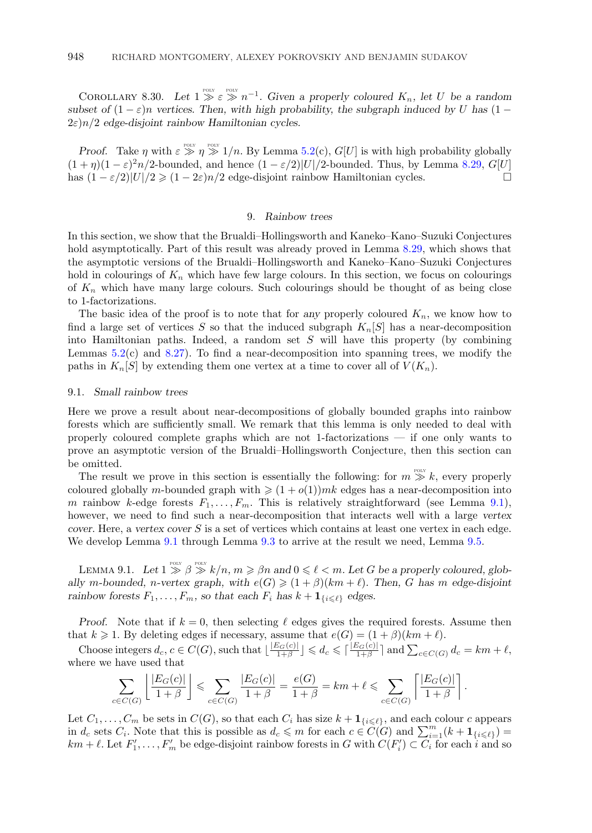<span id="page-49-0"></span>COROLLARY 8.30. Let  $1 \geq \varepsilon \geq n^{-1}$ . Given a properly coloured  $K_n$ , let U be a random *subset of*  $(1 - \varepsilon)n$  *vertices. Then, with high probability, the subgraph induced by* U *has*  $(1 - \varepsilon)n$ 2ε)n/2 *edge-disjoint rainbow Hamiltonian cycles.*

*Proof.* Take  $\eta$  with  $\varepsilon \gg \eta \gg 1/n$ . By Lemma [5.2\(](#page-21-0)c),  $G[U]$  is with high probability globally  $(1 + \eta)(1 - \varepsilon)^2 n/2$ -bounded, and hence  $(1 - \varepsilon/2)|U|/2$ -bounded. Thus, by Lemma [8.29,](#page-48-0)  $G[U]$ has  $(1 - \varepsilon/2)|U|/2 \geq (1 - 2\varepsilon)n/2$  edge-disjoint rainbow Hamiltonian cycles.

# 9. *Rainbow trees*

In this section, we show that the Brualdi–Hollingsworth and Kaneko–Kano–Suzuki Conjectures hold asymptotically. Part of this result was already proved in Lemma [8.29,](#page-48-0) which shows that the asymptotic versions of the Brualdi–Hollingsworth and Kaneko–Kano–Suzuki Conjectures hold in colourings of  $K_n$  which have few large colours. In this section, we focus on colourings of  $K_n$  which have many large colours. Such colourings should be thought of as being close to 1-factorizations.

The basic idea of the proof is to note that for *any* properly coloured  $K_n$ , we know how to find a large set of vertices S so that the induced subgraph  $K_n[S]$  has a near-decomposition into Hamiltonian paths. Indeed, a random set  $S$  will have this property (by combining Lemmas  $5.2(c)$  $5.2(c)$  and  $8.27$ ). To find a near-decomposition into spanning trees, we modify the paths in  $K_n[S]$  by extending them one vertex at a time to cover all of  $V(K_n)$ .

#### 9.1. *Small rainbow trees*

Here we prove a result about near-decompositions of globally bounded graphs into rainbow forests which are sufficiently small. We remark that this lemma is only needed to deal with properly coloured complete graphs which are not 1-factorizations — if one only wants to prove an asymptotic version of the Brualdi–Hollingsworth Conjecture, then this section can be omitted.

The result we prove in this section is essentially the following: for  $m \gg k$ , every properly coloured globally *m*-bounded graph with  $\geq (1 + o(1))mk$  edges has a near-decomposition into m rainbow k-edge forests  $F_1, \ldots, F_m$ . This is relatively straightforward (see Lemma 9.1), however, we need to find such a near-decomposition that interacts well with a large *vertex cover*. Here, a *vertex cover* S is a set of vertices which contains at least one vertex in each edge. We develop Lemma 9.1 through Lemma [9.3](#page-50-0) to arrive at the result we need, Lemma [9.5.](#page-52-0)

LEMMA 9.1. Let  $1 \gg \beta \gg k/n$ ,  $m \geq \beta n$  and  $0 \leq \ell < m$ . Let G be a properly coloured, glob*ally* m-bounded, n-vertex graph, with  $e(G) \geq (1 + \beta)(km + \ell)$ . Then, G has m edge-disjoint *rainbow forests*  $F_1, \ldots, F_m$ *, so that each*  $F_i$  *has*  $k + \mathbf{1}_{\{i \leq \ell\}}$  *edges.* 

*Proof.* Note that if  $k = 0$ , then selecting  $\ell$  edges gives the required forests. Assume then that  $k \geqslant 1$ . By deleting edges if necessary, assume that  $e(G) = (1 + \beta)(km + \ell)$ .

Choose integers  $d_c, c \in C(G)$ , such that  $\lfloor \frac{|E_G(c)|}{1+\beta} \rfloor \leq d_c \leq \lceil \frac{|E_G(c)|}{1+\beta} \rceil$  and  $\sum_{c \in C(G)} d_c = km + \ell$ , where we have used that

$$
\sum_{c \in C(G)} \left\lfloor \frac{|E_G(c)|}{1+\beta} \right\rfloor \leq \sum_{c \in C(G)} \frac{|E_G(c)|}{1+\beta} = \frac{e(G)}{1+\beta} = km + \ell \leq \sum_{c \in C(G)} \left\lceil \frac{|E_G(c)|}{1+\beta} \right\rceil.
$$

Let  $C_1, \ldots, C_m$  be sets in  $C(G)$ , so that each  $C_i$  has size  $k + \mathbf{1}_{\{i \leqslant \ell\}}$ , and each colour c appears in  $d_c$  sets  $C_i$ . Note that this is possible as  $d_c \leqslant m$  for each  $c \in C(G)$  and  $\sum_{i=1}^{m} (k + \mathbf{1}_{\{i \leqsl$  $km + \ell$ . Let  $F'_1, \ldots, F'_m$  be edge-disjoint rainbow forests in G with  $C(F'_i) \subset C_i$  for each i and so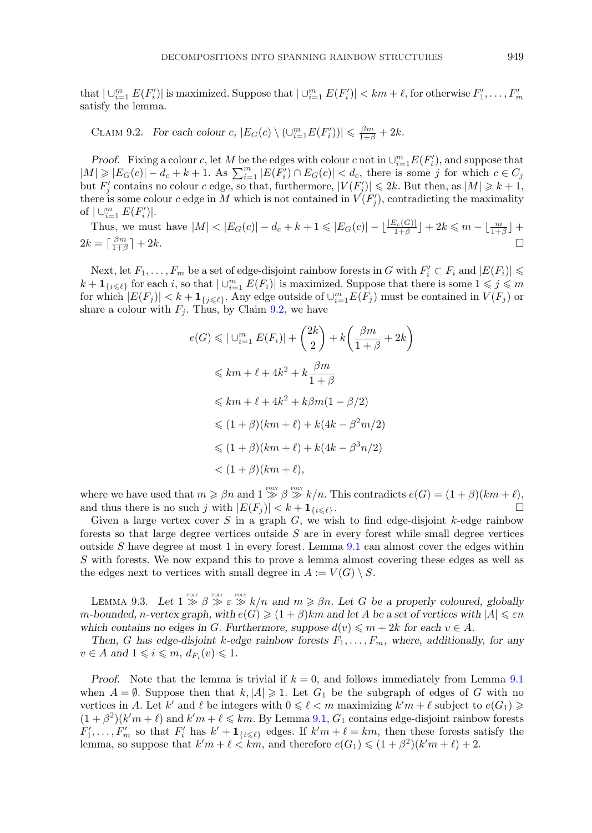<span id="page-50-0"></span>that  $|\cup_{i=1}^m E(F_i')|$  is maximized. Suppose that  $|\cup_{i=1}^m E(F_i')| < km + \ell$ , for otherwise  $F_1', \ldots, F_m'$ satisfy the lemma.

CLAIM 9.2. *For each colour c,*  $|E_G(c) \setminus (\bigcup_{i=1}^m E(F'_i))| \leq \frac{\beta m}{1+\beta} + 2k$ .

*Proof.* Fixing a colour c, let M be the edges with colour c not in  $\cup_{i=1}^m E(F'_i)$ , and suppose that  $|M| \geqslant |E_G(c)| - d_c + k + 1$ . As  $\sum_{i=1}^m |E(F'_i) \cap E_G(c)| < d_c$ , there is some j for which  $c \in C_j$ but  $F'_j$  contains no colour c edge, so that, furthermore,  $|V(F'_j)| \leq 2k$ . But then, as  $|M| \geq k+1$ , there is some colour c edge in M which is not contained in  $\check{V}(F_i')$ , contradicting the maximality of  $|\cup_{i=1}^m E(F'_i)|$ .

Thus, we must have  $|M| < |E_G(c)| - d_c + k + 1 \leq |E_G(c)| - \lfloor \frac{|E_c(G)|}{1+\beta} \rfloor + 2k \leq m - \lfloor \frac{m}{1+\beta} \rfloor +$  $2k = \lceil \frac{\beta m}{1+\beta} \rceil + 2k.$ 

Next, let  $F_1, \ldots, F_m$  be a set of edge-disjoint rainbow forests in G with  $F_i' \subset F_i$  and  $|E(F_i)| \le$  $k + \mathbf{1}_{\{i \leq \ell\}}$  for each i, so that  $|\cup_{i=1}^m E(F_i)|$  is maximized. Suppose that there is some  $1 \leqslant j \leqslant m$ for which  $|E(F_j)| < k + \mathbf{1}_{\{j \leq \ell\}}$ . Any edge outside of  $\cup_{i=1}^m E(F_j)$  must be contained in  $V(F_j)$  or share a colour with  $F_i$ . Thus, by Claim 9.2, we have

$$
e(G) \leq |\bigcup_{i=1}^{m} E(F_i)| + {2k \choose 2} + k \left(\frac{\beta m}{1+\beta} + 2k\right)
$$
  
\n
$$
\leq k m + \ell + 4k^2 + k \frac{\beta m}{1+\beta}
$$
  
\n
$$
\leq k m + \ell + 4k^2 + k\beta m(1-\beta/2)
$$
  
\n
$$
\leq (1+\beta)(km+\ell) + k(4k - \beta^2 m/2)
$$
  
\n
$$
\leq (1+\beta)(km+\ell) + k(4k - \beta^3 n/2)
$$
  
\n
$$
< (1+\beta)(km+\ell),
$$

where we have used that  $m \geq \beta n$  and  $1 \geq \beta \geq k/n$ . This contradicts  $e(G) = (1 + \beta)(km + \ell)$ , and thus there is no such j with  $|E(F_j)| < k + \mathbf{1}_{\{i \leq \ell\}}$ .  $\ell$  }  $\cdot$ 

Given a large vertex cover S in a graph G, we wish to find edge-disjoint  $k$ -edge rainbow forests so that large degree vertices outside  $S$  are in every forest while small degree vertices outside S have degree at most 1 in every forest. Lemma  $9.1$  can almost cover the edges within S with forests. We now expand this to prove a lemma almost covering these edges as well as the edges next to vertices with small degree in  $A := V(G) \setminus S$ .

LEMMA 9.3. Let  $1 \geq \beta \geq \varepsilon \geq k/n$  and  $m \geq \beta n$ . Let G be a properly coloured, globally  $m\text{-}bounded, n\text{-}vertex graph, with $e(G)\geqslant (1+\beta)km$ and let $A$ be a set of vertices with $|A|\leqslant \varepsilon n$}$ *which contains no edges in G. Furthermore, suppose*  $d(v) \leq m + 2k$  *for each*  $v \in A$ *.* 

*Then, G* has edge-disjoint *k*-edge rainbow forests  $F_1, \ldots, F_m$ , where, additionally, for any  $v \in A$  and  $1 \leqslant i \leqslant m$ ,  $d_{F_i}(v) \leqslant 1$ .

*Proof.* Note that the lemma is trivial if  $k = 0$ , and follows immediately from Lemma [9.1](#page-49-0) when  $A = \emptyset$ . Suppose then that  $k, |A| \geq 1$ . Let  $G_1$  be the subgraph of edges of G with no vertices in A. Let  $k'$  and  $\ell$  be integers with  $0 \leq \ell < m$  maximizing  $k'm + \ell$  subject to  $e(G_1) \geq$  $(1 + \beta^2)(k'm + \ell)$  and  $k'm + \ell \leq k'm$ . By Lemma [9.1,](#page-49-0)  $G_1$  contains edge-disjoint rainbow forests  $F'_1,\ldots,F'_m$  so that  $F'_i$  has  $k'+1_{\{i\leq \ell\}}$  edges. If  $k'm+\ell = km$ , then these forests satisfy the lemma, so suppose that  $k'm + \ell \leq km$ , and therefore  $e(G_1) \leq (1 + \beta^2)(k'm + \ell) + 2$ .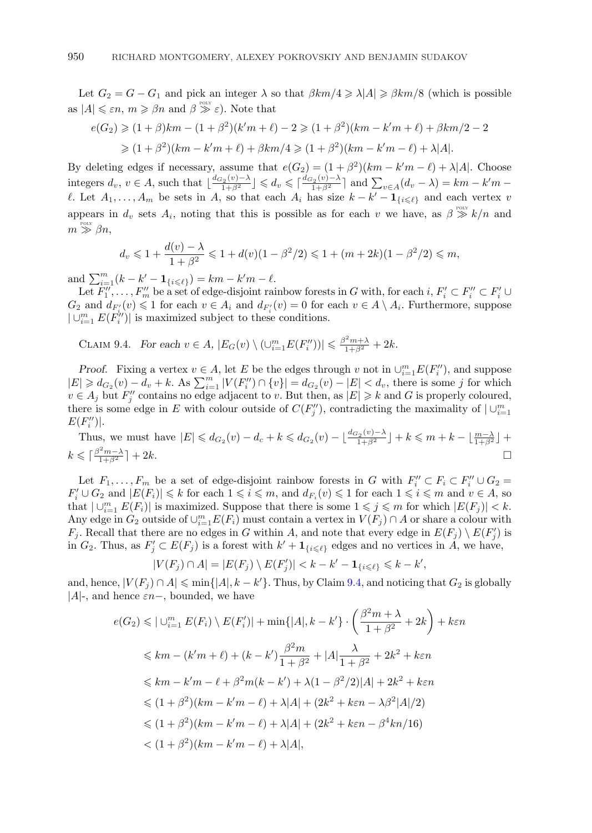Let  $G_2 = G - G_1$  and pick an integer  $\lambda$  so that  $\beta km/4 \ge \lambda |A| \ge \beta km/8$  (which is possible as  $|A| \leq \varepsilon n$ ,  $m \geq \beta n$  and  $\beta \stackrel{\text{pour}}{\gg} \varepsilon$ ). Note that

$$
e(G_2) \geq (1+\beta)km - (1+\beta^2)(k'm+\ell) - 2 \geq (1+\beta^2)(km-k'm+\ell) + \beta km/2 - 2
$$
  

$$
\geq (1+\beta^2)(km-k'm+\ell) + \beta km/4 \geq (1+\beta^2)(km-k'm-\ell) + \lambda|A|.
$$

By deleting edges if necessary, assume that  $e(G_2) = (1 + \beta^2)(km - k'm - \ell) + \lambda |A|$ . Choose integers  $d_v, v \in A$ , such that  $\lfloor \frac{d_{G_2}(v) - \lambda}{1 + \beta^2} \rfloor \leq d_v \leq \lceil \frac{d_{G_2}(v) - \lambda}{1 + \beta^2} \rceil$  and  $\sum_{v \in A} (d_v - \lambda) = km - k'm$ l. Let  $A_1, \ldots, A_m$  be sets in A, so that each  $A_i$  has size  $k - k' - \mathbf{1}_{\{i \leq l\}}$  and each vertex v appears in  $d_v$  sets  $A_i$ , noting that this is possible as for each v we have, as  $\beta \geqslant k/n$  and  $m\stackrel{\text{\tiny{PoLY}}}{\gg} \beta n,$ 

$$
d_v \leq 1 + \frac{d(v) - \lambda}{1 + \beta^2} \leq 1 + d(v)(1 - \beta^2/2) \leq 1 + (m + 2k)(1 - \beta^2/2) \leq m,
$$

and  $\sum_{i=1}^{m} (k - k' - \mathbf{1}_{\{i \leq \ell\}}) = km - k'm - \ell$ .

Let  $F''_1, \ldots, F''_m$  be a set of edge-disjoint rainbow forests in G with, for each  $i, F'_i \subset F''_i \subset F'_i \cup$  $G_2$  and  $d_{F_i'}(v) \leq 1$  for each  $v \in A_i$  and  $d_{F_i'}(v) = 0$  for each  $v \in A \setminus A_i$ . Furthermore, suppose  $|\cup_{i=1}^m E(F_i^{i\prime})|$  is maximized subject to these conditions.

CLAIM 9.4. *For each*  $v \in A$ ,  $|E_G(v) \setminus (\cup_{i=1}^m E(F''_i))| \leq \frac{\beta^2 m + \lambda}{1 + \beta^2} + 2k$ .

*Proof.* Fixing a vertex  $v \in A$ , let E be the edges through v not in  $\cup_{i=1}^{m} E(F_i'')$ , and suppose  $|E| \geq d_{G_2}(v) - d_v + k$ . As  $\sum_{i=1}^m |V(F''_i) \cap \{v\}| = d_{G_2}(v) - |E| < d_v$ , there is some j for which  $v \in A_j$  but  $F''_j$  contains no edge adjacent to v. But then, as  $|E| \geq k$  and G is properly coloured, there is some edge in E with colour outside of  $C(F''_j)$ , contradicting the maximality of  $\bigcup_{i=1}^m$  $E(F''_i)|.$ 

Thus, we must have  $|E| \leq d_{G_2}(v) - d_c + k \leq d_{G_2}(v) - \lfloor \frac{d_{G_2}(v) - \lambda}{1 + \beta^2} \rfloor + k \leq m + k - \lfloor \frac{m - \lambda}{1 + \beta^2} \rfloor + k$  $k \leqslant \lceil \frac{\beta^2 m - \lambda}{1 + \beta^2} \rceil + 2k.$ 

Let  $F_1, \ldots, F_m$  be a set of edge-disjoint rainbow forests in G with  $F_i'' \subset F_i \subset F_i'' \cup G_2 =$  $F'_i \cup G_2$  and  $|E(F_i)| \leq k$  for each  $1 \leq i \leq m$ , and  $d_{F_i}(v) \leq 1$  for each  $1 \leq i \leq m$  and  $v \in A$ , so that  $|\bigcup_{i=1}^m E(F_i)|$  is maximized. Suppose that there is some  $1 \leqslant j \leqslant m$  for which  $|E(F_j)| < k$ . Any edge in  $G_2$  outside of  $\cup_{i=1}^m E(F_i)$  must contain a vertex in  $V(F_j) \cap A$  or share a colour with  $F_j$ . Recall that there are no edges in G within A, and note that every edge in  $E(F_j) \setminus E(F'_j)$  is in  $G_2$ . Thus, as  $F'_j \subset E(F_j)$  is a forest with  $k' + \mathbf{1}_{\{i \leq \ell\}}$  edges and no vertices in A, we have,

$$
|V(F_j) \cap A| = |E(F_j) \setminus E(F'_j)| < k - k' - \mathbf{1}_{\{i \leq \ell\}} \leq k - k',
$$

and, hence,  $|V(F_j) \cap A| \leq \min\{|A|, k - k'\}$ . Thus, by Claim 9.4, and noticing that  $G_2$  is globally |A|-, and hence  $\varepsilon n-$ , bounded, we have

$$
e(G_2) \leq |U_{i=1}^m E(F_i) \setminus E(F_i')| + \min\{|A|, k - k'\} \cdot \left(\frac{\beta^2 m + \lambda}{1 + \beta^2} + 2k\right) + k\varepsilon n
$$
  

$$
\leq k m - (k'm + \ell) + (k - k') \frac{\beta^2 m}{1 + \beta^2} + |A| \frac{\lambda}{1 + \beta^2} + 2k^2 + k\varepsilon n
$$
  

$$
\leq k m - k'm - \ell + \beta^2 m(k - k') + \lambda(1 - \beta^2/2)|A| + 2k^2 + k\varepsilon n
$$
  

$$
\leq (1 + \beta^2)(km - k'm - \ell) + \lambda|A| + (2k^2 + k\varepsilon n - \lambda\beta^2|A|/2)
$$
  

$$
\leq (1 + \beta^2)(km - k'm - \ell) + \lambda|A| + (2k^2 + k\varepsilon n - \beta^4 kn/16)
$$
  

$$
< (1 + \beta^2)(km - k'm - \ell) + \lambda|A|,
$$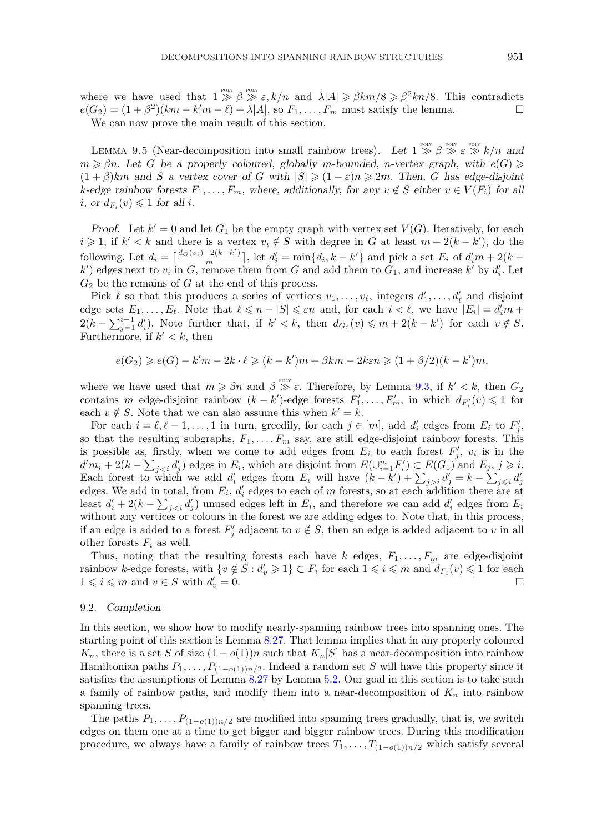<span id="page-52-0"></span>where we have used that  $1 \gg \beta \gg \varepsilon, k/n$  and  $\lambda |A| \geq \beta k/m/8 \geq \beta^2 k n/8$ . This contradicts  $e(G_2) = (1 + \beta^2)(km - k'm - \ell) + \lambda |A|$ , so  $F_1, \ldots, F_m$  must satisfy the lemma.

We can now prove the main result of this section.

LEMMA 9.5 (Near-decomposition into small rainbow trees). Let  $1 \gg \beta \gg \varepsilon \gg k/n$  and  $m \geq \beta n$ . Let G be a properly coloured, globally m-bounded, n-vertex graph, with  $e(G) \geq$  $(1 + \beta)km$  and S a vertex cover of G with  $|S| \geq (1 - \varepsilon)n \geq 2m$ . Then, G has edge-disjoint  $k$ -edge rainbow forests  $F_1, \ldots, F_m$ , where, additionally, for any  $v \notin S$  either  $v \in V(F_i)$  for all *i*, or  $d_{F_i}(v) \leq 1$  for all *i*.

*Proof.* Let  $k' = 0$  and let  $G_1$  be the empty graph with vertex set  $V(G)$ . Iteratively, for each  $i \geq 1$ , if  $k' < k$  and there is a vertex  $v_i \notin S$  with degree in G at least  $m + 2(k - k')$ , do the following. Let  $d_i = \lceil \frac{d_G(v_i) - 2(k - k')}{m} \rceil$ , let  $d'_i = \min\{d_i, k - k'\}$  and pick a set  $E_i$  of  $d'_i m + 2(k - k')$  $k'$ ) edges next to  $v_i$  in G, remove them from G and add them to  $G_1$ , and increase  $k'$  by  $d'_i$ . Let  $G_2$  be the remains of G at the end of this process.

Pick  $\ell$  so that this produces a series of vertices  $v_1, \ldots, v_\ell$ , integers  $d'_1, \ldots, d'_\ell$  and disjoint edge sets  $E_1, \ldots, E_\ell$ . Note that  $\ell \leq n - |S| \leq \varepsilon n$  and, for each  $i < \ell$ , we have  $|E_i| = d'_i m +$  $2(k - \sum_{j=1}^{i-1} d'_i)$ . Note further that, if  $k' < k$ , then  $d_{G_2}(v) \leq m + 2(k - k')$  for each  $v \notin S$ . Furthermore, if  $k' < k$ , then

 $e(G_2) \geqslant e(G) - k'm - 2k \cdot \ell \geqslant (k - k')m + \beta km - 2k\varepsilon n \geqslant (1 + \beta/2)(k - k')m,$ 

where we have used that  $m \geq \beta n$  and  $\beta \geq \varepsilon$ . Therefore, by Lemma [9.3,](#page-50-0) if  $k' < k$ , then  $G_2$ contains m edge-disjoint rainbow  $(k - k')$ -edge forests  $F'_1, \ldots, F'_m$ , in which  $d_{F'_i}(v) \leq 1$  for each  $v \notin S$ . Note that we can also assume this when  $k' = k$ .

For each  $i = \ell, \ell - 1, \ldots, 1$  in turn, greedily, for each  $j \in [m]$ , add  $d_i$  edges from  $E_i$  to  $F_i'$ , so that the resulting subgraphs,  $F_1, \ldots, F_m$  say, are still edge-disjoint rainbow forests. This is possible as, firstly, when we come to add edges from  $E_i$  to each forest  $F'_i$ ,  $v_i$  is in the  $d'm_i + 2(k - \sum_{j edges in  $E_i$ , which are disjoint from  $E(\cup_{i=1}^m F'_i) \subset E(G_1)$  and  $E_j$ ,  $j \geqslant i$ .$ Each forest to which we add  $d_i'$  edges from  $E_i$  will have  $(k - k') + \sum_{j>i} d_j' = k - \sum_{j \leq i} d_j'$ edges. We add in total, from  $E_i$ ,  $d'_i$  edges to each of m forests, so at each addition there are at least  $d'_i + 2(k - \sum_{i < i} d'_i)$  unused edges left in  $E_i$ , and therefore we can add  $d'_i$  edges from  $E_i$ without any vertices or colours in the forest we are adding edges to. Note that, in this process, if an edge is added to a forest  $F'_i$  adjacent to  $v \notin S$ , then an edge is added adjacent to v in all other forests  $F_i$  as well.

Thus, noting that the resulting forests each have k edges,  $F_1, \ldots, F_m$  are edge-disjoint rainbow k-edge forests, with  $\{v \notin S : d_v' \geq 1\} \subset F_i$  for each  $1 \leq i \leq m$  and  $d_{F_i}(v) \leq 1$  for each  $1 \leqslant i \leqslant m$  and  $v \in S$  with  $d_i'$  $v'_v = 0.$ 

# 9.2. *Completion*

In this section, we show how to modify nearly-spanning rainbow trees into spanning ones. The starting point of this section is Lemma [8.27.](#page-48-0) That lemma implies that in any properly coloured  $K_n$ , there is a set S of size  $(1 - o(1))n$  such that  $K_n[S]$  has a near-decomposition into rainbow Hamiltonian paths  $P_1, \ldots, P_{(1-o(1))n/2}$ . Indeed a random set S will have this property since it satisfies the assumptions of Lemma [8.27](#page-48-0) by Lemma [5.2.](#page-21-0) Our goal in this section is to take such a family of rainbow paths, and modify them into a near-decomposition of  $K_n$  into rainbow spanning trees.

The paths  $P_1, \ldots, P_{(1-o(1))n/2}$  are modified into spanning trees gradually, that is, we switch edges on them one at a time to get bigger and bigger rainbow trees. During this modification procedure, we always have a family of rainbow trees  $T_1, \ldots, T_{(1-o(1))n/2}$  which satisfy several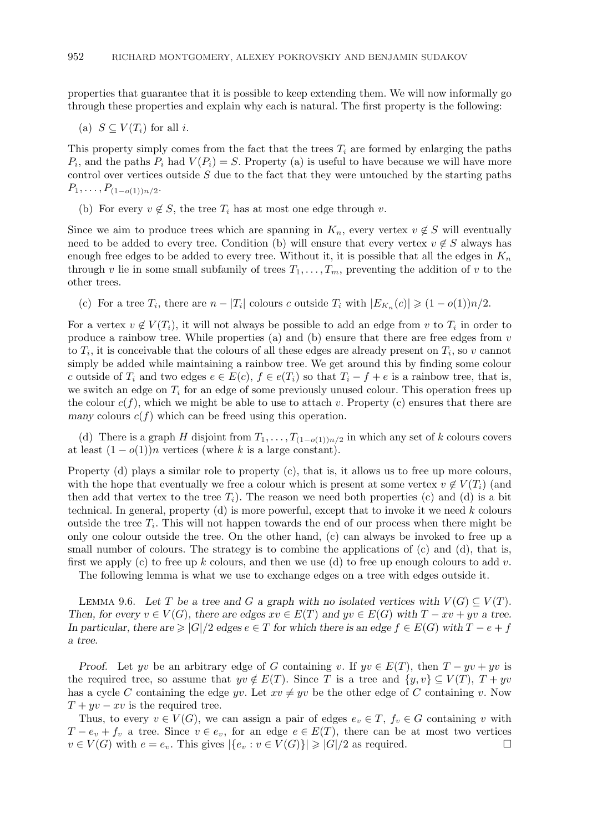<span id="page-53-0"></span>properties that guarantee that it is possible to keep extending them. We will now informally go through these properties and explain why each is natural. The first property is the following:

(a) 
$$
S \subseteq V(T_i)
$$
 for all *i*.

This property simply comes from the fact that the trees  $T_i$  are formed by enlarging the paths  $P_i$ , and the paths  $P_i$  had  $V(P_i) = S$ . Property (a) is useful to have because we will have more control over vertices outside  $S$  due to the fact that they were untouched by the starting paths  $P_1,\ldots,P_{(1-o(1))n/2}.$ 

(b) For every  $v \notin S$ , the tree  $T_i$  has at most one edge through v.

Since we aim to produce trees which are spanning in  $K_n$ , every vertex  $v \notin S$  will eventually need to be added to every tree. Condition (b) will ensure that every vertex  $v \notin S$  always has enough free edges to be added to every tree. Without it, it is possible that all the edges in  $K_n$ through v lie in some small subfamily of trees  $T_1,\ldots,T_m$ , preventing the addition of v to the other trees.

(c) For a tree  $T_i$ , there are  $n - |T_i|$  colours c outside  $T_i$  with  $|E_{K_n}(c)| \geq (1 - o(1))n/2$ .

For a vertex  $v \notin V(T_i)$ , it will not always be possible to add an edge from v to  $T_i$  in order to produce a rainbow tree. While properties (a) and (b) ensure that there are free edges from  $v$ to  $T_i$ , it is conceivable that the colours of all these edges are already present on  $T_i$ , so v cannot simply be added while maintaining a rainbow tree. We get around this by finding some colour c outside of  $T_i$  and two edges  $e \in E(c)$ ,  $f \in e(T_i)$  so that  $T_i - f + e$  is a rainbow tree, that is, we switch an edge on  $T_i$  for an edge of some previously unused colour. This operation frees up the colour  $c(f)$ , which we might be able to use to attach v. Property (c) ensures that there are *many* colours  $c(f)$  which can be freed using this operation.

(d) There is a graph H disjoint from  $T_1, \ldots, T_{(1-o(1))n/2}$  in which any set of k colours covers at least  $(1 - o(1))n$  vertices (where k is a large constant).

Property (d) plays a similar role to property (c), that is, it allows us to free up more colours, with the hope that eventually we free a colour which is present at some vertex  $v \notin V(T_i)$  (and then add that vertex to the tree  $T_i$ ). The reason we need both properties (c) and (d) is a bit technical. In general, property  $(d)$  is more powerful, except that to invoke it we need k colours outside the tree  $T_i$ . This will not happen towards the end of our process when there might be only one colour outside the tree. On the other hand, (c) can always be invoked to free up a small number of colours. The strategy is to combine the applications of (c) and (d), that is, first we apply (c) to free up k colours, and then we use (d) to free up enough colours to add v.

The following lemma is what we use to exchange edges on a tree with edges outside it.

LEMMA 9.6. Let T be a tree and G a graph with no isolated vertices with  $V(G) \subseteq V(T)$ . *Then, for every*  $v \in V(G)$ *, there are edges*  $xv \in E(T)$  *and*  $yv \in E(G)$  *with*  $T - xv + yv$  *a tree. In particular, there are*  $\geq |G|/2$  *edges*  $e \in T$  *for which there is an edge*  $f \in E(G)$  *with*  $T - e + f$ *a tree.*

*Proof.* Let yv be an arbitrary edge of G containing v. If  $yv \in E(T)$ , then  $T - yv + yv$  is the required tree, so assume that  $yv \notin E(T)$ . Since T is a tree and  $\{y, v\} \subseteq V(T)$ ,  $T + yv$ has a cycle C containing the edge yv. Let  $xv \neq yv$  be the other edge of C containing v. Now  $T + yv - xv$  is the required tree.

Thus, to every  $v \in V(G)$ , we can assign a pair of edges  $e_v \in T$ ,  $f_v \in G$  containing v with  $T - e_v + f_v$  a tree. Since  $v \in e_v$ , for an edge  $e \in E(T)$ , there can be at most two vertices  $v \in V(G)$  with  $e = e_v$ . This gives  $|\{e_v : v \in V(G)\}| \geqslant |G|/2$  as required.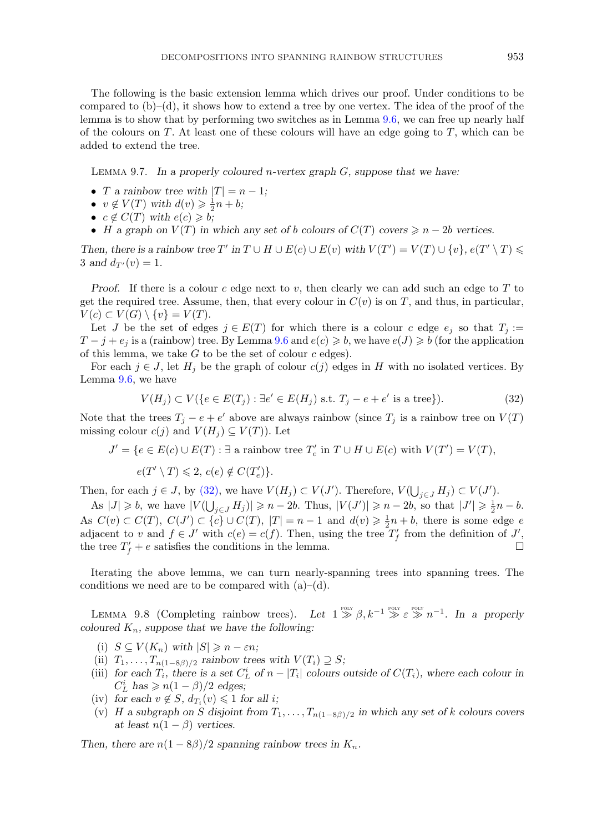<span id="page-54-0"></span>The following is the basic extension lemma which drives our proof. Under conditions to be compared to  $(b)$ – $(d)$ , it shows how to extend a tree by one vertex. The idea of the proof of the lemma is to show that by performing two switches as in Lemma [9.6,](#page-53-0) we can free up nearly half of the colours on T. At least one of these colours will have an edge going to  $T$ , which can be added to extend the tree.

Lemma 9.7. *In a properly coloured* n*-vertex graph* G*, suppose that we have:*

- T a rainbow tree with  $|T| = n 1$ ;
- $v \notin V(T)$  with  $d(v) \geq \frac{1}{2}n + b$ ;
- $c \notin C(T)$  with  $e(c) \geqslant b;$
- *H* a graph on  $V(T)$  in which any set of *b* colours of  $C(T)$  covers  $\geq n 2b$  vertices.

*Then, there is a rainbow tree T'* in  $T \cup H \cup E(c) \cup E(v)$  with  $V(T') = V(T) \cup \{v\}$ ,  $e(T' \setminus T) \le$  $3$  and  $d_{T'}(v)=1$ .

*Proof.* If there is a colour c edge next to v, then clearly we can add such an edge to  $T$  to get the required tree. Assume, then, that every colour in  $C(v)$  is on T, and thus, in particular,  $V(c) \subset V(G) \setminus \{v\} = V(T).$ 

Let J be the set of edges  $j \in E(T)$  for which there is a colour c edge  $e_j$  so that  $T_j :=$  $T-j+e_j$  is a (rainbow) tree. By Lemma [9.6](#page-53-0) and  $e(c) \geqslant b$ , we have  $e(J) \geqslant b$  (for the application of this lemma, we take  $G$  to be the set of colour  $c$  edges).

For each  $j \in J$ , let  $H_j$  be the graph of colour  $c(j)$  edges in H with no isolated vertices. By Lemma [9.6,](#page-53-0) we have

$$
V(H_j) \subset V(\{e \in E(T_j) : \exists e' \in E(H_j) \text{ s.t. } T_j - e + e' \text{ is a tree}\}).\tag{32}
$$

Note that the trees  $T_j - e + e'$  above are always rainbow (since  $T_j$  is a rainbow tree on  $V(T)$ ) missing colour  $c(j)$  and  $V(H_i) \subseteq V(T)$ ). Let

$$
J' = \{ e \in E(c) \cup E(T) : \exists \text{ a rainbow tree } T'_e \text{ in } T \cup H \cup E(c) \text{ with } V(T') = V(T),
$$

 $e(T' \setminus T) \leqslant 2, c(e) \notin C(T'_e)$ .

Then, for each  $j \in J$ , by (32), we have  $V(H_j) \subset V(J')$ . Therefore,  $V(\bigcup_{j \in J} H_j) \subset V(J')$ .

As  $|J| \geq b$ , we have  $|V(\bigcup_{j\in J} H_j)| \geq n-2b$ . Thus,  $|V(J')| \geq n-2b$ , so that  $|J'| \geq \frac{1}{2}n-b$ . As  $C(v) \subset C(T)$ ,  $C(J') \subset \{c\} \cup C(T)$ ,  $|T| = n - 1$  and  $d(v) \geq \frac{1}{2}n + b$ , there is some edge  $e$ adjacent to v and  $f \in J'$  with  $c(e) = c(f)$ . Then, using the tree  $T'_f$  from the definition of  $J'$ , the tree  $T'_f + e$  satisfies the conditions in the lemma.

Iterating the above lemma, we can turn nearly-spanning trees into spanning trees. The conditions we need are to be compared with  $(a)$ – $(d)$ .

LEMMA 9.8 (Completing rainbow trees). Let  $1 \gg \beta$ ,  $k^{-1} \gg \varepsilon \gg n^{-1}$ . In a properly *coloured*  $K_n$ , suppose that we have the following:

- (i)  $S \subseteq V(K_n)$  with  $|S| \geqslant n \varepsilon n;$
- (ii)  $T_1, \ldots, T_{n(1-8\beta)/2}$  *rainbow trees with*  $V(T_i) \supseteq S$ ;
- (iii) *for each*  $T_i$ *, there is a set*  $C_L^i$  *of*  $n |T_i|$  *colours outside of*  $C(T_i)$ *, where each colour in*  $C_L^i$  has  $\geqslant n(1-\beta)/2$  edges;
- $(iv)$  *for each*  $v \notin S$ *,*  $d_{T_i}(v) \leq 1$  *for all i*;
- (v) H a subgraph on S disjoint from  $T_1, \ldots, T_{n(1-8\beta)/2}$  in which any set of k colours covers *at least*  $n(1 - \beta)$  *vertices.*

*Then, there are*  $n(1 - 8\beta)/2$  *spanning rainbow trees in*  $K_n$ *.*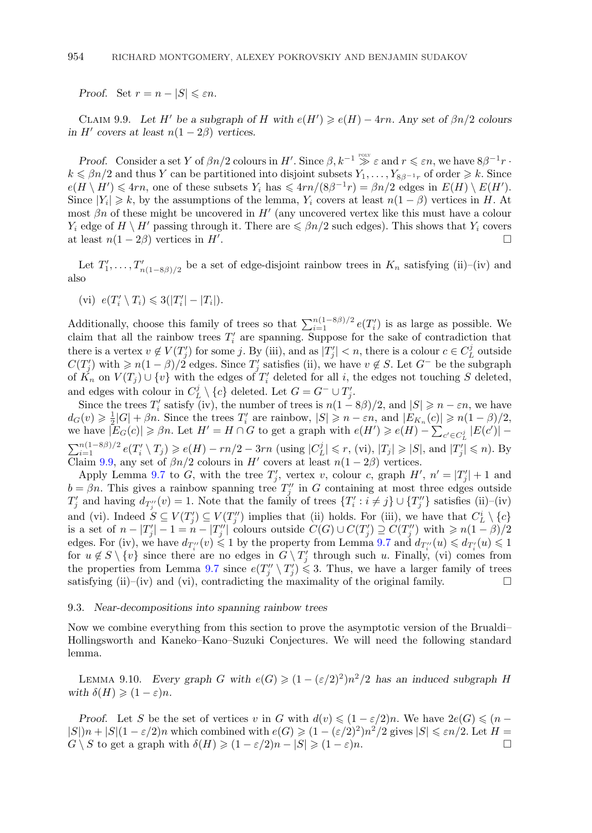<span id="page-55-0"></span>*Proof.* Set  $r = n - |S| \leq \varepsilon n$ .

CLAIM 9.9. Let H' be a subgraph of H with  $e(H') \geqslant e(H) - 4rn$ . Any set of  $\beta n/2$  colours *in*  $H'$  *covers at least*  $n(1-2\beta)$  *vertices.* 

*Proof.* Consider a set Y of  $\beta n/2$  colours in H'. Since  $\beta$ ,  $k^{-1} \geqslant \varepsilon$  and  $r \leqslant \varepsilon n$ , we have  $8\beta^{-1}r$ .  $k \leq \beta n/2$  and thus Y can be partitioned into disjoint subsets  $Y_1, \ldots, Y_{8\beta^{-1}r}$  of order  $\geq k$ . Since  $e(H \setminus H') \leq 4rn$ , one of these subsets  $Y_i$  has  $\leq 4rn/(8\beta^{-1}r) = \beta n/2$  edges in  $E(H) \setminus E(H')$ . Since  $|Y_i| \geq k$ , by the assumptions of the lemma,  $Y_i$  covers at least  $n(1 - \beta)$  vertices in H. At most  $\beta n$  of these might be uncovered in  $H'$  (any uncovered vertex like this must have a colour  $Y_i$  edge of  $H \setminus H'$  passing through it. There are  $\leq \beta n/2$  such edges). This shows that  $Y_i$  covers at least  $n(1-2\beta)$  vertices in  $H'$ .

Let  $T_1',\ldots,T_{n(1-8\beta)/2}'$  be a set of edge-disjoint rainbow trees in  $K_n$  satisfying (ii)–(iv) and also

$$
(vi) e(T_i' \setminus T_i) \leq 3(|T_i'| - |T_i|).
$$

Additionally, choose this family of trees so that  $\sum_{i=1}^{n(1-8\beta)/2} e(T_i')$  is as large as possible. We claim that all the rainbow trees  $T_i'$  are spanning. Suppose for the sake of contradiction that there is a vertex  $v \notin V(T'_i)$  for some j. By (iii), and as  $|T'_i| < n$ , there is a colour  $c \in C_L^j$  outside  $C(T'_j)$  with  $\geqslant n(1-\beta)/2$  edges. Since  $T'_j$  satisfies (ii), we have  $v \notin S$ . Let  $G^-$  be the subgraph of  $\check{K_n}$  on  $V(T_j) \cup \{v\}$  with the edges of  $T'_i$  deleted for all i, the edges not touching S deleted, and edges with colour in  $C_L^j \setminus \{c\}$  deleted. Let  $G = G^- \cup T'_i$ .

Since the trees  $T_i'$  satisfy (iv), the number of trees is  $n(1 - 8\beta)/2$ , and  $|S| \geq n - \varepsilon n$ , we have  $d_G(v) \geq \frac{1}{2}|G| + \beta n$ . Since the trees  $T'_i$  are rainbow,  $|S| \geq n - \varepsilon n$ , and  $|E_{K_n}(c)| \geq n(1-\beta)/2$ , we have  $|E_G(c)| \geq \beta n$ . Let  $H' = H \cap G$  to get a graph with  $e(H') \geqslant e(H) - \sum_{c' \in C_L^j} |E(c')| \sum_{i=1}^{n(1-8\beta)/2} e(T_i' \setminus T_j) \geqslant e(H) - rn/2 - 3rn$  (using  $|C^j_L| \leqslant r$ , (vi),  $|T_j| \geqslant |S|$ , and  $|T'_j| \leqslant n$ ). By Claim 9.9, any set of  $\beta n/2$  colours in H' covers at least  $n(1-2\beta)$  vertices.

Apply Lemma [9.7](#page-54-0) to G, with the tree  $T'_i$ , vertex v, colour c, graph  $H'$ ,  $n' = |T'_i| + 1$  and  $b = \beta n$ . This gives a rainbow spanning tree  $T''_i$  in G containing at most three edges outside  $T'_j$  and having  $d_{T''_j}(v) = 1$ . Note that the family of trees  $\{T'_i : i \neq j\} \cup \{T''_j\}$  satisfies (ii)–(iv) and (vi). Indeed  $S \subseteq V(T_i') \subseteq V(T_i'')$  implies that (ii) holds. For (iii), we have that  $C_L^i \setminus \{c\}$ is a set of  $n-|T_j'|-1=n-|T_j''|$  colours outside  $C(G) \cup C(T_j') \supseteq C(T_j'')$  with  $\geq n(1-\beta)/2$ edges. For (iv), we have  $d_{T_i''}(v) \leq 1$  by the property from Lemma [9.7](#page-54-0) and  $d_{T_i''}(u) \leq d_{T_i'}(u) \leq 1$ for  $u \notin S \setminus \{v\}$  since there are no edges in  $G \setminus T'_i$  through such u. Finally, (vi) comes from the properties from Lemma [9.7](#page-54-0) since  $e(T''_j \setminus T'_j) \leq 3$ . Thus, we have a larger family of trees satisfying (ii)–(iv) and (vi), contradicting the maximality of the original family.  $\square$ 

#### 9.3. *Near-decompositions into spanning rainbow trees*

Now we combine everything from this section to prove the asymptotic version of the Brualdi– Hollingsworth and Kaneko–Kano–Suzuki Conjectures. We will need the following standard lemma.

LEMMA 9.10. *Every graph* G with  $e(G) \geq (1 - (\varepsilon/2)^2)n^2/2$  *has an induced subgraph* H *with*  $\delta(H) \geqslant (1 - \varepsilon)n$ .

*Proof.* Let S be the set of vertices v in G with  $d(v) \leq (1 - \varepsilon/2)n$ . We have  $2e(G) \leq (n - \varepsilon/2)n$  $|S|$ )n +  $|S|(1-\varepsilon/2)n$  which combined with  $e(G) \geq (1-(\varepsilon/2)^2)n^2/2$  gives  $|S| \leq \varepsilon n/2$ . Let  $H =$  $G \setminus S$  to get a graph with  $\delta(H) \geqslant (1 - \varepsilon/2)n - |S| \geqslant (1 - \varepsilon)n$ .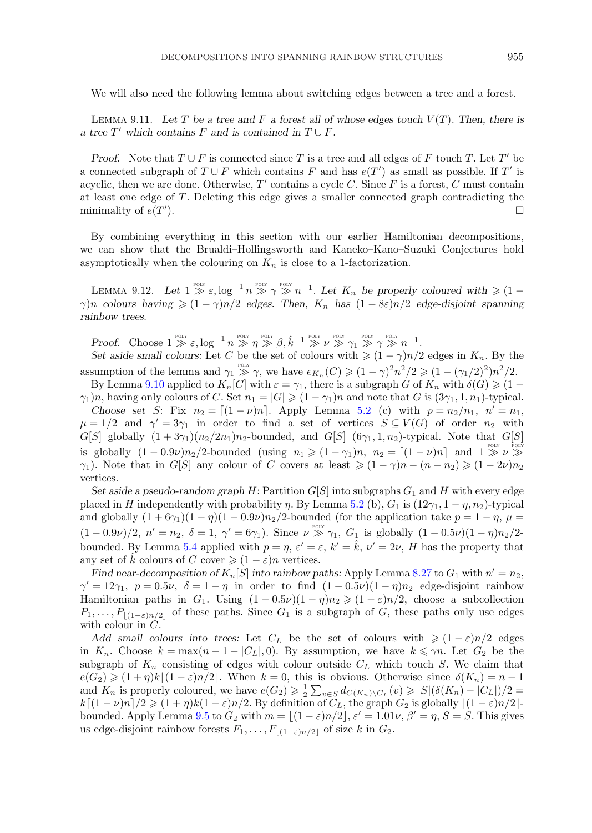<span id="page-56-0"></span>We will also need the following lemma about switching edges between a tree and a forest.

LEMMA 9.11. Let T be a tree and F a forest all of whose edges touch  $V(T)$ . Then, there is *a* tree  $T'$  which contains  $F$  and is contained in  $T \cup F$ .

*Proof.* Note that  $T \cup F$  is connected since T is a tree and all edges of F touch T. Let T' be a connected subgraph of  $T \cup F$  which contains F and has  $e(T')$  as small as possible. If T' is acyclic, then we are done. Otherwise,  $T'$  contains a cycle C. Since F is a forest, C must contain at least one edge of T. Deleting this edge gives a smaller connected graph contradicting the minimality of  $e(T)$ ).  $\Box$ 

By combining everything in this section with our earlier Hamiltonian decompositions, we can show that the Brualdi–Hollingsworth and Kaneko–Kano–Suzuki Conjectures hold asymptotically when the colouring on  $K_n$  is close to a 1-factorization.

LEMMA 9.12. Let  $1 \geq \varepsilon$ ,  $\log^{-1} n \geq \varepsilon$ ,  $\log^{-1} n \geq \varepsilon$ , Let  $K_n$  be properly coloured with  $\geq 1$  $\gamma$ )n colours having  $\geq (1 - \gamma)n/2$  edges. Then,  $K_n$  has  $(1 - 8\varepsilon)n/2$  edge-disjoint spanning *rainbow trees.*

*Proof.* Choose  $1 \gg \varepsilon, \log^{-1} n \gg \eta \gg \beta, \hat{k}^{-1} \gg \nu \gg \gamma_1 \gg \gamma \gg n^{-1}$ .

*Set aside small colours:* Let C be the set of colours with  $\geq (1 - \gamma)n/2$  edges in  $K_n$ . By the assumption of the lemma and  $\gamma_1 \geq \gamma$ , we have  $e_{K_n}(C) \geq (1 - \gamma)^2 n^2/2 \geq (1 - (\gamma_1/2)^2) n^2/2$ .

By Lemma [9.10](#page-55-0) applied to  $K_n[C]$  with  $\varepsilon = \gamma_1$ , there is a subgraph G of  $K_n$  with  $\delta(G) \geq 1 \gamma_1$ )n, having only colours of C. Set  $n_1 = |G| \geq (1 - \gamma_1)n$  and note that G is  $(3\gamma_1, 1, n_1)$ -typical.

*Choose set* S: Fix  $n_2 = [(1 - \nu)n]$ . Apply Lemma [5.2](#page-21-0) (c) with  $p = n_2/n_1$ ,  $n' = n_1$ ,  $\mu = 1/2$  and  $\gamma' = 3\gamma_1$  in order to find a set of vertices  $S \subseteq V(G)$  of order  $n_2$  with  $G[S]$  globally  $(1+3\gamma_1)(n_2/2n_1)n_2$ -bounded, and  $G[S]$   $(6\gamma_1, 1, n_2)$ -typical. Note that  $G[S]$ is globally  $(1-0.9\nu)n_2/2$ -bounded (using  $n_1 \geqslant (1-\gamma_1)n$ ,  $n_2 = \lfloor (1-\nu)n \rfloor$  and  $1 \gg \nu \gg$  $\gamma_1$ ). Note that in G[S] any colour of C covers at least  $\geqslant (1 - \gamma)n - (n - n_2) \geqslant (1 - 2\nu)n_2$ vertices.

*Set aside a pseudo-random graph*  $H$ : Partition  $G[S]$  into subgraphs  $G_1$  and  $H$  with every edge placed in H independently with probability  $\eta$ . By Lemma [5.2](#page-21-0) (b),  $G_1$  is  $(12\gamma_1, 1 - \eta, n_2)$ -typical and globally  $(1 + 6\gamma_1)(1 - \eta)(1 - 0.9\nu)n_2/2$ -bounded (for the application take  $p = 1 - \eta$ ,  $\mu =$  $(1-0.9\nu)/2, n' = n_2, \delta = 1, \gamma' = 6\gamma_1$ . Since  $\nu \gg \gamma_1$ ,  $G_1$  is globally  $(1-0.5\nu)(1-\eta)n_2/2$ . bounded. By Lemma [5.4](#page-23-0) applied with  $p = \eta$ ,  $\varepsilon' = \varepsilon$ ,  $k' = \hat{k}$ ,  $\nu' = 2\nu$ , H has the property that any set of  $\hat{k}$  colours of C cover  $\geq (1 - \varepsilon)n$  vertices.

*Find near-decomposition of*  $K_n[S]$  *into rainbow paths:* Apply Lemma [8.27](#page-48-0) to  $G_1$  with  $n' = n_2$ ,  $\gamma' = 12\gamma_1, p = 0.5\nu, \delta = 1 - \eta$  in order to find  $(1 - 0.5\nu)(1 - \eta)n_2$  edge-disjoint rainbow Hamiltonian paths in  $G_1$ . Using  $(1 - 0.5\nu)(1 - \eta)n_2 \geq (1 - \varepsilon)n/2$ , choose a subcollection  $P_1,\ldots,P_{\lfloor(1-\varepsilon)n/2\rfloor}$  of these paths. Since  $G_1$  is a subgraph of G, these paths only use edges with colour in C.

*Add small colours into trees:* Let  $C_L$  be the set of colours with  $\geq (1 - \varepsilon)n/2$  edges in  $K_n$ . Choose  $k = \max(n-1-|C_L|, 0)$ . By assumption, we have  $k \leq \gamma n$ . Let  $G_2$  be the subgraph of  $K_n$  consisting of edges with colour outside  $C_L$  which touch S. We claim that  $e(G_2) \geq (1 + \eta)k\lfloor (1 - \varepsilon)n/2 \rfloor$ . When  $k = 0$ , this is obvious. Otherwise since  $\delta(K_n) = n - 1$ and  $K_n$  is properly coloured, we have  $e(G_2) \geq \frac{1}{2} \sum_{v \in S} d_{C(K_n) \setminus C_L}(v) \geq |S|(\delta(K_n) - |C_L|)/2 =$  $k\lceil (1-\nu)n \rceil/2 \geqslant (1+\eta)k(1-\varepsilon)n/2$ . By definition of  $C_L$ , the graph  $G_2$  is globally  $\lfloor (1-\varepsilon)n/2 \rfloor$ -bounded. Apply Lemma [9.5](#page-52-0) to  $G_2$  with  $m = \lfloor (1 - \varepsilon)n/2 \rfloor, \varepsilon' = 1.01\nu, \beta' = \eta, S = S$ . This gives us edge-disjoint rainbow forests  $F_1, \ldots, F_{|(1-\varepsilon)n/2|}$  of size k in  $G_2$ .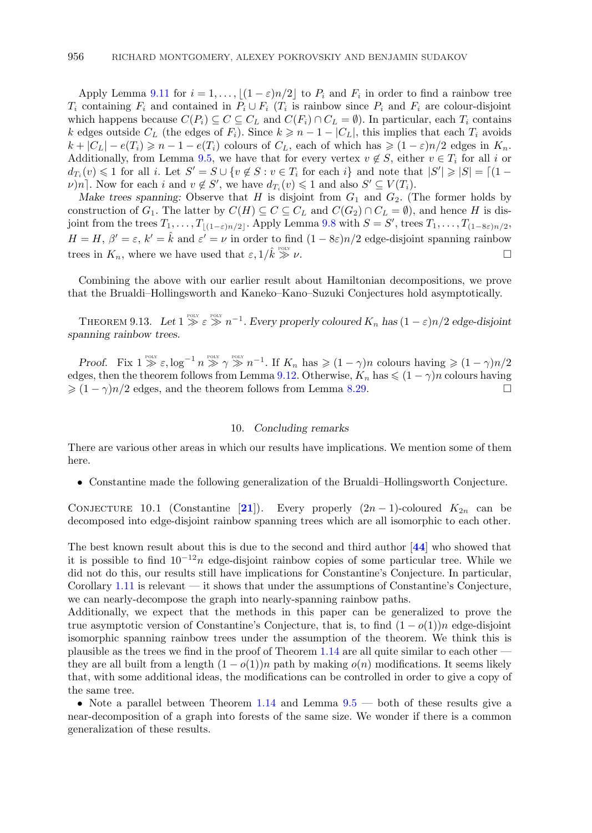<span id="page-57-0"></span>Apply Lemma [9.11](#page-56-0) for  $i = 1, \ldots, (1 - \varepsilon)n/2$  to  $P_i$  and  $F_i$  in order to find a rainbow tree  $T_i$  containing  $F_i$  and contained in  $P_i \cup F_i$  ( $T_i$  is rainbow since  $P_i$  and  $F_i$  are colour-disjoint which happens because  $C(P_i) \subseteq C \subseteq C_L$  and  $C(F_i) \cap C_L = \emptyset$ . In particular, each  $T_i$  contains k edges outside  $C_L$  (the edges of  $F_i$ ). Since  $k \geq n - 1 - |C_L|$ , this implies that each  $T_i$  avoids  $k + |C_L| - e(T_i) \geq n - 1 - e(T_i)$  colours of  $C_L$ , each of which has  $\geq (1 - \varepsilon)n/2$  edges in  $K_n$ . Additionally, from Lemma [9.5,](#page-52-0) we have that for every vertex  $v \notin S$ , either  $v \in T_i$  for all i or  $d_{T_i}(v) \leq 1$  for all i. Let  $S' = S \cup \{v \notin S : v \in T_i \text{ for each } i\}$  and note that  $|S'| \geq |S| = \lceil (1 - \frac{1}{2}) \rceil$  $\nu$ )n]. Now for each i and  $v \notin S'$ , we have  $d_{T_i}(v) \leq 1$  and also  $S' \subseteq V(T_i)$ .

*Make trees spanning:* Observe that H is disjoint from  $G_1$  and  $G_2$ . (The former holds by construction of  $G_1$ . The latter by  $C(H) \subseteq C \subseteq C_L$  and  $C(G_2) \cap C_L = \emptyset$ , and hence H is disjoint from the trees  $T_1, \ldots, T_{\lfloor(1-\varepsilon)n/2\rfloor}$ . Apply Lemma [9.8](#page-54-0) with  $S = S'$ , trees  $T_1, \ldots, T_{(1-8\varepsilon)n/2}$ ,  $H = H, \beta' = \varepsilon, k' = \hat{k}$  and  $\varepsilon' = \nu$  in order to find  $(1 - 8\varepsilon)n/2$  edge-disjoint spanning rainbow trees in  $K_n$ , where we have used that  $\varepsilon, 1/\hat{k} \gg$  $\gg \nu$ .

Combining the above with our earlier result about Hamiltonian decompositions, we prove that the Brualdi–Hollingsworth and Kaneko–Kano–Suzuki Conjectures hold asymptotically.

THEOREM 9.13. Let  $1 \gg \varepsilon \gg n^{-1}$ . Every properly coloured  $K_n$  has  $(1 - \varepsilon)n/2$  edge-disjoint *spanning rainbow trees.*

*Proof.* Fix  $1 \gg \varepsilon$ ,  $\log^{-1} n \gg \gamma \gg n^{-1}$ . If  $K_n$  has  $\geq (1 - \gamma)n$  colours having  $\geq (1 - \gamma)n/2$ edges, then the theorem follows from Lemma [9.12.](#page-56-0) Otherwise,  $K_n$  has  $\leq (1 - \gamma)n$  colours having  $\geq (1 - \gamma)n/2$  edges, and the theorem follows from Lemma [8.29.](#page-48-0)

# 10. *Concluding remarks*

There are various other areas in which our results have implications. We mention some of them here.

• Constantine made the following generalization of the Brualdi–Hollingsworth Conjecture.

CONJECTURE 10.1 (Constantine [[21](#page-59-0)]). Every properly  $(2n-1)$ -coloured  $K_{2n}$  can be decomposed into edge-disjoint rainbow spanning trees which are all isomorphic to each other.

The best known result about this is due to the second and third author [**[44](#page-60-0)**] who showed that it is possible to find  $10^{-12}n$  edge-disjoint rainbow copies of some particular tree. While we did not do this, our results still have implications for Constantine's Conjecture. In particular, Corollary [1.11](#page-4-0) is relevant — it shows that under the assumptions of Constantine's Conjecture, we can nearly-decompose the graph into nearly-spanning rainbow paths.

Additionally, we expect that the methods in this paper can be generalized to prove the true asymptotic version of Constantine's Conjecture, that is, to find  $(1 - o(1))n$  edge-disjoint isomorphic spanning rainbow trees under the assumption of the theorem. We think this is plausible as the trees we find in the proof of Theorem  $1.14$  are all quite similar to each other they are all built from a length  $(1 - o(1))n$  path by making  $o(n)$  modifications. It seems likely that, with some additional ideas, the modifications can be controlled in order to give a copy of the same tree.

• Note a parallel between Theorem [1.14](#page-4-0) and Lemma  $9.5$  — both of these results give a near-decomposition of a graph into forests of the same size. We wonder if there is a common generalization of these results.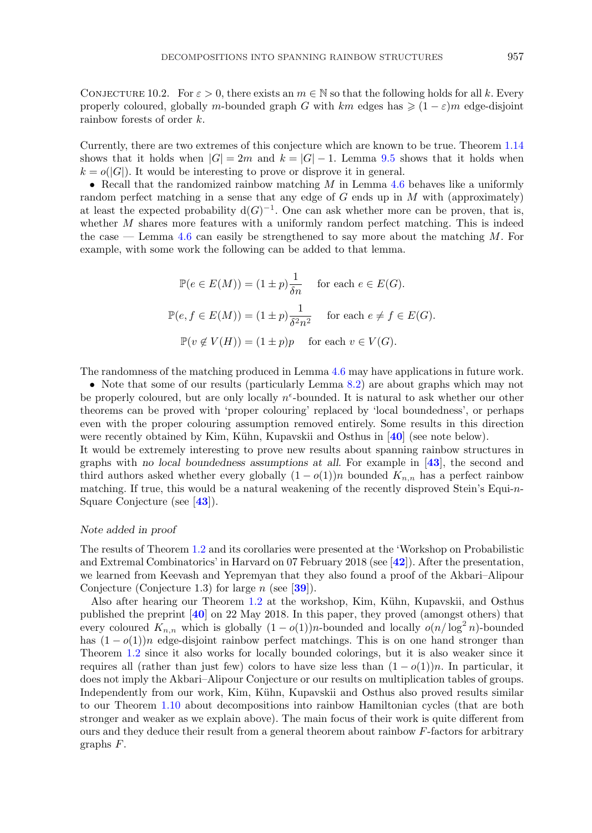CONJECTURE 10.2. For  $\varepsilon > 0$ , there exists an  $m \in \mathbb{N}$  so that the following holds for all k. Every properly coloured, globally *m*-bounded graph G with  $km$  edges has  $\geq (1 - \varepsilon)m$  edge-disjoint rainbow forests of order k.

Currently, there are two extremes of this conjecture which are known to be true. Theorem [1.14](#page-4-0) shows that it holds when  $|G| = 2m$  and  $k = |G| - 1$ . Lemma [9.5](#page-52-0) shows that it holds when  $k = o(|G|)$ . It would be interesting to prove or disprove it in general.

• Recall that the randomized rainbow matching  $M$  in Lemma [4.6](#page-19-0) behaves like a uniformly random perfect matching in a sense that any edge of  $G$  ends up in  $M$  with (approximately) at least the expected probability  $d(G)^{-1}$ . One can ask whether more can be proven, that is, whether  $M$  shares more features with a uniformly random perfect matching. This is indeed the case — Lemma [4.6](#page-19-0) can easily be strengthened to say more about the matching  $M$ . For example, with some work the following can be added to that lemma.

$$
\mathbb{P}(e \in E(M)) = (1 \pm p) \frac{1}{\delta n} \quad \text{for each } e \in E(G).
$$
  

$$
\mathbb{P}(e, f \in E(M)) = (1 \pm p) \frac{1}{\delta^2 n^2} \quad \text{for each } e \neq f \in E(G).
$$
  

$$
\mathbb{P}(v \notin V(H)) = (1 \pm p)p \quad \text{for each } v \in V(G).
$$

The randomness of the matching produced in Lemma [4.6](#page-19-0) may have applications in future work.

• Note that some of our results (particularly Lemma [8.2\)](#page-35-0) are about graphs which may not be properly coloured, but are only locally  $n^{\epsilon}$ -bounded. It is natural to ask whether our other theorems can be proved with 'proper colouring' replaced by 'local boundedness', or perhaps even with the proper colouring assumption removed entirely. Some results in this direction were recently obtained by Kim, Kühn, Kupavskii and Osthus in [[40](#page-60-0)] (see note below).

It would be extremely interesting to prove new results about spanning rainbow structures in graphs with *no local boundedness assumptions at all*. For example in [**[43](#page-60-0)**], the second and third authors asked whether every globally  $(1 - o(1))n$  bounded  $K_{n,n}$  has a perfect rainbow matching. If true, this would be a natural weakening of the recently disproved Stein's Equi-n-Square Conjecture (see [**[43](#page-60-0)**]).

# *Note added in proof*

The results of Theorem [1.2](#page-1-0) and its corollaries were presented at the 'Workshop on Probabilistic and Extremal Combinatorics' in Harvard on 07 February 2018 (see [**[42](#page-60-0)**]). After the presentation, we learned from Keevash and Yepremyan that they also found a proof of the Akbari–Alipour Conjecture (Conjecture 1.3) for large n (see [**[39](#page-60-0)**]).

Also after hearing our Theorem [1.2](#page-1-0) at the workshop, Kim, Kühn, Kupavskii, and Osthus published the preprint [**[40](#page-60-0)**] on 22 May 2018. In this paper, they proved (amongst others) that every coloured  $K_{n,n}$  which is globally  $(1 - o(1))n$ -bounded and locally  $o(n/\log^2 n)$ -bounded has  $(1 - o(1))n$  edge-disjoint rainbow perfect matchings. This is on one hand stronger than Theorem [1.2](#page-1-0) since it also works for locally bounded colorings, but it is also weaker since it requires all (rather than just few) colors to have size less than  $(1 - o(1))n$ . In particular, it does not imply the Akbari–Alipour Conjecture or our results on multiplication tables of groups. Independently from our work, Kim, Kühn, Kupavskii and Osthus also proved results similar to our Theorem [1.10](#page-4-0) about decompositions into rainbow Hamiltonian cycles (that are both stronger and weaker as we explain above). The main focus of their work is quite different from ours and they deduce their result from a general theorem about rainbow  $F$ -factors for arbitrary graphs F.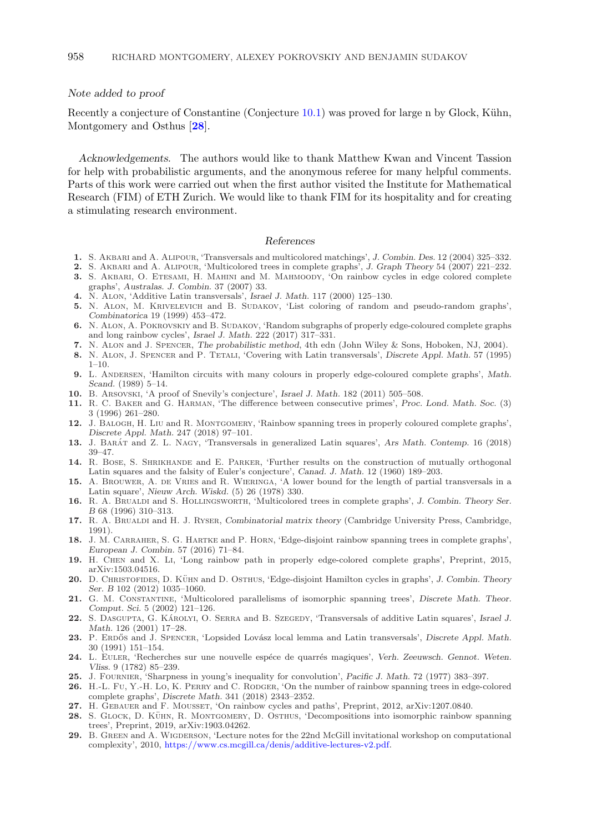# <span id="page-59-0"></span>*Note added to proof*

Recently a conjecture of Constantine (Conjecture  $10.1$ ) was proved for large n by Glock, Kühn, Montgomery and Osthus [**28**].

*Acknowledgements.* The authors would like to thank Matthew Kwan and Vincent Tassion for help with probabilistic arguments, and the anonymous referee for many helpful comments. Parts of this work were carried out when the first author visited the Institute for Mathematical Research (FIM) of ETH Zurich. We would like to thank FIM for its hospitality and for creating a stimulating research environment.

# *References*

- **1.** S. Akbari and A. Alipour, 'Transversals and multicolored matchings', *J. Combin. Des.* 12 (2004) 325–332.
- **2.** S. Akbari and A. Alipour, 'Multicolored trees in complete graphs', *J. Graph Theory* 54 (2007) 221–232.
- **3.** S. AKBARI, O. ETESAMI, H. MAHINI and M. MAHMOODY, 'On rainbow cycles in edge colored complete graphs', *Australas. J. Combin.* 37 (2007) 33.
- **4.** N. Alon, 'Additive Latin transversals', *Israel J. Math.* 117 (2000) 125–130.
- **5.** N. Alon, M. Krivelevich and B. Sudakov, 'List coloring of random and pseudo-random graphs', *Combinatorica* 19 (1999) 453–472.
- **6.** N. Alon, A. Pokrovskiy and B. Sudakov, 'Random subgraphs of properly edge-coloured complete graphs and long rainbow cycles', *Israel J. Math.* 222 (2017) 317–331.
- **7.** N. Alon and J. Spencer, *The probabilistic method*, 4th edn (John Wiley & Sons, Hoboken, NJ, 2004).
- **8.** N. Alon, J. Spencer and P. Tetali, 'Covering with Latin transversals', *Discrete Appl. Math.* 57 (1995)  $1 - 10$ .
- **9.** L. Andersen, 'Hamilton circuits with many colours in properly edge-coloured complete graphs', *Math. Scand.* (1989) 5–14.
- **10.** B. Arsovski, 'A proof of Snevily's conjecture', *Israel J. Math.* 182 (2011) 505–508.
- **11.** R. C. Baker and G. Harman, 'The difference between consecutive primes', *Proc. Lond. Math. Soc.* (3) 3 (1996) 261–280.
- **12.** J. Balogh, H. Liu and R. Montgomery, 'Rainbow spanning trees in properly coloured complete graphs', *Discrete Appl. Math.* 247 (2018) 97–101.
- **13.** J. Barat´ and Z. L. Nagy, 'Transversals in generalized Latin squares', *Ars Math. Contemp.* 16 (2018) 39–47.
- **14.** R. Bose, S. Shrikhande and E. Parker, 'Further results on the construction of mutually orthogonal Latin squares and the falsity of Euler's conjecture', *Canad. J. Math.* 12 (1960) 189–203.
- 15. A. BROUWER, A. DE VRIES and R. WIERINGA, 'A lower bound for the length of partial transversals in a Latin square', *Nieuw Arch. Wiskd.* (5) 26 (1978) 330.
- **16.** R. A. Brualdi and S. Hollingsworth, 'Multicolored trees in complete graphs', *J. Combin. Theory Ser. B* 68 (1996) 310–313.
- **17.** R. A. Brualdi and H. J. Ryser, *Combinatorial matrix theory* (Cambridge University Press, Cambridge, 1991).
- **18.** J. M. Carraher, S. G. Hartke and P. Horn, 'Edge-disjoint rainbow spanning trees in complete graphs', *European J. Combin.* 57 (2016) 71–84.
- **19.** H. Chen and X. Li, 'Long rainbow path in properly edge-colored complete graphs', Preprint, 2015, arXiv:1503.04516.
- 20. D. CHRISTOFIDES, D. KÜHN and D. OSTHUS, 'Edge-disjoint Hamilton cycles in graphs', *J. Combin. Theory Ser. B* 102 (2012) 1035–1060.
- **21.** G. M. Constantine, 'Multicolored parallelisms of isomorphic spanning trees', *Discrete Math. Theor. Comput. Sci.* 5 (2002) 121–126.
- 22. S. DASGUPTA, G. KAROLYI, O. SERRA and B. SZEGEDY, 'Transversals of additive Latin squares', *Israel J. Math.* 126 (2001) 17–28.
- 23. P. ERDŐS and J. SPENCER, 'Lopsided Lovász local lemma and Latin transversals', *Discrete Appl. Math.* 30 (1991) 151–154.
- 24. L. EULER, 'Recherches sur une nouvelle espéce de quarrés magiques', *Verh. Zeeuwsch. Gennot. Weten. Vliss.* 9 (1782) 85–239.
- **25.** J. Fournier, 'Sharpness in young's inequality for convolution', *Pacific J. Math.* 72 (1977) 383–397.
- **26.** H.-L. Fu, Y.-H. Lo, K. Perry and C. Rodger, 'On the number of rainbow spanning trees in edge-colored complete graphs', *Discrete Math.* 341 (2018) 2343–2352.
- 27. H. GEBAUER and F. MOUSSET, 'On rainbow cycles and paths', Preprint, 2012, arXiv:1207.0840.
- 28. S. GLOCK, D. KÜHN, R. MONTGOMERY, D. OSTHUS, 'Decompositions into isomorphic rainbow spanning trees', Preprint, 2019, arXiv:1903.04262.
- **29.** B. Green and A. Wigderson, 'Lecture notes for the 22nd McGill invitational workshop on computational complexity', 2010, [https://www.cs.mcgill.ca/denis/additive-lectures-v2.pdf.](https://www.cs.mcgill.ca/denis/additive-lectures-v2.pdf)